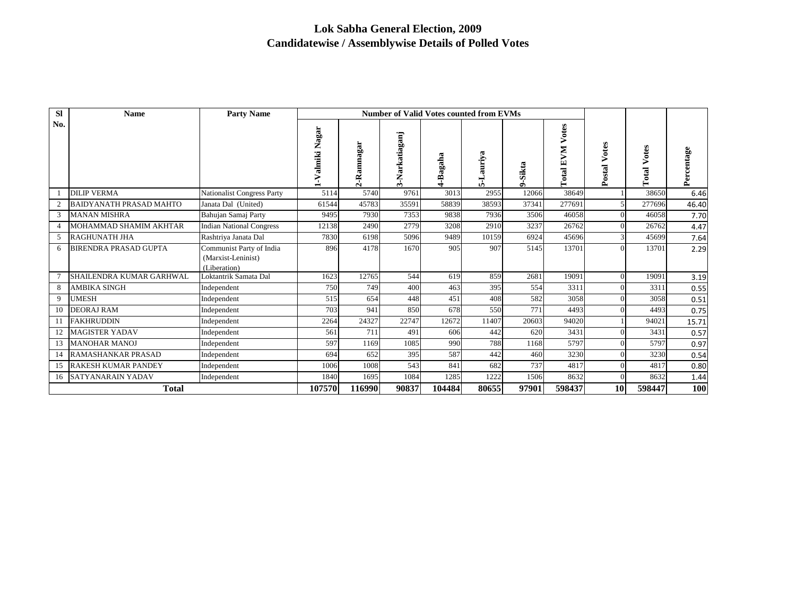| <b>SI</b>      | <b>Name</b>                    | <b>Party Name</b>                                              |                      |            |                | <b>Number of Valid Votes counted from EVMs</b> |           |         |                           |                     |                       |        |
|----------------|--------------------------------|----------------------------------------------------------------|----------------------|------------|----------------|------------------------------------------------|-----------|---------|---------------------------|---------------------|-----------------------|--------|
| No.            |                                |                                                                | Nagar<br>almiki<br>₹ | 2-Ramnagar | 3-Narkatiaganj | -Bagaha                                        | 5-Lauriya | 9-Sikta | Votes<br>NД<br>E<br>Total | otes<br>⋗<br>Postal | Votes<br><b>Total</b> | entage |
|                | <b>DILIP VERMA</b>             | Nationalist Congress Party                                     | 5114                 | 5740       | 9761           | 3013                                           | 2955      | 12066   | 38649                     |                     | 38650                 | 6.46   |
|                | <b>BAIDYANATH PRASAD MAHTO</b> | Janata Dal (United)                                            | 61544                | 45783      | 35591          | 58839                                          | 38593     | 37341   | 277691                    |                     | 277696                | 46.40  |
| 3              | <b>MANAN MISHRA</b>            | Bahujan Samaj Party                                            | 9495                 | 7930       | 7353           | 9838                                           | 7936      | 3506    | 46058                     |                     | 46058                 | 7.70   |
| $\overline{4}$ | MOHAMMAD SHAMIM AKHTAR         | <b>Indian National Congress</b>                                | 12138                | 2490       | 2779           | 3208                                           | 2910      | 3237    | 26762                     |                     | 26762                 | 4.47   |
| 5              | <b>RAGHUNATH JHA</b>           | Rashtriya Janata Dal                                           | 7830                 | 6198       | 5096           | 9489                                           | 10159     | 6924    | 45696                     |                     | 45699                 | 7.64   |
| 6              | <b>BIRENDRA PRASAD GUPTA</b>   | Communist Party of India<br>(Marxist-Leninist)<br>(Liberation) | 896                  | 4178       | 1670           | 905                                            | 907       | 5145    | 13701                     | $\Omega$            | 13701                 | 2.29   |
|                | SHAILENDRA KUMAR GARHWAL       | Loktantrik Samata Dal                                          | 1623                 | 12765      | 544            | 619                                            | 859       | 2681    | 19091                     | $\Omega$            | 19091                 | 3.19   |
| 8              | <b>AMBIKA SINGH</b>            | Independent                                                    | 750                  | 749        | 400            | 463                                            | 395       | 554     | 3311                      |                     | 3311                  | 0.55   |
| 9              | <b>UMESH</b>                   | Independent                                                    | 515                  | 654        | 448            | 451                                            | 408       | 582     | 3058                      |                     | 3058                  | 0.51   |
| 10             | <b>DEORAJ RAM</b>              | Independent                                                    | 703                  | 941        | 850            | 678                                            | 550       | 771     | 4493                      |                     | 4493                  | 0.75   |
| 11             | <b>FAKHRUDDIN</b>              | Independent                                                    | 2264                 | 24327      | 22747          | 12672                                          | 11407     | 20603   | 94020                     |                     | 94021                 | 15.71  |
| 12             | <b>MAGISTER YADAV</b>          | Independent                                                    | 561                  | 711        | 491            | 606                                            | 442       | 620     | 3431                      |                     | 3431                  | 0.57   |
| 13             | <b>MANOHAR MANOJ</b>           | Independent                                                    | 597                  | 1169       | 1085           | 990                                            | 788       | 1168    | 5797                      |                     | 5797                  | 0.97   |
| 14             | RAMASHANKAR PRASAD             | Independent                                                    | 694                  | 652        | 395            | 587                                            | 442       | 460     | 3230                      |                     | 3230                  | 0.54   |
| 15             | <b>RAKESH KUMAR PANDEY</b>     | Independent                                                    | 1006                 | 1008       | 543            | 841                                            | 682       | 737     | 4817                      |                     | 4817                  | 0.80   |
| 16             | <b>SATYANARAIN YADAV</b>       | Independent                                                    | 1840                 | 1695       | 1084           | 1285                                           | 1222      | 1506    | 8632                      |                     | 8632                  | 1.44   |
|                | <b>Total</b>                   |                                                                | 107570               | 116990     | 90837          | 104484                                         | 80655     | 97901   | 598437                    | 10                  | 598447                | 100    |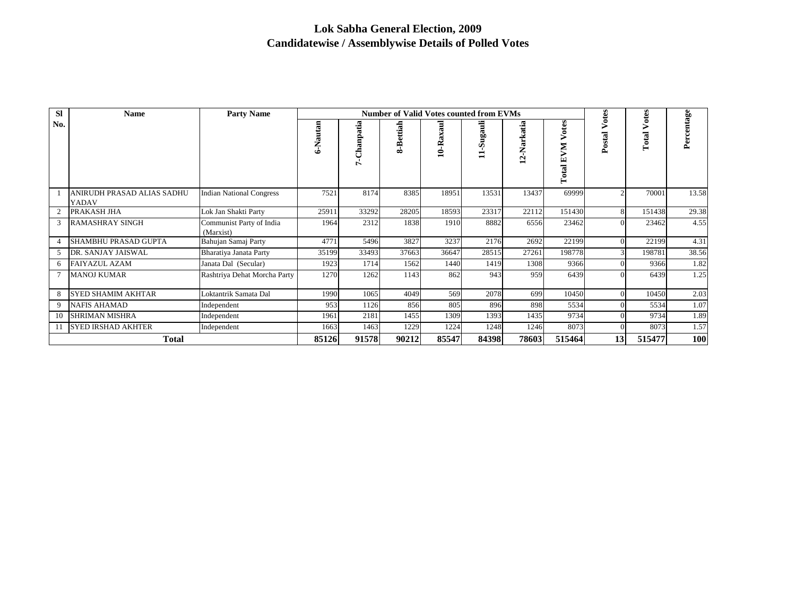| <b>SI</b> | <b>Name</b>                         | <b>Party Name</b>                     |          |                     | <b>Number of Valid Votes counted from EVMs</b> |           |            |             |                         | otes            | otes       |            |
|-----------|-------------------------------------|---------------------------------------|----------|---------------------|------------------------------------------------|-----------|------------|-------------|-------------------------|-----------------|------------|------------|
| No.       |                                     |                                       | 6-Nautan | patia<br>-Chan<br>∽ | 8-Bettiah                                      | 10-Raxaul | gauli<br>ۊ | 12-Narkatia | otes<br>M<br>E<br>Total | Postal          | ⋗<br>Total | Percentage |
|           | ANIRUDH PRASAD ALIAS SADHU<br>YADAV | <b>Indian National Congress</b>       | 7521     | 8174                | 8385                                           | 18951     | 13531      | 13437       | 69999                   |                 | 70001      | 13.58      |
|           | PRAKASH JHA                         | Lok Jan Shakti Party                  | 25911    | 33292               | 28205                                          | 18593     | 23317      | 22112       | 151430                  | 8               | 151438     | 29.38      |
|           | <b>RAMASHRAY SINGH</b>              | Communist Party of India<br>(Marxist) | 1964     | 2312                | 1838                                           | 1910      | 8882       | 6556        | 23462                   | $\Omega$        | 23462      | 4.55       |
|           | <b>SHAMBHU PRASAD GUPTA</b>         | Bahujan Samaj Party                   | 4771     | 5496                | 3827                                           | 3237      | 2176       | 2692        | 22199                   | $\Omega$        | 22199      | 4.31       |
|           | DR. SANJAY JAISWAL                  | Bharatiya Janata Party                | 35199    | 33493               | 37663                                          | 36647     | 28515      | 27261       | 198778                  |                 | 198781     | 38.56      |
| 6         | <b>FAIYAZUL AZAM</b>                | Janata Dal (Secular)                  | 1923     | 1714                | 1562                                           | 1440      | 1419       | 1308        | 9366                    |                 | 9366       | 1.82       |
|           | <b>MANOJ KUMAR</b>                  | Rashtriya Dehat Morcha Party          | 1270     | 1262                | 1143                                           | 862       | 943        | 959         | 6439                    | $\Omega$        | 6439       | 1.25       |
| 8         | <b>SYED SHAMIM AKHTAR</b>           | Loktantrik Samata Dal                 | 1990     | 1065                | 4049                                           | 569       | 2078       | 699         | 10450                   | $\Omega$        | 10450      | 2.03       |
| 9         | <b>NAFIS AHAMAD</b>                 | Independent                           | 953      | 1126                | 856                                            | 805       | 896        | 898         | 5534                    | $\Omega$        | 5534       | 1.07       |
| 10        | <b>SHRIMAN MISHRA</b>               | Independent                           | 1961     | 2181                | 1455                                           | 1309      | 1393       | 1435        | 9734                    |                 | 9734       | 1.89       |
| 11        | <b>SYED IRSHAD AKHTER</b>           | Independent                           | 1663     | 1463                | 1229                                           | 1224      | 1248       | 1246        | 8073                    | $\Omega$        | 8073       | 1.57       |
|           | <b>Total</b>                        |                                       | 85126    | 91578               | 90212                                          | 85547     | 84398      | 78603       | 515464                  | 13 <sup>1</sup> | 515477     | 100        |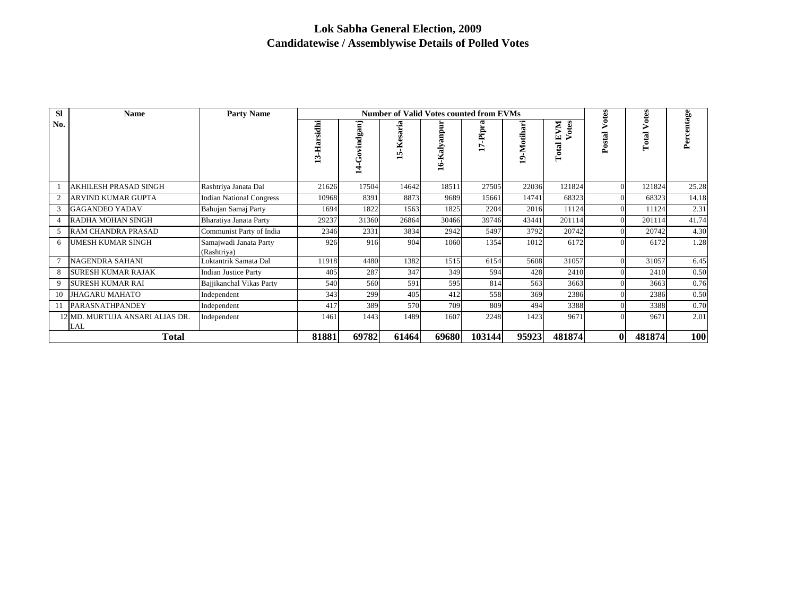| <b>SI</b> | <b>Name</b>                                   | <b>Party Name</b>                     |             |                    | <b>Number of Valid Votes counted from EVMs</b> |              |            |                |                          | Votes  |                |            |
|-----------|-----------------------------------------------|---------------------------------------|-------------|--------------------|------------------------------------------------|--------------|------------|----------------|--------------------------|--------|----------------|------------|
| No.       |                                               |                                       | 13-Harsidhi | vindganj<br>c<br>⋣ | 5-Kesaria                                      | 16-Kalyanpuı | Pipra<br>5 | -Motihari<br>ఇ | otes<br>NЛ<br>闰<br>Total | Postal | Votes<br>Total | ercentage  |
|           | AKHILESH PRASAD SINGH                         | Rashtriya Janata Dal                  | 21626       | 17504              | 14642                                          | 18511        | 27505      | 22036          | 121824                   |        | 121824         | 25.28      |
| 2         | ARVIND KUMAR GUPTA                            | <b>Indian National Congress</b>       | 10968       | 8391               | 8873                                           | 9689         | 15661      | 14741          | 68323                    |        | 68323          | 14.18      |
| 3         | <b>GAGANDEO YADAV</b>                         | Bahujan Samaj Party                   | 1694        | 1822               | 1563                                           | 1825         | 2204       | 2016           | 11124                    |        | 11124          | 2.31       |
|           | RADHA MOHAN SINGH                             | Bharatiya Janata Party                | 29237       | 31360              | 26864                                          | 30466        | 39746      | 43441          | 201114                   |        | 201114         | 41.74      |
|           | <b>RAM CHANDRA PRASAD</b>                     | Communist Party of India              | 2346        | 2331               | 3834                                           | 2942         | 5497       | 3792           | 20742                    |        | 20742          | 4.30       |
| 6         | UMESH KUMAR SINGH                             | Samajwadi Janata Party<br>(Rashtriya) | 926         | 916                | 904                                            | 1060         | 1354       | 1012           | 6172                     |        | 6172           | 1.28       |
|           | NAGENDRA SAHANI                               | Loktantrik Samata Dal                 | 11918       | 4480               | 1382                                           | 1515         | 6154       | 5608           | 31057                    |        | 31057          | 6.45       |
| 8         | <b>SURESH KUMAR RAJAK</b>                     | <b>Indian Justice Party</b>           | 405         | 287                | 347                                            | 349          | 594        | 428            | 2410                     |        | 2410           | 0.50       |
| 9         | <b>SURESH KUMAR RAI</b>                       | Bajjikanchal Vikas Party              | 540         | 560                | 591                                            | 595          | 814        | 563            | 3663                     |        | 3663           | 0.76       |
| 10        | <b>JHAGARU MAHATO</b>                         | Independent                           | 343         | 299                | 405                                            | 412          | 558        | 369            | 2386                     |        | 2386           | 0.50       |
| 11        | <b>PARASNATHPANDEY</b>                        | Independent                           | 417         | 389                | 570                                            | 709          | 809        | 494            | 3388                     |        | 3388           | 0.70       |
|           | 12 MD. MURTUJA ANSARI ALIAS DR.<br><b>LAL</b> | Independent                           | 1461        | 1443               | 1489                                           | 1607         | 2248       | 1423           | 9671                     |        | 9671           | 2.01       |
|           | <b>Total</b>                                  |                                       | 81881       | 69782              | 61464                                          | 69680        | 103144     | 95923          | 481874                   |        | 481874         | <b>100</b> |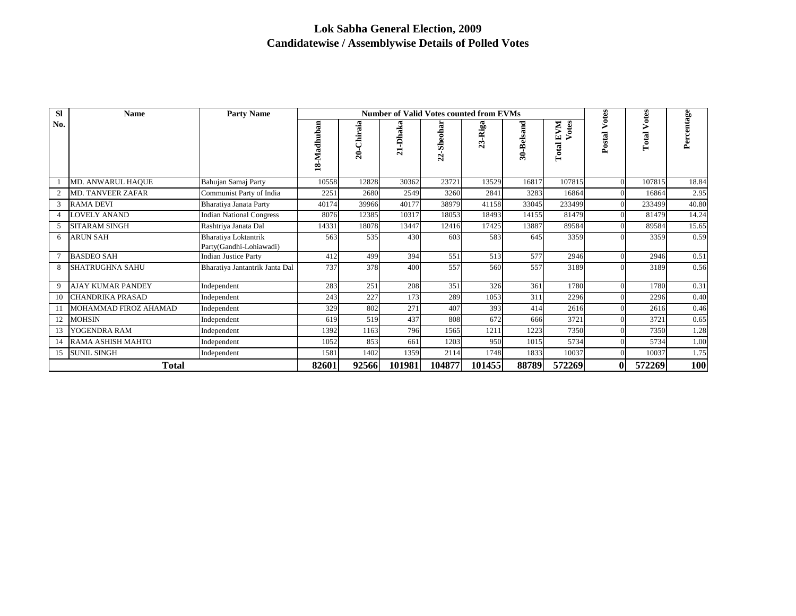| <b>SI</b> | <b>Name</b>              | <b>Party Name</b>                               |             |                                 | <b>Number of Valid Votes counted from EVMs</b> |            |         |            |                       | otes        | otes              |           |
|-----------|--------------------------|-------------------------------------------------|-------------|---------------------------------|------------------------------------------------|------------|---------|------------|-----------------------|-------------|-------------------|-----------|
| No.       |                          |                                                 | 18-Madhuban | Chiraia<br>$\tilde{\mathbf{z}}$ | -Dhaka<br>$\overline{a}$                       | 22-Sheohar | 23-Riga | 30-Belsand | Votes<br>EVM<br>Total | ⋗<br>Postal | ⋗<br><b>Total</b> | ercentage |
|           | <b>MD. ANWARUL HAQUE</b> | Bahujan Samaj Party                             | 10558       | 12828                           | 30362                                          | 23721      | 13529   | 16817      | 107815                | $\Omega$    | 107815            | 18.84     |
|           | <b>MD. TANVEER ZAFAR</b> | Communist Party of India                        | 2251        | 2680                            | 2549                                           | 3260       | 2841    | 3283       | 16864                 | $\Omega$    | 16864             | 2.95      |
| 3         | <b>RAMA DEVI</b>         | Bharatiya Janata Party                          | 40174       | 39966                           | 40177                                          | 38979      | 41158   | 33045      | 233499                | $\Omega$    | 233499            | 40.80     |
|           | <b>LOVELY ANAND</b>      | <b>Indian National Congress</b>                 | 8076        | 12385                           | 10317                                          | 18053      | 18493   | 14155      | 81479                 | $\Omega$    | 81479             | 14.24     |
| 5         | <b>SITARAM SINGH</b>     | Rashtriya Janata Dal                            | 14331       | 18078                           | 13447                                          | 12416      | 17425   | 13887      | 89584                 | 0           | 89584             | 15.65     |
| 6         | <b>ARUN SAH</b>          | Bharatiya Loktantrik<br>Party(Gandhi-Lohiawadi) | 563         | 535                             | 430                                            | 603        | 583     | 645        | 3359                  |             | 3359              | 0.59      |
|           | <b>BASDEO SAH</b>        | <b>Indian Justice Party</b>                     | 412         | 499                             | 394                                            | 551        | 513     | 577        | 2946                  | $\Omega$    | 2946              | 0.51      |
| 8         | <b>SHATRUGHNA SAHU</b>   | Bharatiya Jantantrik Janta Dal                  | 737         | 378                             | 400                                            | 557        | 560     | 557        | 3189                  |             | 3189              | 0.56      |
| 9         | <b>AJAY KUMAR PANDEY</b> | Independent                                     | 283         | 251                             | 208                                            | 351        | 326     | 361        | 1780                  | 0           | 1780              | 0.31      |
| 10        | <b>CHANDRIKA PRASAD</b>  | Independent                                     | 243         | 227                             | 173                                            | 289        | 1053    | 311        | 2296                  | 0           | 2296              | 0.40      |
| 11        | MOHAMMAD FIROZ AHAMAD    | Independent                                     | 329         | 802                             | 271                                            | 407        | 393     | 414        | 2616                  | 0           | 2616              | 0.46      |
| 12        | <b>MOHSIN</b>            | Independent                                     | 619         | 519                             | 437                                            | 808        | 672     | 666        | 3721                  |             | 3721              | 0.65      |
| 13        | YOGENDRA RAM             | Independent                                     | 1392        | 1163                            | 796                                            | 1565       | 1211    | 1223       | 7350                  | $\Omega$    | 7350              | 1.28      |
|           | RAMA ASHISH MAHTO        | Independent                                     | 1052        | 853                             | 661                                            | 1203       | 950     | 1015       | 5734                  |             | 5734              | 1.00      |
| 15        | <b>SUNIL SINGH</b>       | Independent                                     | 1581        | 1402                            | 1359                                           | 2114       | 1748    | 1833       | 10037                 |             | 10037             | 1.75      |
|           | <b>Total</b>             |                                                 | 82601       | 92566                           | 101981                                         | 104877     | 101455  | 88789      | 572269                | 0           | 572269            | 100       |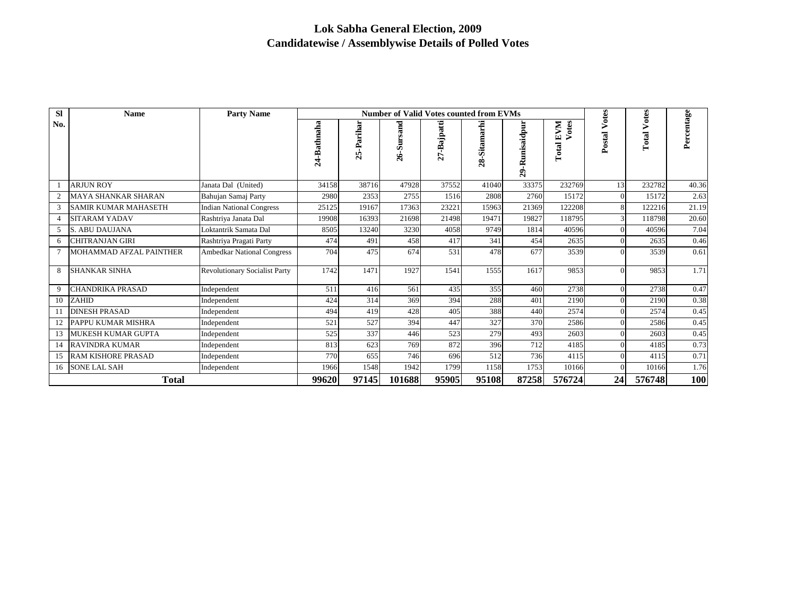| <b>SI</b> | <b>Name</b>                 | <b>Party Name</b>                    |             |            |            | <b>Number of Valid Votes counted from EVMs</b> |              |                |                                  | Votes    |                    |            |
|-----------|-----------------------------|--------------------------------------|-------------|------------|------------|------------------------------------------------|--------------|----------------|----------------------------------|----------|--------------------|------------|
| No.       |                             |                                      | 24-Bathnaha | 25-Parihar | 26-Sursand | -Bajpatti<br>52                                | 28-Sitamarhi | 29-Runisaidpur | otes<br><b>EVM</b><br>↘<br>Total | Postal   | <b>Total Votes</b> | Percentage |
|           | <b>ARJUN ROY</b>            | Janata Dal (United)                  | 34158       | 38716      | 47928      | 37552                                          | 41040        | 33375          | 232769                           | 13       | 232782             | 40.36      |
| 2         | <b>MAYA SHANKAR SHARAN</b>  | Bahujan Samaj Party                  | 2980        | 2353       | 2755       | 1516                                           | 2808         | 2760           | 15172                            |          | 15172              | 2.63       |
| 3         | <b>SAMIR KUMAR MAHASETH</b> | <b>Indian National Congress</b>      | 25125       | 19167      | 17363      | 23221                                          | 15963        | 21369          | 122208                           | 8        | 122216             | 21.19      |
| 4         | <b>SITARAM YADAV</b>        | Rashtriya Janata Dal                 | 19908       | 16393      | 21698      | 21498                                          | 19471        | 19827          | 118795                           |          | 118798             | 20.60      |
| 5         | <b>S. ABU DAUJANA</b>       | Loktantrik Samata Dal                | 8505        | 13240      | 3230       | 4058                                           | 9749         | 1814           | 40596                            |          | 40596              | 7.04       |
| 6         | <b>CHITRANJAN GIRI</b>      | Rashtriya Pragati Party              | 474         | 491        | 458        | 417                                            | 341          | 454            | 2635                             |          | 2635               | 0.46       |
|           | MOHAMMAD AFZAL PAINTHER     | <b>Ambedkar National Congress</b>    | 704         | 475        | 674        | 531                                            | 478          | 677            | 3539                             |          | 3539               | 0.61       |
| 8         | <b>SHANKAR SINHA</b>        | <b>Revolutionary Socialist Party</b> | 1742        | 1471       | 1927       | 1541                                           | 1555         | 1617           | 9853                             | $\Omega$ | 9853               | 1.71       |
| 9         | <b>CHANDRIKA PRASAD</b>     | Independent                          | 511         | 416        | 561        | 435                                            | 355          | 460            | 2738                             | $\Omega$ | 2738               | 0.47       |
| 10        | ZAHID                       | Independent                          | 424         | 314        | 369        | 394                                            | 288          | 401            | 2190                             |          | 2190               | 0.38       |
|           | <b>DINESH PRASAD</b>        | Independent                          | 494         | 419        | 428        | 405                                            | 388          | 440            | 2574                             |          | 2574               | 0.45       |
|           | 12 PAPPU KUMAR MISHRA       | Independent                          | 521         | 527        | 394        | 447                                            | 327          | 370            | 2586                             |          | 2586               | 0.45       |
| 13        | <b>MUKESH KUMAR GUPTA</b>   | Independent                          | 525         | 337        | 446        | 523                                            | 279          | 493            | 2603                             |          | 2603               | 0.45       |
|           | 14 RAVINDRA KUMAR           | Independent                          | 813         | 623        | 769        | 872                                            | 396          | 712            | 4185                             |          | 4185               | 0.73       |
| 15        | <b>RAM KISHORE PRASAD</b>   | Independent                          | 770         | 655        | 746        | 696                                            | 512          | 736            | 4115                             |          | 4115               | 0.71       |
|           | 16 SONE LAL SAH             | Independent                          | 1966        | 1548       | 1942       | 1799                                           | 1158         | 1753           | 10166                            |          | 10166              | 1.76       |
|           | Total                       |                                      | 99620       | 97145      | 101688     | 95905                                          | 95108        | 87258          | 576724                           | 24       | 576748             | <b>100</b> |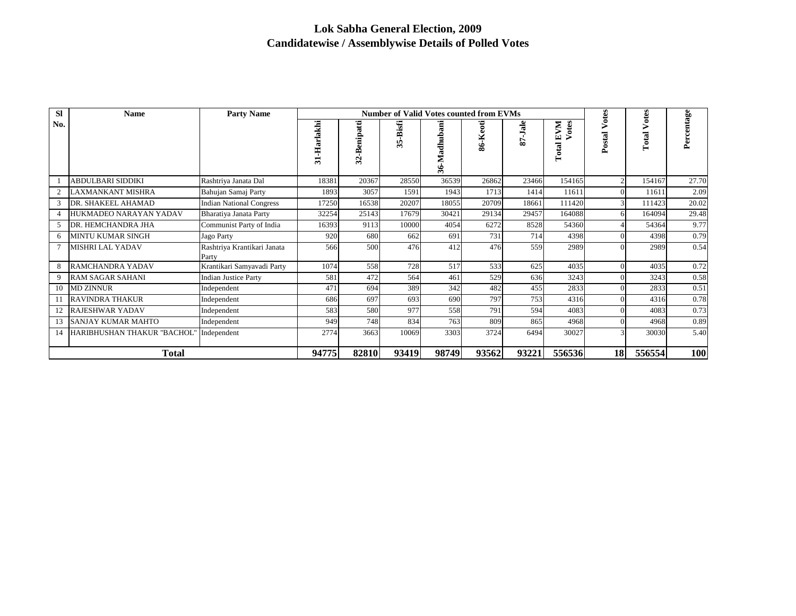| <b>SI</b> | <b>Name</b>                 | <b>Party Name</b>                    |                                 |                   |          | <b>Number of Valid Votes counted from EVMs</b> |          |         |                       | $_{\text{otes}}$ | otes              |            |
|-----------|-----------------------------|--------------------------------------|---------------------------------|-------------------|----------|------------------------------------------------|----------|---------|-----------------------|------------------|-------------------|------------|
| No.       |                             |                                      | <b>Harlakhi</b><br>$\mathbf{a}$ | -Benipatti<br>32. | 35-Bisfi | 36-Madhubani                                   | 86-Keoti | 87-Jale | Votes<br>EVM<br>Total | ⋝<br>Postal      | ⋗<br><b>Total</b> | ercentage  |
|           | ABDULBARI SIDDIKI           | Rashtriya Janata Dal                 | 18381                           | 20367             | 28550    | 36539                                          | 26862    | 23466   | 154165                |                  | 154167            | 27.70      |
|           | LAXMANKANT MISHRA           | Bahujan Samaj Party                  | 1893                            | 3057              | 1591     | 1943                                           | 1713     | 1414    | 11611                 |                  | 11611             | 2.09       |
| 3         | DR. SHAKEEL AHAMAD          | <b>Indian National Congress</b>      | 17250                           | 16538             | 20207    | 18055                                          | 20709    | 18661   | 111420                |                  | 111423            | 20.02      |
|           | HUKMADEO NARAYAN YADAV      | Bharatiya Janata Party               | 32254                           | 25143             | 17679    | 30421                                          | 29134    | 29457   | 164088                | 6                | 164094            | 29.48      |
|           | DR. HEMCHANDRA JHA          | Communist Party of India             | 16393                           | 9113              | 10000    | 4054                                           | 6272     | 8528    | 54360                 |                  | 54364             | 9.77       |
| 6         | MINTU KUMAR SINGH           | Jago Party                           | 920                             | 680               | 662      | 691                                            | 731      | 714     | 4398                  | $\Omega$         | 4398              | 0.79       |
|           | MISHRI LAL YADAV            | Rashtriya Krantikari Janata<br>Party | 566                             | 500               | 476      | 412                                            | 476      | 559     | 2989                  |                  | 2989              | 0.54       |
| 8         | <b>RAMCHANDRA YADAV</b>     | Krantikari Samyavadi Party           | 1074                            | 558               | 728      | 517                                            | 533      | 625     | 4035                  | $\Omega$         | 4035              | 0.72       |
| 9         | <b>RAM SAGAR SAHANI</b>     | <b>Indian Justice Party</b>          | 581                             | 472               | 564      | 461                                            | 529      | 636     | 3243                  |                  | 3243              | 0.58       |
| 10        | <b>MD ZINNUR</b>            | Independent                          | 471                             | 694               | 389      | 342                                            | 482      | 455     | 2833                  |                  | 2833              | 0.51       |
|           | <b>RAVINDRA THAKUR</b>      | Independent                          | 686                             | 697               | 693      | 690                                            | 797      | 753     | 4316                  |                  | 4316              | 0.78       |
| 12        | <b>RAJESHWAR YADAV</b>      | Independent                          | 583                             | 580               | 977      | 558                                            | 791      | 594     | 4083                  |                  | 4083              | 0.73       |
| 13        | SANJAY KUMAR MAHTO          | Independent                          | 949                             | 748               | 834      | 763                                            | 809      | 865     | 4968                  |                  | 4968              | 0.89       |
| 14        | HARIBHUSHAN THAKUR "BACHOL" | Independent                          | 2774                            | 3663              | 10069    | 3303                                           | 3724     | 6494    | 30027                 |                  | 30030             | 5.40       |
|           | <b>Total</b>                |                                      | 94775                           | 82810             | 93419    | 98749                                          | 93562    | 93221   | 556536                | 18               | 556554            | <b>100</b> |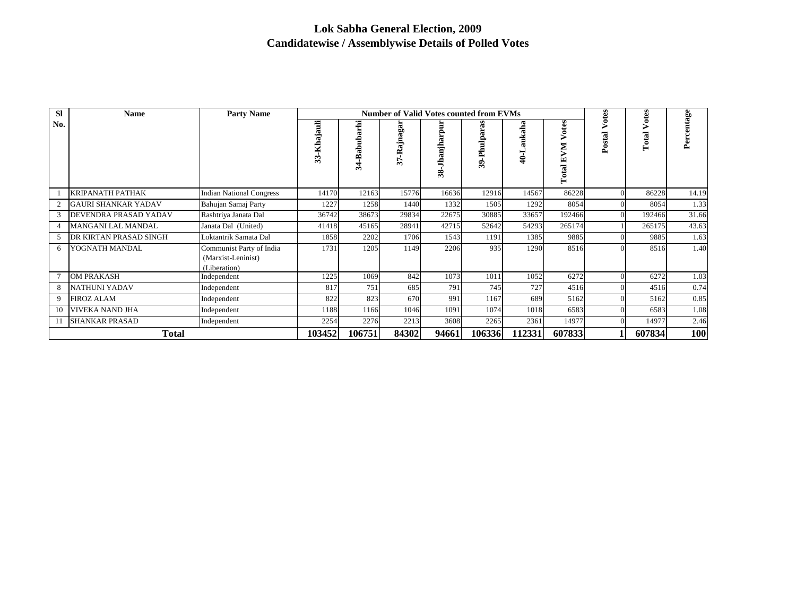| <b>SI</b> | <b>Name</b>                   | <b>Party Name</b>                                              |             |                        | <b>Number of Valid Votes counted from EVMs</b> |                |                   |                |                         | $_{\text{otes}}$ | otes       |           |
|-----------|-------------------------------|----------------------------------------------------------------|-------------|------------------------|------------------------------------------------|----------------|-------------------|----------------|-------------------------|------------------|------------|-----------|
| No.       |                               |                                                                | 33-Khajauli | Ë<br>abuba<br>œ<br>र्भ | -Rajnaga<br>57                                 | 38-Jhanjharpur | -Phulpara<br>ప్లే | aukaha<br>40-L | otes<br>M<br>闰<br>Total | ⋗<br>Postal      | ⋗<br>Total | ercentage |
|           | <b>KRIPANATH PATHAK</b>       | <b>Indian National Congress</b>                                | 14170       | 12163                  | 15776                                          | 16636          | 12916             | 14567          | 86228                   |                  | 86228      | 14.19     |
|           | <b>GAURI SHANKAR YADAV</b>    | Bahujan Samaj Party                                            | 1227        | 1258                   | 1440                                           | 1332           | 1505              | 1292           | 8054                    | $\Omega$         | 8054       | 1.33      |
| 3         | DEVENDRA PRASAD YADAV         | Rashtriya Janata Dal                                           | 36742       | 38673                  | 29834                                          | 22675          | 30885             | 33657          | 192466                  | $\Omega$         | 192466     | 31.66     |
|           | <b>MANGANI LAL MANDAL</b>     | Janata Dal (United)                                            | 41418       | 45165                  | 28941                                          | 42715          | 52642             | 54293          | 265174                  |                  | 265175     | 43.63     |
| 5         | <b>DR KIRTAN PRASAD SINGH</b> | Loktantrik Samata Dal                                          | 1858        | 2202                   | 1706                                           | 1543           | 1191              | 1385           | 9885                    | 0                | 9885       | 1.63      |
| 6         | YOGNATH MANDAL                | Communist Party of India<br>(Marxist-Leninist)<br>(Liberation) | 1731        | 1205                   | 1149                                           | 2206           | 935               | 1290           | 8516                    |                  | 8516       | 1.40      |
|           | <b>OM PRAKASH</b>             | Independent                                                    | 1225        | 1069                   | 842                                            | 1073           | 1011              | 1052           | 6272                    | 0                | 6272       | 1.03      |
| 8         | <b>NATHUNI YADAV</b>          | Independent                                                    | 817         | 751                    | 685                                            | 791            | 745               | 727            | 4516                    | 0                | 4516       | 0.74      |
| 9         | <b>FIROZ ALAM</b>             | Independent                                                    | 822         | 823                    | 670                                            | 991            | 1167              | 689            | 5162                    |                  | 5162       | 0.85      |
| 10        | VIVEKA NAND JHA               | Independent                                                    | 1188        | 1166                   | 1046                                           | 1091           | 1074              | 1018           | 6583                    |                  | 6583       | 1.08      |
|           | <b>SHANKAR PRASAD</b>         | Independent                                                    | 2254        | 2276                   | 2213                                           | 3608           | 2265              | 2361           | 14977                   | 0                | 14977      | 2.46      |
|           | <b>Total</b>                  |                                                                | 103452      | 106751                 | 84302                                          | 94661          | 106336            | 112331         | 607833                  |                  | 607834     | 100       |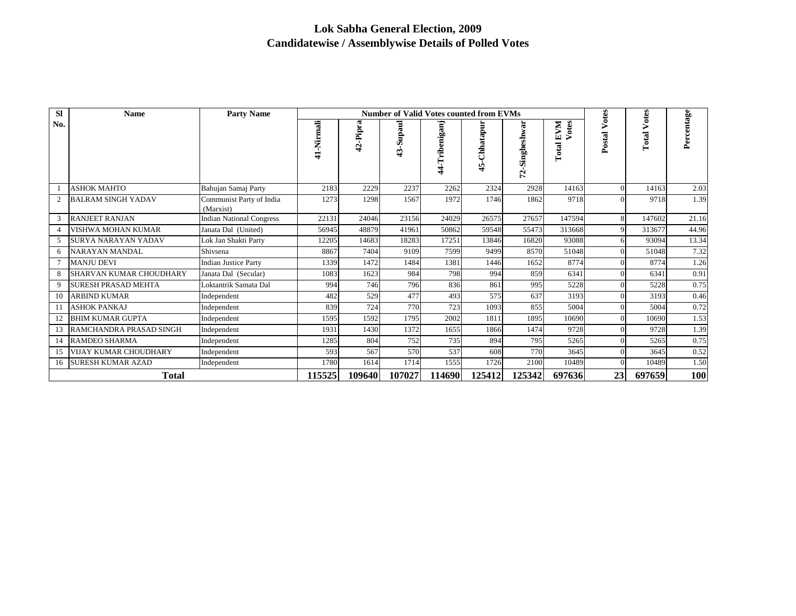| <b>SI</b> | <b>Name</b>                  | <b>Party Name</b>                     |            |             | <b>Number of Valid Votes counted from EVMs</b> |                |                  |                |                       | Votes  | otes   |            |
|-----------|------------------------------|---------------------------------------|------------|-------------|------------------------------------------------|----------------|------------------|----------------|-----------------------|--------|--------|------------|
| No.       |                              |                                       | 41-Nirmali | -Pipra<br>ą | <b>Supaul</b><br>$\frac{3}{4}$                 | 44-Tribeniganj | 5-Chhatapur<br>J | 72-Singheshwar | Votes<br>EVM<br>Total | Postal | TotalV | Percentage |
|           | <b>ASHOK MAHTO</b>           | Bahujan Samaj Party                   | 2183       | 2229        | 2237                                           | 2262           | 2324             | 2928           | 14163                 | 0      | 14163  | 2.03       |
|           | <b>BALRAM SINGH YADAV</b>    | Communist Party of India<br>(Marxist) | 1273       | 1298        | 1567                                           | 1972           | 1746             | 1862           | 9718                  |        | 9718   | 1.39       |
| 3         | <b>RANJEET RANJAN</b>        | <b>Indian National Congress</b>       | 22131      | 24046       | 23156                                          | 24029          | 26575            | 27657          | 147594                | 8      | 147602 | 21.16      |
|           | VISHWA MOHAN KUMAR           | Janata Dal (United)                   | 56945      | 48879       | 41961                                          | 50862          | 59548            | 55473          | 313668                | 9      | 313677 | 44.96      |
|           | <b>SURYA NARAYAN YADAV</b>   | Lok Jan Shakti Party                  | 12205      | 14683       | 18283                                          | 17251          | 13846            | 16820          | 93088                 | 6      | 93094  | 13.34      |
| 6         | <b>NARAYAN MANDAL</b>        | Shivsena                              | 8867       | 7404        | 9109                                           | 7599           | 9499             | 8570           | 51048                 |        | 51048  | 7.32       |
|           | <b>MANJU DEVI</b>            | <b>Indian Justice Party</b>           | 1339       | 1472        | 1484                                           | 1381           | 1446             | 1652           | 8774                  |        | 8774   | 1.26       |
| 8         | SHARVAN KUMAR CHOUDHARY      | Janata Dal (Secular)                  | 1083       | 1623        | 984                                            | 798            | 994              | 859            | 6341                  |        | 6341   | 0.91       |
| 9         | <b>SURESH PRASAD MEHTA</b>   | Loktantrik Samata Dal                 | 994        | 746         | 796                                            | 836            | 861              | 995            | 5228                  |        | 5228   | 0.75       |
| 10        | <b>ARBIND KUMAR</b>          | Independent                           | 482        | 529         | 477                                            | 493            | 575              | 637            | 3193                  |        | 3193   | 0.46       |
| 11        | <b>ASHOK PANKAJ</b>          | Independent                           | 839        | 724         | 770                                            | 723            | 1093             | 855            | 5004                  |        | 5004   | 0.72       |
| 12        | <b>BHIM KUMAR GUPTA</b>      | Independent                           | 1595       | 1592        | 1795                                           | 2002           | 1811             | 1895           | 10690                 |        | 10690  | 1.53       |
| 13        | RAMCHANDRA PRASAD SINGH      | Independent                           | 1931       | 1430        | 1372                                           | 1655           | 1866             | 1474           | 9728                  |        | 9728   | 1.39       |
| 14        | RAMDEO SHARMA                | Independent                           | 1285       | 804         | 752                                            | 735            | 894              | 795            | 5265                  |        | 5265   | 0.75       |
| 15        | <b>VIJAY KUMAR CHOUDHARY</b> | Independent                           | 593        | 567         | 570                                            | 537            | 608              | 770            | 3645                  |        | 3645   | 0.52       |
|           | 16 SURESH KUMAR AZAD         | Independent                           | 1780       | 1614        | 1714                                           | 1555           | 1726             | 2100           | 10489                 |        | 10489  | 1.50       |
|           | <b>Total</b>                 |                                       | 115525     | 109640      | 107027                                         | 114690         | 125412           | 125342         | 697636                | 23     | 697659 | <b>100</b> |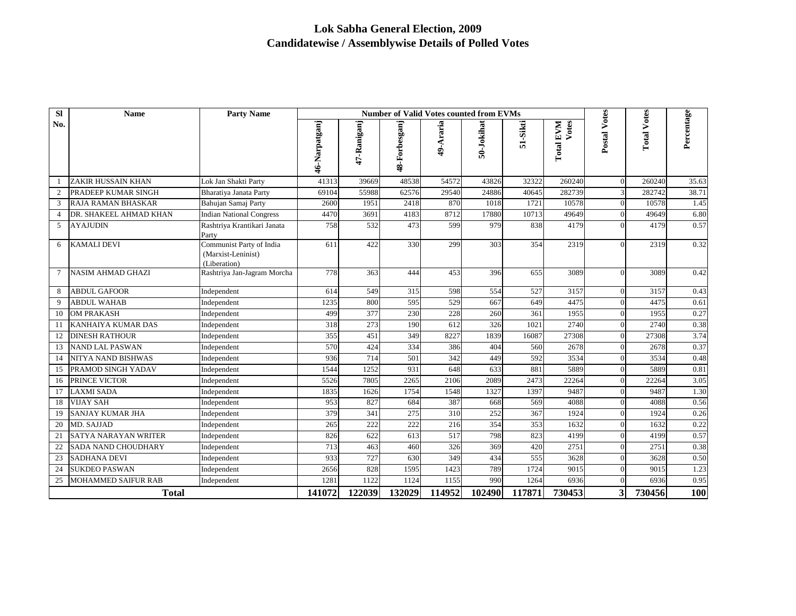| <b>SI</b>      | <b>Name</b>                 | <b>Party Name</b>                                              |               |             |               |           | <b>Number of Valid Votes counted from EVMs</b> |          |                    |              |                    |            |
|----------------|-----------------------------|----------------------------------------------------------------|---------------|-------------|---------------|-----------|------------------------------------------------|----------|--------------------|--------------|--------------------|------------|
| No.            |                             |                                                                | 46-Narpatganj | 47-Raniganj | 48-Forbesganj | 49-Araria | 50-Jokihat                                     | 51-Sikti | Votes<br>Total EVM | Postal Votes | <b>Total Votes</b> | Percentage |
|                | ZAKIR HUSSAIN KHAN          | Lok Jan Shakti Party                                           | 41313         | 39669       | 48538         | 54572     | 43826                                          | 32322    | 260240             | $\Omega$     | 260240             | 35.63      |
| 2              | PRADEEP KUMAR SINGH         | Bharatiya Janata Party                                         | 69104         | 55988       | 62576         | 29540     | 24886                                          | 40645    | 282739             | 3            | 282742             | 38.71      |
| 3              | RAJA RAMAN BHASKAR          | Bahujan Samaj Party                                            | 2600          | 1951        | 2418          | 870       | 1018                                           | 1721     | 10578              |              | 10578              | 1.45       |
| $\overline{4}$ | DR. SHAKEEL AHMAD KHAN      | <b>Indian National Congress</b>                                | 4470          | 3691        | 4183          | 8712      | 17880                                          | 10713    | 49649              | $^{\prime}$  | 49649              | 6.80       |
| 5              | <b>AYAJUDIN</b>             | Rashtriya Krantikari Janata<br>Party                           | 758           | 532         | 473           | 599       | 979                                            | 838      | 4179               |              | 4179               | 0.57       |
| 6              | <b>KAMALI DEVI</b>          | Communist Party of India<br>(Marxist-Leninist)<br>(Liberation) | 611           | 422         | 330           | 299       | 303                                            | 354      | 2319               |              | 2319               | 0.32       |
| $\tau$         | <b>NASIM AHMAD GHAZI</b>    | Rashtriya Jan-Jagram Morcha                                    | 778           | 363         | 444           | 453       | 396                                            | 655      | 3089               | $\Omega$     | 3089               | 0.42       |
| 8              | <b>ABDUL GAFOOR</b>         | Independent                                                    | 614           | 549         | 315           | 598       | 554                                            | 527      | 3157               |              | 3157               | 0.43       |
| 9              | <b>ABDUL WAHAB</b>          | Independent                                                    | 1235          | 800         | 595           | 529       | 667                                            | 649      | 4475               |              | 4475               | 0.61       |
| 10             | <b>OM PRAKASH</b>           | Independent                                                    | 499           | 377         | 230           | 228       | 260                                            | 361      | 1955               |              | 1955               | 0.27       |
| 11             | KANHAIYA KUMAR DAS          | Independent                                                    | 318           | 273         | 190           | 612       | 326                                            | 1021     | 2740               |              | 2740               | 0.38       |
| 12             | <b>DINESH RATHOUR</b>       | Independent                                                    | 355           | 451         | 349           | 8227      | 1839                                           | 16087    | 27308              |              | 27308              | 3.74       |
| 13             | <b>NAND LAL PASWAN</b>      | Independent                                                    | 570           | 424         | 334           | 386       | 404                                            | 560      | 2678               |              | 2678               | 0.37       |
| 14             | <b>NITYA NAND BISHWAS</b>   | Independent                                                    | 936           | 714         | 501           | 342       | 449                                            | 592      | 3534               |              | 3534               | 0.48       |
| 15             | PRAMOD SINGH YADAV          | Independent                                                    | 1544          | 1252        | 931           | 648       | 633                                            | 881      | 5889               |              | 5889               | 0.81       |
| 16             | PRINCE VICTOR               | Independent                                                    | 5526          | 7805        | 2265          | 2106      | 2089                                           | 2473     | 22264              |              | 22264              | 3.05       |
| 17             | <b>LAXMI SADA</b>           | Independent                                                    | 1835          | 1626        | 1754          | 1548      | 1327                                           | 1397     | 9487               |              | 9487               | 1.30       |
| 18             | <b>VIJAY SAH</b>            | Independent                                                    | 953           | 827         | 684           | 387       | 668                                            | 569      | 4088               |              | 4088               | 0.56       |
| 19             | <b>SANJAY KUMAR JHA</b>     | Independent                                                    | 379           | 341         | 275           | 310       | 252                                            | 367      | 1924               |              | 1924               | 0.26       |
| 20             | MD. SAJJAD                  | Independent                                                    | 265           | 222         | 222           | 216       | 354                                            | 353      | 1632               |              | 1632               | 0.22       |
| 21             | <b>SATYA NARAYAN WRITER</b> | Independent                                                    | 826           | 622         | 613           | 517       | 798                                            | 823      | 4199               |              | 4199               | 0.57       |
| 22             | SADA NAND CHOUDHARY         | Independent                                                    | 713           | 463         | 460           | 326       | 369                                            | 420      | 2751               |              | 2751               | 0.38       |
| 23             | <b>SADHANA DEVI</b>         | Independent                                                    | 933           | 727         | 630           | 349       | 434                                            | 555      | 3628               |              | 3628               | 0.50       |
| 24             | <b>SUKDEO PASWAN</b>        | Independent                                                    | 2656          | 828         | 1595          | 1423      | 789                                            | 1724     | 9015               |              | 9015               | 1.23       |
| 25             | <b>MOHAMMED SAIFUR RAB</b>  | Independent                                                    | 1281          | 1122        | 1124          | 1155      | 990                                            | 1264     | 6936               |              | 6936               | 0.95       |
|                | <b>Total</b>                |                                                                | 141072        | 122039      | 132029        | 114952    | 102490                                         | 117871   | 730453             | 3            | 730456             | 100        |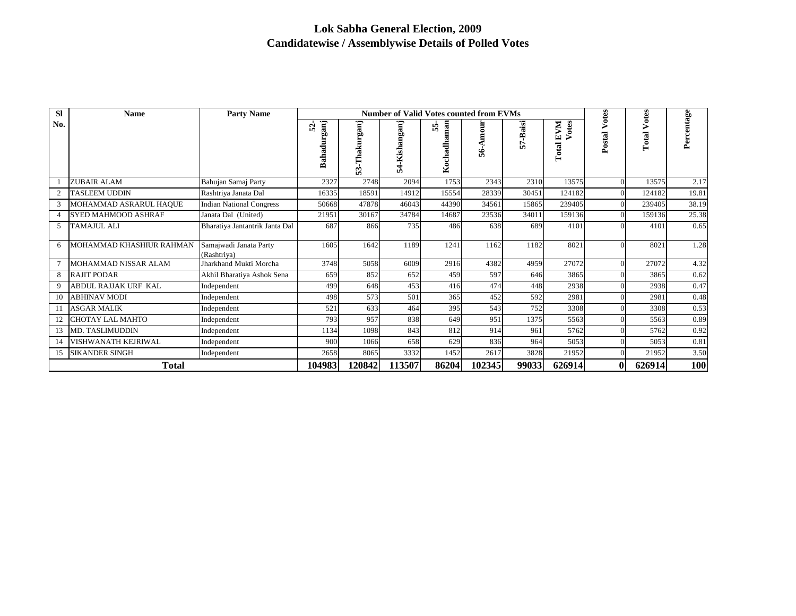| <b>SI</b> | <b>Name</b>                | <b>Party Name</b>                     |                         |                   |               | <b>Number of Valid Votes counted from EVMs</b> |        |          |                              | $_{\rm otes}$  | otes       |            |
|-----------|----------------------------|---------------------------------------|-------------------------|-------------------|---------------|------------------------------------------------|--------|----------|------------------------------|----------------|------------|------------|
| No.       |                            |                                       | <b>Bahadurganj</b><br>2 | rganj<br>53-Thaku | 54-Kishanganj | aman<br>SS.<br>Kochadh                         | \$é    | 57-Baisi | Votes<br><b>EVM</b><br>Total | ⋗<br>Postal    | ⋗<br>Total | Percentage |
|           | ZUBAIR ALAM                | Bahujan Samaj Party                   | 2327                    | 2748              | 2094          | 1753                                           | 2343   | 2310     | 13575                        | $\Omega$       | 13575      | 2.17       |
| 2         | <b>TASLEEM UDDIN</b>       | Rashtriya Janata Dal                  | 16335                   | 18591             | 14912         | 15554                                          | 28339  | 30451    | 124182                       | $\Omega$       | 124182     | 19.81      |
|           | MOHAMMAD ASRARUL HAQUE     | <b>Indian National Congress</b>       | 50668                   | 47878             | 46043         | 44390                                          | 34561  | 15865    | 239405                       | $\Omega$       | 239405     | 38.19      |
| 4         | <b>SYED MAHMOOD ASHRAF</b> | Janata Dal (United)                   | 21951                   | 30167             | 34784         | 14687                                          | 23536  | 34011    | 159136                       | $\overline{0}$ | 159136     | 25.38      |
| 5         | TAMAJUL ALI                | Bharatiya Jantantrik Janta Dal        | 687                     | 866               | 735           | 486                                            | 638    | 689      | 4101                         | $\Omega$       | 4101       | 0.65       |
| 6         | MOHAMMAD KHASHIUR RAHMAN   | Samajwadi Janata Party<br>(Rashtriva) | 1605                    | 1642              | 1189          | 1241                                           | 1162   | 1182     | 8021                         | $\Omega$       | 8021       | 1.28       |
|           | MOHAMMAD NISSAR ALAM       | Jharkhand Mukti Morcha                | 3748                    | 5058              | 6009          | 2916                                           | 4382   | 4959     | 27072                        | $\Omega$       | 27072      | 4.32       |
| 8         | <b>RAJIT PODAR</b>         | Akhil Bharatiya Ashok Sena            | 659                     | 852               | 652           | 459                                            | 597    | 646      | 3865                         | $\Omega$       | 3865       | 0.62       |
| 9         | ABDUL RAJJAK URF KAL       | Independent                           | 499                     | 648               | 453           | 416                                            | 474    | 448      | 2938                         | $\Omega$       | 2938       | 0.47       |
| 10        | <b>ABHINAV MODI</b>        | Independent                           | 498                     | 573               | 501           | 365                                            | 452    | 592      | 2981                         | $\Omega$       | 2981       | 0.48       |
| 11        | <b>ASGAR MALIK</b>         | Independent                           | 521                     | 633               | 464           | 395                                            | 543    | 752      | 3308                         | $\Omega$       | 3308       | 0.53       |
| 12        | <b>CHOTAY LAL MAHTO</b>    | Independent                           | 793                     | 957               | 838           | 649                                            | 951    | 1375     | 5563                         | $\Omega$       | 5563       | 0.89       |
| 13        | <b>MD. TASLIMUDDIN</b>     | Independent                           | 1134                    | 1098              | 843           | 812                                            | 914    | 961      | 5762                         | $\Omega$       | 5762       | 0.92       |
| 14        | VISHWANATH KEJRIWAL        | Independent                           | 900                     | 1066              | 658           | 629                                            | 836    | 964      | 5053                         | $\Omega$       | 5053       | 0.81       |
| 15        | <b>SIKANDER SINGH</b>      | Independent                           | 2658                    | 8065              | 3332          | 1452                                           | 2617   | 3828     | 21952                        | $\Omega$       | 21952      | 3.50       |
|           | <b>Total</b>               |                                       |                         |                   | 113507        | 86204                                          | 102345 | 99033    | 626914                       | $\mathbf{0}$   | 626914     | <b>100</b> |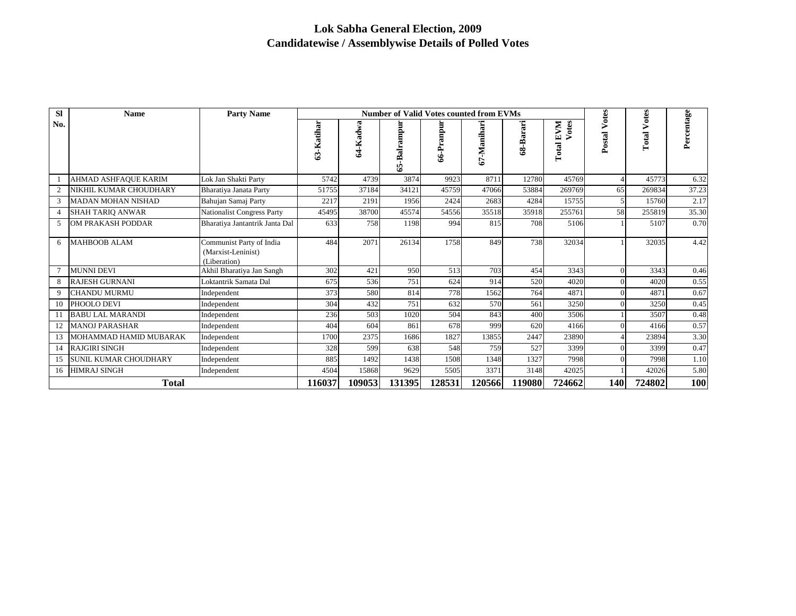| <b>SI</b>      | <b>Name</b>                  | <b>Party Name</b>                                              |            |          | <b>Number of Valid Votes counted from EVMs</b> |            |             |           |                       |                 | otes   |            |
|----------------|------------------------------|----------------------------------------------------------------|------------|----------|------------------------------------------------|------------|-------------|-----------|-----------------------|-----------------|--------|------------|
| No.            |                              |                                                                | 63-Katihar | 64-Kadwa | 65-Balrampu                                    | 66-Pranpur | 67-Manihari | 68-Barari | Votes<br>EVM<br>Total | Votes<br>Postal | TotalV | Percentage |
|                | AHMAD ASHFAQUE KARIM         | Lok Jan Shakti Party                                           | 5742       | 4739     | 3874                                           | 9923       | 8711        | 12780     | 45769                 |                 | 45773  | 6.32       |
| 2              | NIKHIL KUMAR CHOUDHARY       | Bharatiya Janata Party                                         | 51755      | 37184    | 34121                                          | 45759      | 47066       | 53884     | 269769                | 65              | 269834 | 37.23      |
| 3              | <b>MADAN MOHAN NISHAD</b>    | Bahujan Samaj Party                                            | 2217       | 2191     | 1956                                           | 2424       | 2683        | 4284      | 15755                 |                 | 15760  | 2.17       |
| $\overline{4}$ | <b>SHAH TARIO ANWAR</b>      | Nationalist Congress Party                                     | 45495      | 38700    | 45574                                          | 54556      | 35518       | 35918     | 255761                | 58              | 255819 | 35.30      |
| 5              | OM PRAKASH PODDAR            | Bharatiya Jantantrik Janta Dal                                 | 633        | 758      | 1198                                           | 994        | 815         | 708       | 5106                  |                 | 5107   | 0.70       |
| 6              | <b>MAHBOOB ALAM</b>          | Communist Party of India<br>(Marxist-Leninist)<br>(Liberation) | 484        | 2071     | 26134                                          | 1758       | 849         | 738       | 32034                 |                 | 32035  | 4.42       |
|                | <b>MUNNI DEVI</b>            | Akhil Bharatiya Jan Sangh                                      | 302        | 421      | 950                                            | 513        | 703         | 454       | 3343                  |                 | 3343   | 0.46       |
| 8              | <b>RAJESH GURNANI</b>        | Loktantrik Samata Dal                                          | 675        | 536      | 751                                            | 624        | 914         | 520       | 4020                  |                 | 4020   | 0.55       |
| 9              | <b>CHANDU MURMU</b>          | Independent                                                    | 373        | 580      | 814                                            | 778        | 1562        | 764       | 4871                  |                 | 4871   | 0.67       |
| 10             | PHOOLO DEVI                  | Independent                                                    | 304        | 432      | 751                                            | 632        | 570         | 561       | 3250                  |                 | 3250   | 0.45       |
|                | <b>BABULAL MARANDI</b>       | Independent                                                    | 236        | 503      | 1020                                           | 504        | 843         | 400       | 3506                  |                 | 3507   | 0.48       |
| 12             | <b>MANOJ PARASHAR</b>        | Independent                                                    | 404        | 604      | 861                                            | 678        | 999         | 620       | 4166                  |                 | 4166   | 0.57       |
| 13             | MOHAMMAD HAMID MUBARAK       | Independent                                                    | 1700       | 2375     | 1686                                           | 1827       | 13855       | 2447      | 23890                 |                 | 23894  | 3.30       |
| 14             | <b>RAJGIRI SINGH</b>         | Independent                                                    | 328        | 599      | 638                                            | 548        | 759         | 527       | 3399                  |                 | 3399   | 0.47       |
| 15             | <b>SUNIL KUMAR CHOUDHARY</b> | Independent                                                    | 885        | 1492     | 1438                                           | 1508       | 1348        | 1327      | 7998                  |                 | 7998   | 1.10       |
| 16             | <b>HIMRAJ SINGH</b>          | Independent                                                    | 4504       | 15868    | 9629                                           | 5505       | 3371        | 3148      | 42025                 |                 | 42026  | 5.80       |
|                | <b>Total</b>                 |                                                                | 116037     | 109053   | 131395                                         | 128531     | 120566      | 119080    | 724662                | 140             | 724802 | <b>100</b> |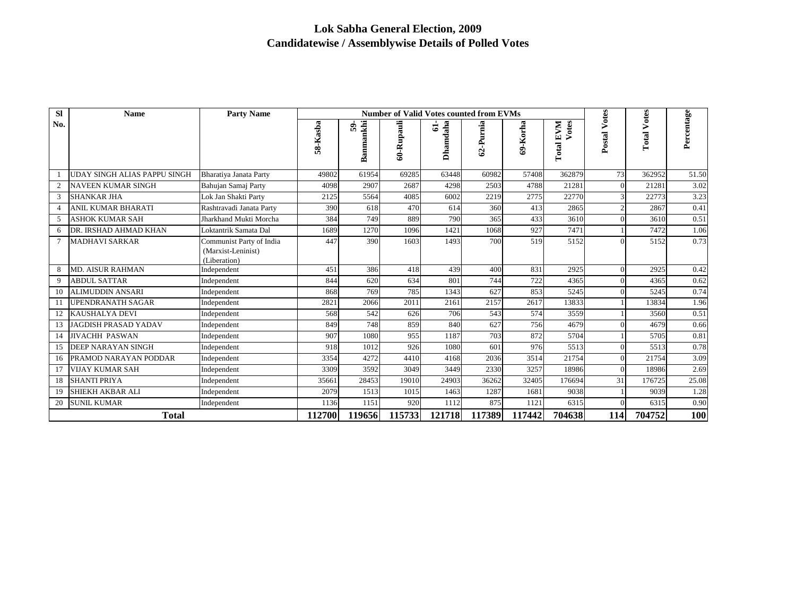| <b>SI</b>      | <b>Name</b>                  | <b>Party Name</b>                                              |          |                 |            | <b>Number of Valid Votes counted from EVMs</b> |           |          |                       |                 |                    |            |
|----------------|------------------------------|----------------------------------------------------------------|----------|-----------------|------------|------------------------------------------------|-----------|----------|-----------------------|-----------------|--------------------|------------|
| No.            |                              |                                                                | 58-Kasba | Banmankhi<br>S. | 60-Rupauli | Dhamdaha<br>ತ                                  | 62-Purnia | 69-Korha | Votes<br>EVM<br>Total | Votes<br>Postal | <b>Total Votes</b> | Percentage |
|                | UDAY SINGH ALIAS PAPPU SINGH | Bharatiya Janata Party                                         | 49802    | 61954           | 69285      | 63448                                          | 60982     | 57408    | 362879                | 73              | 362952             | 51.50      |
| 2              | <b>NAVEEN KUMAR SINGH</b>    | Bahujan Samaj Party                                            | 4098     | 2907            | 2687       | 4298                                           | 2503      | 4788     | 21281                 | $\Omega$        | 21281              | 3.02       |
| 3              | <b>SHANKAR JHA</b>           | Lok Jan Shakti Party                                           | 2125     | 5564            | 4085       | 6002                                           | 2219      | 2775     | 22770                 |                 | 22773              | 3.23       |
|                | <b>ANIL KUMAR BHARATI</b>    | Rashtravadi Janata Party                                       | 390      | 618             | 470        | 614                                            | 360       | 413      | 2865                  |                 | 2867               | 0.41       |
| $\overline{5}$ | <b>ASHOK KUMAR SAH</b>       | Jharkhand Mukti Morcha                                         | 384      | 749             | 889        | 790                                            | 365       | 433      | 3610                  |                 | 3610               | 0.51       |
| 6              | DR. IRSHAD AHMAD KHAN        | Loktantrik Samata Dal                                          | 1689     | 1270            | 1096       | 1421                                           | 1068      | 927      | 7471                  |                 | 7472               | 1.06       |
| 7              | <b>MADHAVI SARKAR</b>        | Communist Party of India<br>(Marxist-Leninist)<br>(Liberation) | 447      | 390             | 1603       | 1493                                           | 700       | 519      | 5152                  |                 | 5152               | 0.73       |
| 8              | <b>MD. AISUR RAHMAN</b>      | Independent                                                    | 451      | 386             | 418        | 439                                            | 400       | 831      | 2925                  | $\Omega$        | 2925               | 0.42       |
| 9              | <b>ABDUL SATTAR</b>          | Independent                                                    | 844      | 620             | 634        | 801                                            | 744       | 722      | 4365                  |                 | 4365               | 0.62       |
| 10             | <b>ALIMUDDIN ANSARI</b>      | Independent                                                    | 868      | 769             | 785        | 1343                                           | 627       | 853      | 5245                  |                 | 5245               | 0.74       |
| 11             | <b>UPENDRANATH SAGAR</b>     | Independent                                                    | 2821     | 2066            | 2011       | 2161                                           | 2157      | 2617     | 13833                 |                 | 13834              | 1.96       |
| 12             | <b>KAUSHALYA DEVI</b>        | Independent                                                    | 568      | 542             | 626        | 706                                            | 543       | 574      | 3559                  |                 | 3560               | 0.51       |
| 13             | <b>JAGDISH PRASAD YADAV</b>  | Independent                                                    | 849      | 748             | 859        | 840                                            | 627       | 756      | 4679                  |                 | 4679               | 0.66       |
| 14             | <b>JIVACHH PASWAN</b>        | Independent                                                    | 907      | 1080            | 955        | 1187                                           | 703       | 872      | 5704                  |                 | 5705               | 0.81       |
| 15             | <b>DEEP NARAYAN SINGH</b>    | Independent                                                    | 918      | 1012            | 926        | 1080                                           | 601       | 976      | 5513                  |                 | 5513               | 0.78       |
| 16             | PRAMOD NARAYAN PODDAR        | Independent                                                    | 3354     | 4272            | 4410       | 4168                                           | 2036      | 3514     | 21754                 |                 | 21754              | 3.09       |
| 17             | <b>VIJAY KUMAR SAH</b>       | Independent                                                    | 3309     | 3592            | 3049       | 3449                                           | 2330      | 3257     | 18986                 |                 | 18986              | 2.69       |
| 18             | <b>SHANTI PRIYA</b>          | Independent                                                    | 35661    | 28453           | 19010      | 24903                                          | 36262     | 32405    | 176694                | 31              | 176725             | 25.08      |
| 19             | <b>SHIEKH AKBAR ALI</b>      | Independent                                                    | 2079     | 1513            | 1015       | 1463                                           | 1287      | 1681     | 9038                  |                 | 9039               | 1.28       |
| 20             | <b>SUNIL KUMAR</b>           | Independent                                                    | 1136     | 1151            | 920        | 1112                                           | 875       | 1121     | 6315                  |                 | 6315               | 0.90       |
|                | <b>Total</b>                 |                                                                | 112700   | 119656          | 115733     | 121718                                         | 117389    | 117442   | 704638                | 114             | 704752             | 100        |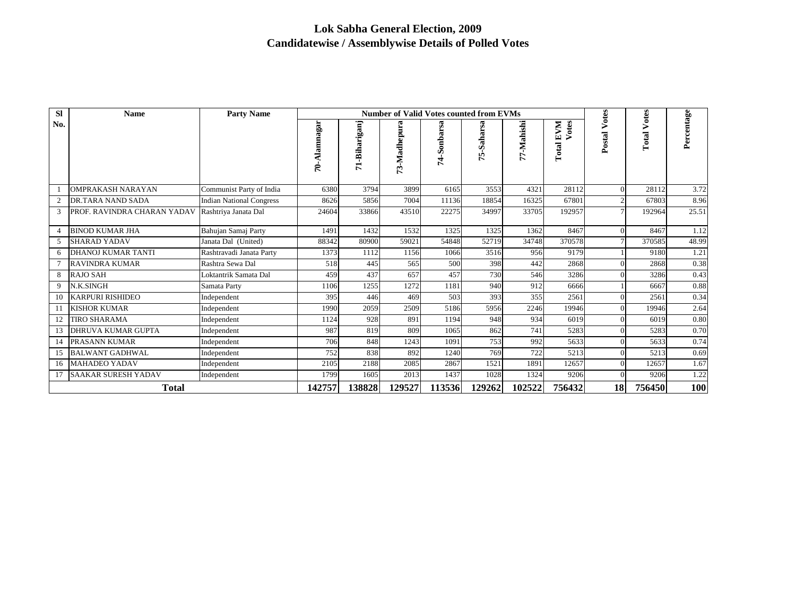| <b>SI</b> | <b>Name</b>                 | <b>Party Name</b>               |              |                  | <b>Number of Valid Votes counted from EVMs</b> |             |                |            |                       |                 |                    |            |
|-----------|-----------------------------|---------------------------------|--------------|------------------|------------------------------------------------|-------------|----------------|------------|-----------------------|-----------------|--------------------|------------|
| No.       |                             |                                 | 70-Alamnagar | -Bihariganj<br>ನ | 73-Madhepura                                   | 74-Sonbarsa | 5-Saharsa<br>↖ | 77-Mahishi | Votes<br>EVM<br>Total | Votes<br>Postal | <b>Total Votes</b> | Percentage |
|           | <b>OMPRAKASH NARAYAN</b>    | Communist Party of India        | 6380         | 3794             | 3899                                           | 6165        | 3553           | 4321       | 28112                 |                 | 28112              | 3.72       |
| 2         | <b>DR.TARA NAND SADA</b>    | <b>Indian National Congress</b> | 8626         | 5856             | 7004                                           | 11136       | 18854          | 16325      | 67801                 |                 | 67803              | 8.96       |
| 3         | PROF. RAVINDRA CHARAN YADAV | Rashtriya Janata Dal            | 24604        | 33866            | 43510                                          | 22275       | 34997          | 33705      | 192957                |                 | 192964             | 25.51      |
| 4         | <b>BINOD KUMAR JHA</b>      | Bahujan Samaj Party             | 1491         | 1432             | 1532                                           | 1325        | 1325           | 1362       | 8467                  |                 | 8467               | 1.12       |
| 5         | <b>SHARAD YADAV</b>         | Janata Dal (United)             | 88342        | 80900            | 59021                                          | 54848       | 52719          | 34748      | 370578                |                 | 370585             | 48.99      |
| 6         | <b>DHANOJ KUMAR TANTI</b>   | Rashtravadi Janata Party        | 1373         | 1112             | 1156                                           | 1066        | 3516           | 956        | 9179                  |                 | 9180               | 1.21       |
|           | <b>RAVINDRA KUMAR</b>       | Rashtra Sewa Dal                | 518          | 445              | 565                                            | 500         | 398            | 442        | 2868                  |                 | 2868               | 0.38       |
| 8         | <b>RAJO SAH</b>             | Loktantrik Samata Dal           | 459          | 437              | 657                                            | 457         | 730            | 546        | 3286                  |                 | 3286               | 0.43       |
| 9         | N.K.SINGH                   | Samata Party                    | 1106         | 1255             | 1272                                           | 1181        | 940            | 912        | 6666                  |                 | 6667               | 0.88       |
| 10        | <b>KARPURI RISHIDEO</b>     | Independent                     | 395          | 446              | 469                                            | 503         | 393            | 355        | 2561                  |                 | 2561               | 0.34       |
|           | <b>KISHOR KUMAR</b>         | Independent                     | 1990         | 2059             | 2509                                           | 5186        | 5956           | 2246       | 19946                 |                 | 19946              | 2.64       |
| 12        | <b>TIRO SHARAMA</b>         | Independent                     | 1124         | 928              | 891                                            | 1194        | 948            | 934        | 6019                  |                 | 6019               | 0.80       |
| 13        | DHRUVA KUMAR GUPTA          | Independent                     | 987          | 819              | 809                                            | 1065        | 862            | 741        | 5283                  |                 | 5283               | 0.70       |
| 14        | <b>PRASANN KUMAR</b>        | Independent                     | 706          | 848              | 1243                                           | 1091        | 753            | 992        | 5633                  |                 | 5633               | 0.74       |
| 15        | <b>BALWANT GADHWAL</b>      | Independent                     | 752          | 838              | 892                                            | 1240        | 769            | 722        | 5213                  |                 | 5213               | 0.69       |
| 16        | <b>MAHADEO YADAV</b>        | Independent                     | 2105         | 2188             | 2085                                           | 2867        | 1521           | 1891       | 12657                 |                 | 12657              | 1.67       |
| 17        | <b>SAAKAR SURESH YADAV</b>  | Independent                     | 1799         | 1605             | 2013                                           | 1437        | 1028           | 1324       | 9206                  |                 | 9206               | 1.22       |
|           | <b>Total</b>                |                                 | 142757       | 138828           | 129527                                         | 113536      | 129262         | 102522     | 756432                | 18              | 756450             | <b>100</b> |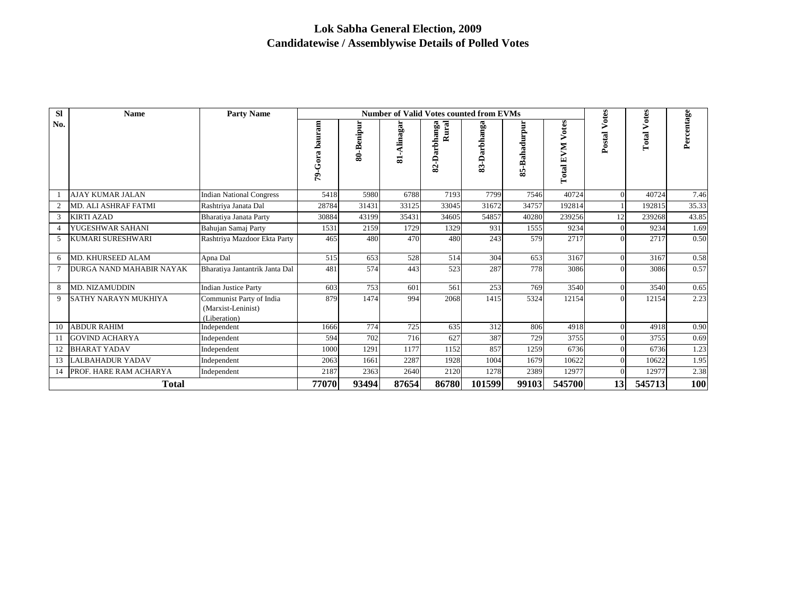| <b>SI</b> | <b>Name</b>                 | <b>Party Name</b>                                              |                   |            | <b>Number of Valid Votes counted from EVMs</b> |                       |              |               |                                     |                 | otes              |            |
|-----------|-----------------------------|----------------------------------------------------------------|-------------------|------------|------------------------------------------------|-----------------------|--------------|---------------|-------------------------------------|-----------------|-------------------|------------|
| No.       |                             |                                                                | bauram<br>79-Gora | 80-Benipur | -Alinagar<br>$\overline{\mathbf{s}}$           | Rural<br>82-Darbhanga | 83-Darbhanga | 85-Bahadurpur | Votes<br><b>EVM</b><br><b>Total</b> | Votes<br>Postal | ⋗<br><b>Total</b> | Percentage |
|           | <b>AJAY KUMAR JALAN</b>     | <b>Indian National Congress</b>                                | 5418              | 5980       | 6788                                           | 7193                  | 7799         | 7546          | 40724                               | $\Omega$        | 40724             | 7.46       |
|           | <b>MD. ALI ASHRAF FATMI</b> | Rashtriya Janata Dal                                           | 28784             | 31431      | 33125                                          | 33045                 | 31672        | 34757         | 192814                              |                 | 192815            | 35.33      |
| 3         | <b>KIRTI AZAD</b>           | Bharatiya Janata Party                                         | 30884             | 43199      | 35431                                          | 34605                 | 54857        | 40280         | 239256                              | 12              | 239268            | 43.85      |
|           | YUGESHWAR SAHANI            | Bahujan Samaj Party                                            | 1531              | 2159       | 1729                                           | 1329                  | 931          | 1555          | 9234                                | $\Omega$        | 9234              | 1.69       |
| 5         | KUMARI SURESHWARI           | Rashtriya Mazdoor Ekta Party                                   | 465               | 480        | 470                                            | 480                   | 243          | 579           | 2717                                | $\Omega$        | 2717              | 0.50       |
| 6         | MD. KHURSEED ALAM           | Apna Dal                                                       | 515               | 653        | 528                                            | 514                   | 304          | 653           | 3167                                | $\Omega$        | 3167              | 0.58       |
|           | DURGA NAND MAHABIR NAYAK    | Bharatiya Jantantrik Janta Dal                                 | 481               | 574        | 443                                            | 523                   | 287          | 778           | 3086                                | $\Omega$        | 3086              | 0.57       |
| 8         | <b>MD. NIZAMUDDIN</b>       | <b>Indian Justice Party</b>                                    | 603               | 753        | 601                                            | 561                   | 253          | 769           | 3540                                | $\Omega$        | 3540              | 0.65       |
| 9         | SATHY NARAYN MUKHIYA        | Communist Party of India<br>(Marxist-Leninist)<br>(Liberation) | 879               | 1474       | 994                                            | 2068                  | 1415         | 5324          | 12154                               | $\Omega$        | 12154             | 2.23       |
| 10        | <b>ABDUR RAHIM</b>          | Independent                                                    | 1666              | 774        | 725                                            | 635                   | 312          | 806           | 4918                                | $\Omega$        | 4918              | 0.90       |
| 11        | <b>GOVIND ACHARYA</b>       | Independent                                                    | 594               | 702        | 716                                            | 627                   | 387          | 729           | 3755                                | $\Omega$        | 3755              | 0.69       |
| 12        | <b>BHARAT YADAV</b>         | Independent                                                    | 1000              | 1291       | 1177                                           | 1152                  | 857          | 1259          | 6736                                | $\Omega$        | 6736              | 1.23       |
| 13        | <b>LALBAHADUR YADAV</b>     | Independent                                                    | 2063              | 1661       | 2287                                           | 1928                  | 1004         | 1679          | 10622                               | $\Omega$        | 10622             | 1.95       |
| 14        | PROF. HARE RAM ACHARYA      | Independent                                                    | 2187              | 2363       | 2640                                           | 2120                  | 1278         | 2389          | 12977                               | $\Omega$        | 12977             | 2.38       |
|           | Total                       |                                                                | 77070             | 93494      | 87654                                          | 86780                 | 101599       | 99103         | 545700                              | 13 <sup>l</sup> | 545713            | <b>100</b> |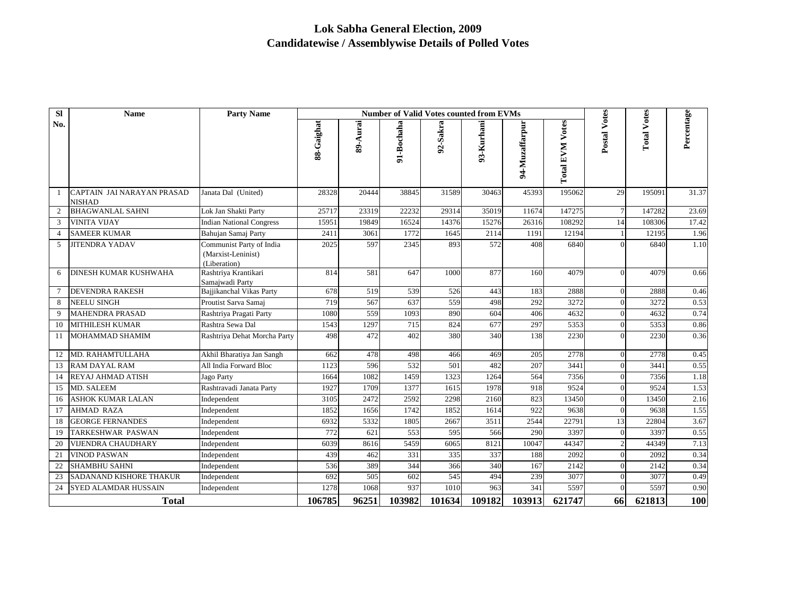| SI             | Name                                        | <b>Party Name</b>                                              |            |          |            | <b>Number of Valid Votes counted from EVMs</b> |            |                |                        |                |                    |            |
|----------------|---------------------------------------------|----------------------------------------------------------------|------------|----------|------------|------------------------------------------------|------------|----------------|------------------------|----------------|--------------------|------------|
| No.            |                                             |                                                                | 88-Gaighat | 89-Aurai | 91-Bochaha | 92-Sakra                                       | 93-Kurhani | 94-Muzaffarpur | <b>Total EVM Votes</b> | Postal Votes   | <b>Total Votes</b> | Percentage |
|                | CAPTAIN JAI NARAYAN PRASAD<br><b>NISHAD</b> | Janata Dal (United)                                            | 28328      | 20444    | 38845      | 31589                                          | 30463      | 45393          | 195062                 | 29             | 195091             | 31.37      |
| 2              | <b>BHAGWANLAL SAHNI</b>                     | Lok Jan Shakti Party                                           | 25717      | 23319    | 22232      | 29314                                          | 35019      | 11674          | 147275                 | $\tau$         | 147282             | 23.69      |
| 3              | <b>VINITA VIJAY</b>                         | <b>Indian National Congress</b>                                | 15951      | 19849    | 16524      | 14376                                          | 15276      | 26316          | 108292                 | 14             | 108306             | 17.42      |
| $\overline{4}$ | <b>SAMEER KUMAR</b>                         | Bahujan Samaj Party                                            | 2411       | 3061     | 1772       | 1645                                           | 2114       | 1191           | 12194                  |                | 12195              | 1.96       |
| 5              | <b>JITENDRA YADAV</b>                       | Communist Party of India<br>(Marxist-Leninist)<br>(Liberation) | 2025       | 597      | 2345       | 893                                            | 572        | 408            | 6840                   | $\Omega$       | 6840               | 1.10       |
| 6              | <b>DINESH KUMAR KUSHWAHA</b>                | Rashtriya Krantikari<br>Samajwadi Party                        | 814        | 581      | 647        | 1000                                           | 877        | 160            | 4079                   | $\Omega$       | 4079               | 0.66       |
| $\tau$         | <b>DEVENDRA RAKESH</b>                      | Bajjikanchal Vikas Party                                       | 678        | 519      | 539        | 526                                            | 443        | 183            | 2888                   | $\Omega$       | 2888               | 0.46       |
| 8              | <b>NEELU SINGH</b>                          | Proutist Sarva Samaj                                           | 719        | 567      | 637        | 559                                            | 498        | 292            | 3272                   | $\Omega$       | 3272               | 0.53       |
| 9              | <b>MAHENDRA PRASAD</b>                      | Rashtriya Pragati Party                                        | 1080       | 559      | 1093       | 890                                            | 604        | 406            | 4632                   | $\Omega$       | 4632               | 0.74       |
| 10             | <b>MITHILESH KUMAR</b>                      | Rashtra Sewa Dal                                               | 1543       | 1297     | 715        | 824                                            | 677        | 297            | 5353                   | $\Omega$       | 5353               | 0.86       |
| 11             | MOHAMMAD SHAMIM                             | Rashtriya Dehat Morcha Party                                   | 498        | 472      | 402        | 380                                            | 340        | 138            | 2230                   | $\Omega$       | 2230               | 0.36       |
| 12             | MD. RAHAMTULLAHA                            | Akhil Bharatiya Jan Sangh                                      | 662        | 478      | 498        | 466                                            | 469        | 205            | 2778                   | $\overline{0}$ | 2778               | 0.45       |
| 13             | <b>RAM DAYAL RAM</b>                        | All India Forward Bloc                                         | 1123       | 596      | 532        | 501                                            | 482        | 207            | 3441                   | $\overline{0}$ | 3441               | 0.55       |
| 14             | <b>REYAJ AHMAD ATISH</b>                    | Jago Party                                                     | 1664       | 1082     | 1459       | 1323                                           | 1264       | 564            | 7356                   | $\Omega$       | 7356               | 1.18       |
| 15             | <b>MD. SALEEM</b>                           | Rashtravadi Janata Party                                       | 1927       | 1709     | 1377       | 1615                                           | 1978       | 918            | 9524                   | $\overline{0}$ | 9524               | 1.53       |
| 16             | <b>ASHOK KUMAR LALAN</b>                    | Independent                                                    | 3105       | 2472     | 2592       | 2298                                           | 2160       | 823            | 13450                  | $\Omega$       | 13450              | 2.16       |
| 17             | <b>AHMAD RAZA</b>                           | Independent                                                    | 1852       | 1656     | 1742       | 1852                                           | 1614       | 922            | 9638                   | $\Omega$       | 9638               | 1.55       |
| 18             | <b>GEORGE FERNANDES</b>                     | Independent                                                    | 6932       | 5332     | 1805       | 2667                                           | 3511       | 2544           | 22791                  | 13             | 22804              | 3.67       |
| 19             | TARKESHWAR PASWAN                           | Independent                                                    | 772        | 621      | 553        | 595                                            | 566        | 290            | 3397                   | $\overline{0}$ | 3397               | 0.55       |
| 20             | <b>VIJENDRA CHAUDHARY</b>                   | Independent                                                    | 6039       | 8616     | 5459       | 6065                                           | 8121       | 10047          | 44347                  | $\overline{2}$ | 44349              | 7.13       |
| 21             | <b>VINOD PASWAN</b>                         | Independent                                                    | 439        | 462      | 331        | 335                                            | 337        | 188            | 2092                   | $\overline{0}$ | 2092               | 0.34       |
| 22             | <b>SHAMBHU SAHNI</b>                        | Independent                                                    | 536        | 389      | 344        | 366                                            | 340        | 167            | 2142                   | $\overline{0}$ | 2142               | 0.34       |
| 23             | SADANAND KISHORE THAKUR                     | Independent                                                    | 692        | 505      | 602        | 545                                            | 494        | 239            | 3077                   | $\overline{0}$ | 3077               | 0.49       |
| 24             | <b>SYED ALAMDAR HUSSAIN</b>                 | Independent                                                    | 1278       | 1068     | 937        | 1010                                           | 963        | 341            | 5597                   | $\Omega$       | 5597               | 0.90       |
|                | <b>Total</b>                                |                                                                | 106785     | 96251    | 103982     | 101634                                         | 109182     | 103913         | 621747                 | 66             | 621813             | 100        |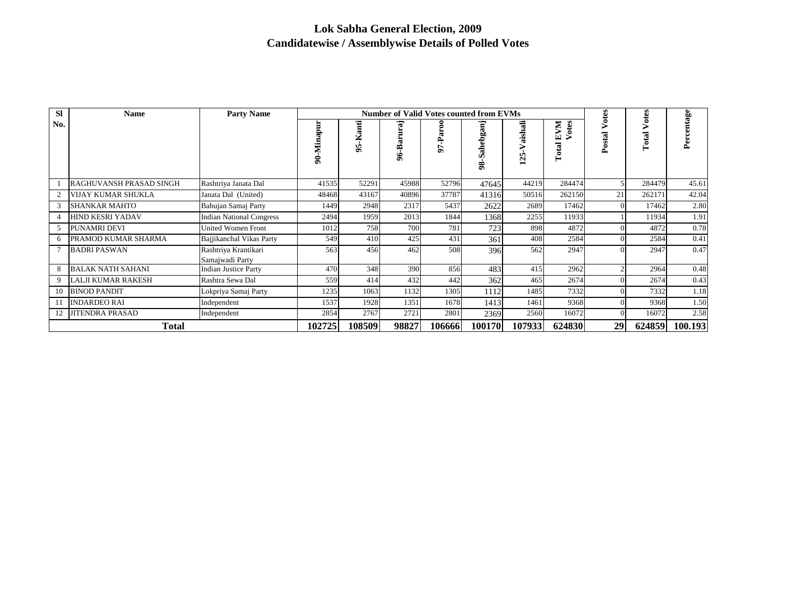| <b>SI</b> | <b>Name</b>              | <b>Party Name</b>                       |            |                   |                             | <b>Number of Valid Votes counted from EVMs</b> |                |                       |                      | otes     | otes       |         |
|-----------|--------------------------|-----------------------------------------|------------|-------------------|-----------------------------|------------------------------------------------|----------------|-----------------------|----------------------|----------|------------|---------|
| No.       |                          |                                         | 90-Minapur | -Kanti<br>۱ñ<br>a | $\overline{c}$<br>$96 - B3$ | Paroo<br>5                                     | Sahebganj<br>ó | ᇃ<br>aish<br>⋗<br>125 | otes<br>EVM<br>Total | Postal   | ⋗<br>Total | entage  |
|           | RAGHUVANSH PRASAD SINGH  | Rashtriya Janata Dal                    | 41535      | 52291             | 45988                       | 52796                                          | 47645          | 44219                 | 284474               |          | 284479     | 45.61   |
|           | VIJAY KUMAR SHUKLA       | Janata Dal (United)                     | 48468      | 43167             | 40896                       | 37787                                          | 41316          | 50516                 | 262150               | 21       | 262171     | 42.04   |
| 3         | <b>SHANKAR MAHTO</b>     | Bahujan Samaj Party                     | 1449       | 2948              | 2317                        | 5437                                           | 2622           | 2689                  | 17462                | $\Omega$ | 17462      | 2.80    |
|           | HIND KESRI YADAV         | <b>Indian National Congress</b>         | 2494       | 1959              | 2013                        | 1844                                           | 1368           | 2255                  | 11933                |          | 11934      | 1.91    |
| 5         | PUNAMRI DEVI             | United Women Front                      | 1012       | 758               | 700                         | 781                                            | 723            | 898                   | 4872                 |          | 4872       | 0.78    |
| 6         | PRAMOD KUMAR SHARMA      | Bajjikanchal Vikas Party                | 549        | 410               | 425                         | 431                                            | 361            | 408                   | 2584                 |          | 2584       | 0.41    |
|           | <b>BADRI PASWAN</b>      | Rashtriya Krantikari<br>Samajwadi Party | 563        | 456               | 462                         | 508                                            | 396            | 562                   | 2947                 |          | 2947       | 0.47    |
| 8         | <b>BALAK NATH SAHANI</b> | <b>Indian Justice Party</b>             | 470        | 348               | 390                         | 856                                            | 483            | 415                   | 2962                 |          | 2964       | 0.48    |
|           | LALJI KUMAR RAKESH       | Rashtra Sewa Dal                        | 559        | 414               | 432                         | 442                                            | 362            | 465                   | 2674                 |          | 2674       | 0.43    |
| 10        | <b>BINOD PANDIT</b>      | Lokpriya Samaj Party                    | 1235       | 1063              | 1132                        | 1305                                           | 1112           | 1485                  | 7332                 |          | 7332       | 1.18    |
|           | <b>INDARDEO RAI</b>      | Independent                             | 1537       | 1928              | 1351                        | 1678                                           | 1413           | 1461                  | 9368                 |          | 9368       | 1.50    |
|           | <b>JITENDRA PRASAD</b>   | Independent                             | 2854       | 2767              | 2721                        | 2801                                           | 2369           | 2560                  | 16072                |          | 16072      | 2.58    |
|           | <b>Total</b>             |                                         | 102725     | 108509            | 98827                       | 106666                                         | 100170         | 107933                | 624830               | 29       | 624859     | 100.193 |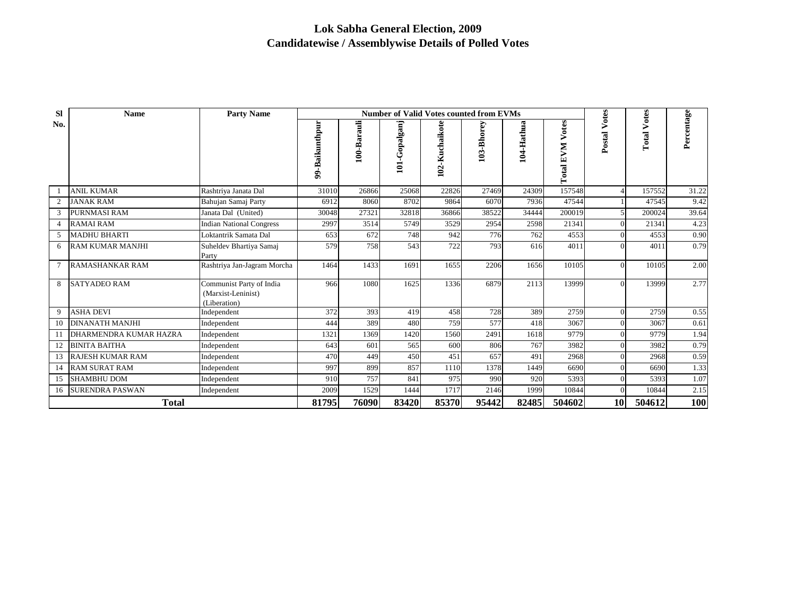| Sl             | <b>Name</b>             | <b>Party Name</b>                                              |                |             |               | <b>Number of Valid Votes counted from EVMs</b> |            |            |                              |                 |                    |            |
|----------------|-------------------------|----------------------------------------------------------------|----------------|-------------|---------------|------------------------------------------------|------------|------------|------------------------------|-----------------|--------------------|------------|
| No.            |                         |                                                                | 99-Baikunthpur | 100-Barauli | 101-Gopalganj | 102-Kuchaikote                                 | 103-Bhorey | 104-Hathua | otes<br>⋗<br>N<br>E<br>Total | Votes<br>Postal | <b>Total Votes</b> | Percentage |
|                | <b>ANIL KUMAR</b>       | Rashtriya Janata Dal                                           | 31010          | 26866       | 25068         | 22826                                          | 27469      | 24309      | 157548                       |                 | 157552             | 31.22      |
| 2              | <b>JANAK RAM</b>        | Bahujan Samaj Party                                            | 6912           | 8060        | 8702          | 9864                                           | 6070       | 7936       | 47544                        |                 | 47545              | 9.42       |
| 3              | PURNMASI RAM            | Janata Dal (United)                                            | 30048          | 27321       | 32818         | 36866                                          | 38522      | 34444      | 200019                       |                 | 200024             | 39.64      |
| $\overline{4}$ | <b>RAMAI RAM</b>        | <b>Indian National Congress</b>                                | 2997           | 3514        | 5749          | 3529                                           | 2954       | 2598       | 21341                        |                 | 21341              | 4.23       |
| .5             | <b>MADHU BHARTI</b>     | Loktantrik Samata Dal                                          | 653            | 672         | 748           | 942                                            | 776        | 762        | 4553                         |                 | 4553               | 0.90       |
| 6              | <b>RAM KUMAR MANJHI</b> | Suheldev Bhartiya Samaj<br>Party                               | 579            | 758         | 543           | 722                                            | 793        | 616        | 4011                         |                 | 4011               | 0.79       |
|                | <b>RAMASHANKAR RAM</b>  | Rashtriya Jan-Jagram Morcha                                    | 1464           | 1433        | 1691          | 1655                                           | 2206       | 1656       | 10105                        |                 | 10105              | 2.00       |
| 8              | <b>SATYADEO RAM</b>     | Communist Party of India<br>(Marxist-Leninist)<br>(Liberation) | 966            | 1080        | 1625          | 1336                                           | 6879       | 2113       | 13999                        | $\Omega$        | 13999              | 2.77       |
| 9              | <b>ASHA DEVI</b>        | Independent                                                    | 372            | 393         | 419           | 458                                            | 728        | 389        | 2759                         | $\Omega$        | 2759               | 0.55       |
| 10             | <b>DINANATH MANJHI</b>  | Independent                                                    | 444            | 389         | 480           | 759                                            | 577        | 418        | 3067                         |                 | 3067               | 0.61       |
| -11            | DHARMENDRA KUMAR HAZRA  | Independent                                                    | 1321           | 1369        | 1420          | 1560                                           | 2491       | 1618       | 9779                         |                 | 9779               | 1.94       |
| 12             | <b>BINITA BAITHA</b>    | Independent                                                    | 643            | 601         | 565           | 600                                            | 806        | 767        | 3982                         |                 | 3982               | 0.79       |
|                | 13 RAJESH KUMAR RAM     | Independent                                                    | 470            | 449         | 450           | 451                                            | 657        | 491        | 2968                         |                 | 2968               | 0.59       |
| 14             | <b>RAM SURAT RAM</b>    | Independent                                                    | 997            | 899         | 857           | 1110                                           | 1378       | 1449       | 6690                         |                 | 6690               | 1.33       |
| 15             | <b>SHAMBHU DOM</b>      | Independent                                                    | 910            | 757         | 841           | 975                                            | 990        | 920        | 5393                         |                 | 5393               | 1.07       |
|                | 16 SURENDRA PASWAN      | Independent                                                    | 2009           | 1529        | 1444          | 1717                                           | 2146       | 1999       | 10844                        |                 | 10844              | 2.15       |
|                | <b>Total</b>            |                                                                | 81795          | 76090       | 83420         | 85370                                          | 95442      | 82485      | 504602                       | 10              | 504612             | 100        |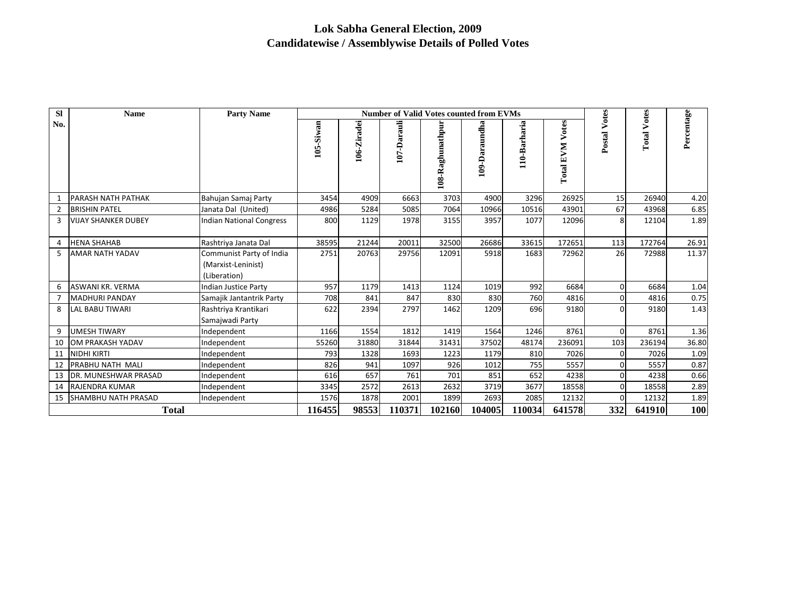| <b>SI</b>      | <b>Name</b>                | <b>Party Name</b>                                              |           |             |             | <b>Number of Valid Votes counted from EVMs</b> |               |              |                                     |                 |                    |            |
|----------------|----------------------------|----------------------------------------------------------------|-----------|-------------|-------------|------------------------------------------------|---------------|--------------|-------------------------------------|-----------------|--------------------|------------|
| No.            |                            |                                                                | 105-Siwan | 106-Ziradei | 107-Darauli | 108-Raghunathpur                               | 109-Daraundha | 110-Barharia | Votes<br><b>EVM</b><br><b>Total</b> | Votes<br>Postal | <b>Total Votes</b> | Percentage |
|                | PARASH NATH PATHAK         | Bahujan Samaj Party                                            | 3454      | 4909        | 6663        | 3703                                           | 4900          | 3296         | 26925                               | 15              | 26940              | 4.20       |
| $\overline{2}$ | <b>BRISHIN PATEL</b>       | Janata Dal (United)                                            | 4986      | 5284        | 5085        | 7064                                           | 10966         | 10516        | 43901                               | 67              | 43968              | 6.85       |
| 3              | <b>VIJAY SHANKER DUBEY</b> | <b>Indian National Congress</b>                                | 800       | 1129        | 1978        | 3155                                           | 3957          | 1077         | 12096                               | 8               | 12104              | 1.89       |
| 4              | <b>HENA SHAHAB</b>         | Rashtriya Janata Dal                                           | 38595     | 21244       | 20011       | 32500                                          | 26686         | 33615        | 172651                              | 113             | 172764             | 26.91      |
| 5              | <b>AMAR NATH YADAV</b>     | Communist Party of India<br>(Marxist-Leninist)<br>(Liberation) | 2751      | 20763       | 29756       | 12091                                          | 5918          | 1683         | 72962                               | 26              | 72988              | 11.37      |
| 6              | <b>ASWANI KR. VERMA</b>    | Indian Justice Party                                           | 957       | 1179        | 1413        | 1124                                           | 1019          | 992          | 6684                                | $\Omega$        | 6684               | 1.04       |
|                | <b>MADHURI PANDAY</b>      | Samajik Jantantrik Party                                       | 708       | 841         | 847         | 830                                            | 830           | 760          | 4816                                | 0               | 4816               | 0.75       |
| 8              | <b>LAL BABU TIWARI</b>     | Rashtriya Krantikari<br>Samajwadi Party                        | 622       | 2394        | 2797        | 1462                                           | 1209          | 696          | 9180                                | 0               | 9180               | 1.43       |
| 9              | <b>UMESH TIWARY</b>        | Independent                                                    | 1166      | 1554        | 1812        | 1419                                           | 1564          | 1246         | 8761                                | O               | 8761               | 1.36       |
| 10             | OM PRAKASH YADAV           | Independent                                                    | 55260     | 31880       | 31844       | 31431                                          | 37502         | 48174        | 236091                              | 103             | 236194             | 36.80      |
| 11             | NIDHI KIRTI                | Independent                                                    | 793       | 1328        | 1693        | 1223                                           | 1179          | 810          | 7026                                | 0               | 7026               | 1.09       |
| 12             | PRABHU NATH MALI           | Independent                                                    | 826       | 941         | 1097        | 926                                            | 1012          | 755          | 5557                                | O               | 5557               | 0.87       |
| 13             | DR. MUNESHWAR PRASAD       | Independent                                                    | 616       | 657         | 761         | 701                                            | 851           | 652          | 4238                                | $\Omega$        | 4238               | 0.66       |
| 14             | <b>RAJENDRA KUMAR</b>      | Independent                                                    | 3345      | 2572        | 2613        | 2632                                           | 3719          | 3677         | 18558                               | 0               | 18558              | 2.89       |
| 15             | <b>SHAMBHU NATH PRASAD</b> | Independent                                                    | 1576      | 1878        | 2001        | 1899                                           | 2693          | 2085         | 12132                               |                 | 12132              | 1.89       |
|                | Total                      |                                                                | 116455    | 98553       | 110371      | 102160                                         | 104005        | 110034       | 641578                              | 332             | 641910             | 100        |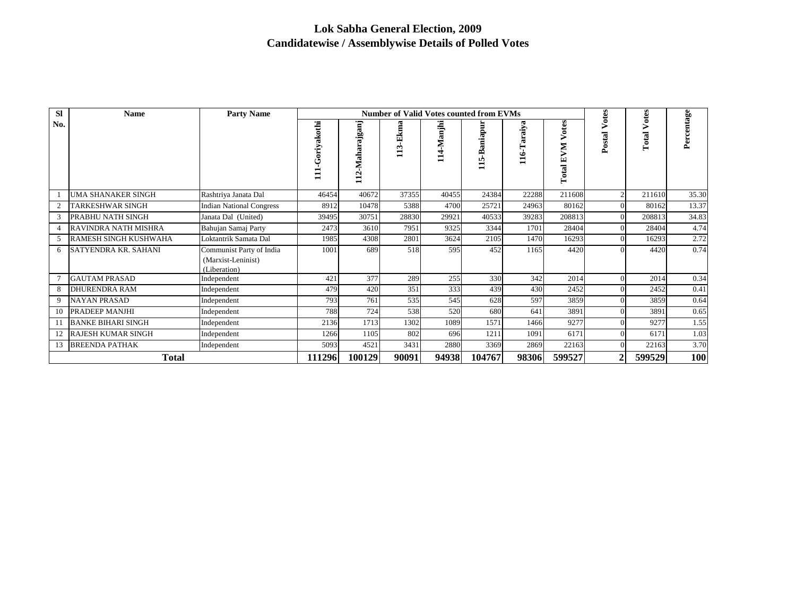| <b>SI</b> | <b>Name</b>                  | <b>Party Name</b>                                              |                       |                    |          | <b>Number of Valid Votes counted from EVMs</b> |                |             |                                         | otes           | otes       |            |
|-----------|------------------------------|----------------------------------------------------------------|-----------------------|--------------------|----------|------------------------------------------------|----------------|-------------|-----------------------------------------|----------------|------------|------------|
| No.       |                              |                                                                | -Goriyakothi<br>$\Xi$ | ajganj<br>112-Maha | 113-Ekma | 114-Manjhi                                     | 5-Baniapu<br>Ξ | 116-Taraiya | otes<br>⋗<br><b>EVM</b><br><b>Total</b> | ⋗<br>Postal    | ⋗<br>Total | ercentage  |
|           | <b>UMA SHANAKER SINGH</b>    | Rashtriya Janata Dal                                           | 46454                 | 40672              | 37355    | 40455                                          | 24384          | 22288       | 211608                                  | $\overline{2}$ | 211610     | 35.30      |
| 2         | TARKESHWAR SINGH             | <b>Indian National Congress</b>                                | 8912                  | 10478              | 5388     | 4700                                           | 25721          | 24963       | 80162                                   | $\Omega$       | 80162      | 13.37      |
|           | <b>PRABHU NATH SINGH</b>     | Janata Dal (United)                                            | 39495                 | 30751              | 28830    | 29921                                          | 40533          | 39283       | 208813                                  | $\Omega$       | 208813     | 34.83      |
|           | <b>RAVINDRA NATH MISHRA</b>  | Bahujan Samaj Party                                            | 2473                  | 3610               | 7951     | 9325                                           | 3344           | 1701        | 28404                                   | $\Omega$       | 28404      | 4.74       |
| 5         | <b>RAMESH SINGH KUSHWAHA</b> | Loktantrik Samata Dal                                          | 1985                  | 4308               | 2801     | 3624                                           | 2105           | 1470        | 16293                                   | $\Omega$       | 16293      | 2.72       |
| 6         | <b>SATYENDRA KR. SAHANI</b>  | Communist Party of India<br>(Marxist-Leninist)<br>(Liberation) | 1001                  | 689                | 518      | 595                                            | 452            | 1165        | 4420                                    | $\Omega$       | 4420       | 0.74       |
|           | <b>GAUTAM PRASAD</b>         | Independent                                                    | 421                   | 377                | 289      | 255                                            | 330            | 342         | 2014                                    | $\Omega$       | 2014       | 0.34       |
| 8         | <b>DHURENDRA RAM</b>         | Independent                                                    | 479                   | 420                | 351      | 333                                            | 439            | 430         | 2452                                    | $\Omega$       | 2452       | 0.41       |
| 9         | <b>NAYAN PRASAD</b>          | Independent                                                    | 793                   | 761                | 535      | 545                                            | 628            | 597         | 3859                                    | $\Omega$       | 3859       | 0.64       |
| 10        | <b>PRADEEP MANJHI</b>        | Independent                                                    | 788                   | 724                | 538      | 520                                            | 680            | 641         | 3891                                    | $\Omega$       | 3891       | 0.65       |
| 11        | <b>BANKE BIHARI SINGH</b>    | Independent                                                    | 2136                  | 1713               | 1302     | 1089                                           | 1571           | 1466        | 9277                                    | $\Omega$       | 9277       | 1.55       |
| 12        | <b>RAJESH KUMAR SINGH</b>    | Independent                                                    | 1266                  | 1105               | 802      | 696                                            | 1211           | 1091        | 6171                                    | $\Omega$       | 6171       | 1.03       |
|           | 13 BREENDA PATHAK            | Independent                                                    | 5093                  | 4521               | 3431     | 2880                                           | 3369           | 2869        | 22163                                   | $\Omega$       | 22163      | 3.70       |
|           | <b>Total</b>                 |                                                                | 111296                | 100129             | 90091    | 94938                                          | 104767         | 98306       | 599527                                  | $\mathbf{2}$   | 599529     | <b>100</b> |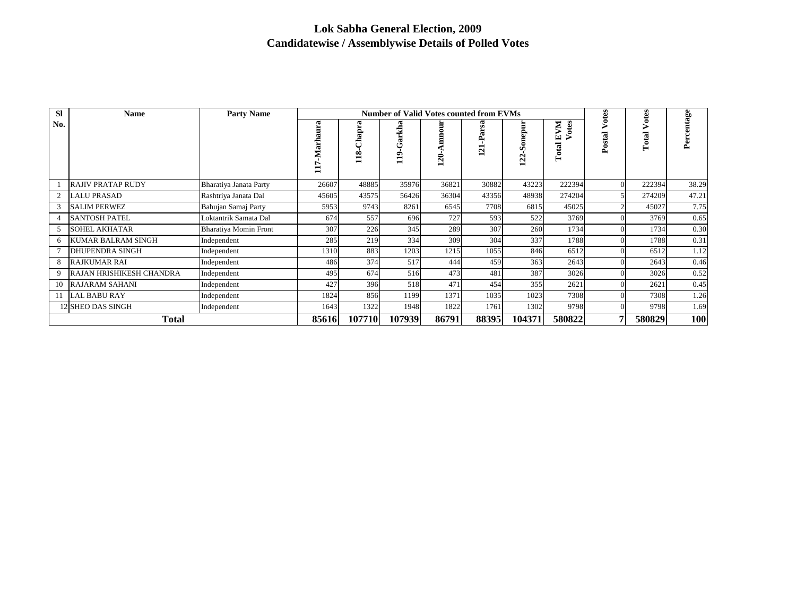| <b>SI</b> | <b>Name</b>               | <b>Party Name</b>      |                     |             | <b>Number of Valid Votes counted from EVMs</b> |           |                          |                    |                          | otes            | otes       |         |
|-----------|---------------------------|------------------------|---------------------|-------------|------------------------------------------------|-----------|--------------------------|--------------------|--------------------------|-----------------|------------|---------|
| No.       |                           |                        | arhaura<br>Ş<br>117 | ≏<br>∞<br>∸ | rkha<br>ت<br>◦<br>$\blacksquare$               | moun<br>ຊ | rsa<br>$\sim$<br>ń,<br>Ñ | onepur<br>Ō<br>122 | otes<br>NA<br>囯<br>Total | ⋗<br>stal<br>قم | ⋗<br>Total | centage |
|           | <b>RAJIV PRATAP RUDY</b>  | Bharatiya Janata Party | 26607               | 48885       | 35976                                          | 36821     | 30882                    | 43223              | 222394                   |                 | 222394     | 38.29   |
| 2         | <b>LALU PRASAD</b>        | Rashtriya Janata Dal   | 45605               | 43575       | 56426                                          | 36304     | 43356                    | 48938              | 274204                   |                 | 274209     | 47.21   |
| 3         | <b>SALIM PERWEZ</b>       | Bahujan Samaj Party    | 5953                | 9743        | 8261                                           | 6545      | 7708                     | 6815               | 45025                    |                 | 45027      | 7.75    |
|           | <b>SANTOSH PATEL</b>      | Loktantrik Samata Dal  | 674                 | 557         | 696                                            | 727       | 593                      | 522                | 3769                     |                 | 3769       | 0.65    |
| 5         | <b>SOHEL AKHATAR</b>      | Bharatiya Momin Front  | 307                 | 226         | 345                                            | 289       | 307                      | 260                | 1734                     |                 | 1734       | 0.30    |
| 6         | <b>KUMAR BALRAM SINGH</b> | Independent            | 285                 | 219         | 334                                            | 309       | 304                      | 337                | 1788                     |                 | 1788       | 0.31    |
|           | DHUPENDRA SINGH           | Independent            | 1310                | 883         | 1203                                           | 1215      | 1055                     | 846                | 6512                     |                 | 6512       | 1.12    |
|           | <b>RAJKUMAR RAI</b>       | Independent            | 486                 | 374         | 517                                            | 444       | 459                      | 363                | 2643                     |                 | 2643       | 0.46    |
| 9         | RAJAN HRISHIKESH CHANDRA  | Independent            | 495                 | 674         | 516                                            | 473       | 481                      | 387                | 3026                     |                 | 3026       | 0.52    |
| 10        | <b>RAJARAM SAHANI</b>     | Independent            | 427                 | 396         | 518                                            | 471       | 454                      | 355                | 2621                     |                 | 2621       | 0.45    |
| 11        | <b>LAL BABU RAY</b>       | Independent            | 1824                | 856         | 1199                                           | 1371      | 1035                     | 1023               | 7308                     |                 | 7308       | 1.26    |
|           | 12 SHEO DAS SINGH         | Independent            | 1643                | 1322        | 1948                                           | 1822      | 1761                     | 1302               | 9798                     |                 | 9798       | 1.69    |
|           | <b>Total</b>              |                        | 85616               | 107710      | 107939                                         | 86791     | 88395                    | 104371             | 5808221                  |                 | 580829     | 100     |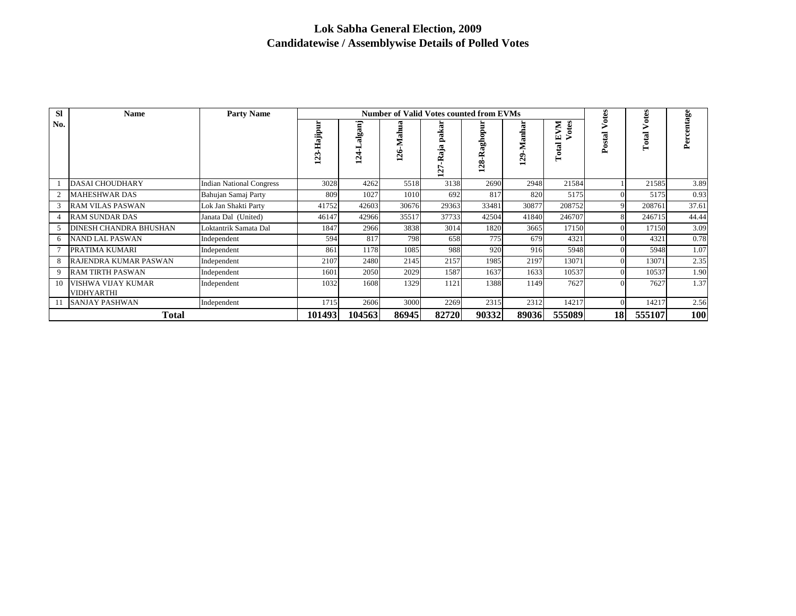## **Lok Sabha General Election, 2009Candidatewise / Assemblywise Details of Polled Votes**

| <b>SI</b> | <b>Name</b>             | <b>Party Name</b>               |                               |            |            | <b>Number of Valid Votes counted from EVMs</b> |                            |              |                                            | otes     | otes       |            |
|-----------|-------------------------|---------------------------------|-------------------------------|------------|------------|------------------------------------------------|----------------------------|--------------|--------------------------------------------|----------|------------|------------|
| No.       |                         |                                 | -Hajipur<br>ω<br>$\mathbf{5}$ | algan<br>ম | Mahua<br>ন | akar<br>≏<br>Raja<br>27                        | Ξ<br>믋<br>یم<br><u> 28</u> | -Manh<br>129 | otes<br>ŠД<br>⊡<br>↘<br>$\mathbf{a}$<br>ρā | stal     | ⋗<br>Total | entage     |
|           | DASAI CHOUDHARY         | <b>Indian National Congress</b> | 3028                          | 4262       | 5518       | 3138                                           | 2690                       | 2948         | 21584                                      |          | 21585      | 3.89       |
| 2         | MAHESHWAR DAS           | Bahujan Samaj Party             | 809                           | 1027       | 1010       | 692                                            | 817                        | 820          | 5175                                       | $\Omega$ | 5175       | 0.93       |
| 3         | <b>RAM VILAS PASWAN</b> | Lok Jan Shakti Party            | 41752                         | 42603      | 30676      | 29363                                          | 33481                      | 30877        | 208752                                     | 9        | 208761     | 37.61      |
|           | <b>RAM SUNDAR DAS</b>   | Janata Dal (United)             | 46147                         | 42966      | 35517      | 37733                                          | 42504                      | 41840        | 246707                                     | 8        | 246715     | 44.44      |
|           | DINESH CHANDRA BHUSHAN  | Loktantrik Samata Dal           | 1847                          | 2966       | 3838       | 3014                                           | 1820                       | 3665         | 17150                                      | $\Omega$ | 17150      | 3.09       |
| 6         | <b>NAND LAL PASWAN</b>  | Independent                     | 594                           | 817        | 798        | 658                                            | 775                        | 679          | 4321                                       |          | 4321       | 0.78       |
|           | PRATIMA KUMARI          | Independent                     | 861                           | 1178       | 1085       | 988                                            | 920                        | 916          | 5948                                       |          | 5948       | 1.07       |
| 8         | RAJENDRA KUMAR PASWAN   | Independent                     | 2107                          | 2480       | 2145       | 2157                                           | 1985                       | 2197         | 13071                                      | $\Omega$ | 13071      | 2.35       |
| 9         | <b>RAM TIRTH PASWAN</b> | Independent                     | 1601                          | 2050       | 2029       | 1587                                           | 1637                       | 1633         | 10537                                      | $\Omega$ | 10537      | 1.90       |
| 10        | VISHWA VIJAY KUMAR      | Independent                     | 1032                          | 1608       | 1329       | 1121                                           | 1388                       | 1149         | 7627                                       |          | 7627       | 1.37       |
|           | <b>VIDHYARTHI</b>       |                                 |                               |            |            |                                                |                            |              |                                            |          |            |            |
| 11        | <b>SANJAY PASHWAN</b>   | Independent                     | 1715                          | 2606       | 3000       | 2269                                           | 2315                       | 2312         | 14217                                      | $\Omega$ | 14217      | 2.56       |
|           | <b>Total</b>            |                                 | 101493                        | 104563     | 86945      | 82720                                          | 90332                      | 89036        | 555089                                     | 18       | 555107     | <b>100</b> |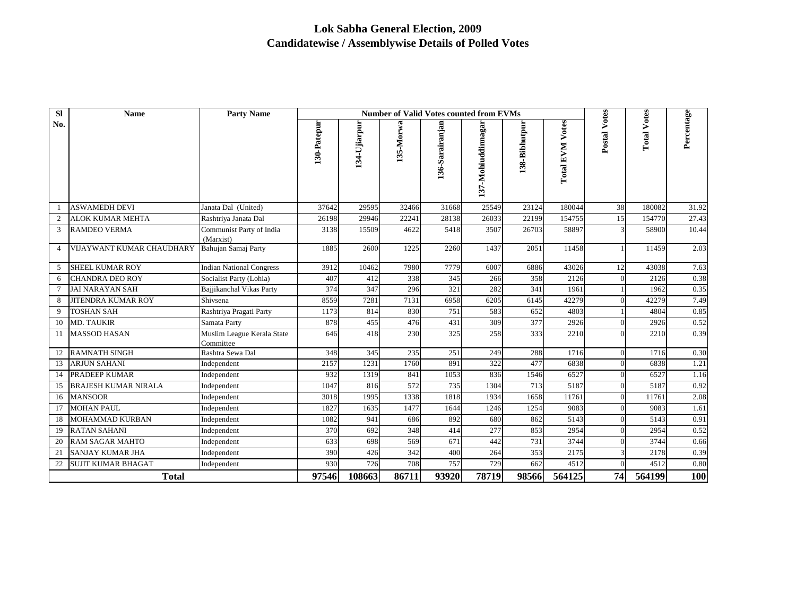| <b>SI</b>      | <b>Name</b>                 | <b>Party Name</b>                       | <b>Number of Valid Votes counted from EVMs</b> |              |           |                 |                    |               |                           |              |                    |            |
|----------------|-----------------------------|-----------------------------------------|------------------------------------------------|--------------|-----------|-----------------|--------------------|---------------|---------------------------|--------------|--------------------|------------|
| No.            |                             |                                         | 130-Patepur                                    | 134-Ujiarpur | 135-Morwa | 136-Sarairanjan | 137-Mohiuddinnagar | 138-Bibhutpur | Votes<br><b>Total EVM</b> | Postal Votes | <b>Total Votes</b> | Percentage |
|                | <b>ASWAMEDH DEVI</b>        | Janata Dal (United)                     | 37642                                          | 29595        | 32466     | 31668           | 25549              | 23124         | 180044                    | 38           | 180082             | 31.92      |
| 2              | <b>ALOK KUMAR MEHTA</b>     | Rashtriya Janata Dal                    | 26198                                          | 29946        | 22241     | 28138           | 26033              | 22199         | 154755                    | 15           | 154770             | 27.43      |
| 3              | <b>RAMDEO VERMA</b>         | Communist Party of India<br>(Marxist)   | 3138                                           | 15509        | 4622      | 5418            | 3507               | 26703         | 58897                     | 3            | 58900              | 10.44      |
| $\overline{4}$ | VIJAYWANT KUMAR CHAUDHARY   | Bahujan Samaj Party                     | 1885                                           | 2600         | 1225      | 2260            | 1437               | 2051          | 11458                     |              | 11459              | 2.03       |
| 5              | <b>SHEEL KUMAR ROY</b>      | <b>Indian National Congress</b>         | 3912                                           | 10462        | 7980      | 7779            | 6007               | 6886          | 43026                     | 12           | 43038              | 7.63       |
| 6              | <b>CHANDRA DEO ROY</b>      | Socialist Party (Lohia)                 | 407                                            | 412          | 338       | 345             | 266                | 358           | 2126                      |              | 2126               | 0.38       |
|                | <b>JAI NARAYAN SAH</b>      | Bajjikanchal Vikas Party                | 374                                            | 347          | 296       | 321             | 282                | 341           | 1961                      |              | 1962               | 0.35       |
|                | <b>JITENDRA KUMAR ROY</b>   | Shivsena                                | 8559                                           | 7281         | 7131      | 6958            | 6205               | 6145          | 42279                     |              | 42279              | 7.49       |
| 9              | <b>TOSHAN SAH</b>           | Rashtriya Pragati Party                 | 1173                                           | 814          | 830       | 751             | 583                | 652           | 4803                      |              | 4804               | 0.85       |
| 10             | <b>MD. TAUKIR</b>           | Samata Party                            | 878                                            | 455          | 476       | 431             | 309                | 377           | 2926                      | $\Omega$     | 2926               | 0.52       |
| 11             | <b>MASSOD HASAN</b>         | Muslim League Kerala State<br>Committee | 646                                            | 418          | 230       | 325             | 258                | 333           | 2210                      |              | 2210               | 0.39       |
| 12             | <b>RAMNATH SINGH</b>        | Rashtra Sewa Dal                        | 348                                            | 345          | 235       | 251             | 249                | 288           | 1716                      | $\Omega$     | 1716               | 0.30       |
| 13             | <b>ARJUN SAHANI</b>         | Independent                             | 2157                                           | 1231         | 1760      | 891             | 322                | 477           | 6838                      |              | 6838               | 1.21       |
| 14             | PRADEEP KUMAR               | Independent                             | 932                                            | 1319         | 841       | 1053            | 836                | 1546          | 6527                      |              | 6527               | 1.16       |
| 15             | <b>BRAJESH KUMAR NIRALA</b> | Independent                             | 1047                                           | 816          | 572       | 735             | 1304               | 713           | 5187                      |              | 5187               | 0.92       |
| 16             | <b>MANSOOR</b>              | Independent                             | 3018                                           | 1995         | 1338      | 1818            | 1934               | 1658          | 11761                     |              | 11761              | 2.08       |
| 17             | <b>MOHAN PAUL</b>           | Independent                             | 1827                                           | 1635         | 1477      | 1644            | 1246               | 1254          | 9083                      |              | 9083               | 1.61       |
| 18             | MOHAMMAD KURBAN             | Independent                             | 1082                                           | 941          | 686       | 892             | 680                | 862           | 5143                      |              | 5143               | 0.91       |
| 19             | <b>RATAN SAHANI</b>         | Independent                             | 370                                            | 692          | 348       | 414             | 277                | 853           | 2954                      |              | 2954               | 0.52       |
| 20             | <b>RAM SAGAR MAHTO</b>      | Independent                             | 633                                            | 698          | 569       | 671             | 442                | 731           | 3744                      |              | 3744               | 0.66       |
| 21             | <b>SANJAY KUMAR JHA</b>     | Independent                             | 390                                            | 426          | 342       | 400             | 264                | 353           | 2175                      |              | 2178               | 0.39       |
| 22             | <b>SUJIT KUMAR BHAGAT</b>   | Independent                             | 930                                            | 726          | 708       | 757             | 729                | 662           | 4512                      |              | 4512               | 0.80       |
|                | <b>Total</b>                |                                         | 97546                                          | 108663       | 86711     | 93920           | 78719              | 98566         | 564125                    | 74           | 564199             | 100        |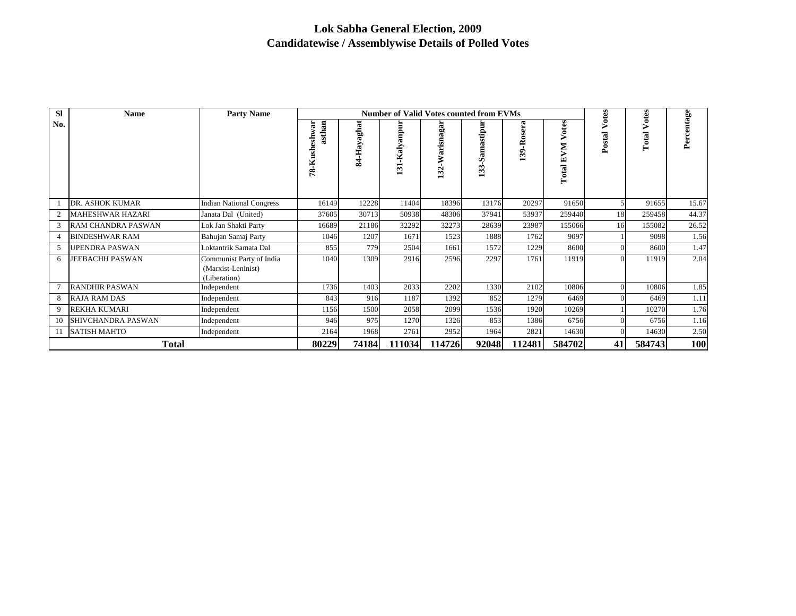| <b>SI</b> | <b>Name</b>               | <b>Party Name</b>                                              |                         |                |             | <b>Number of Valid Votes counted from EVMs</b> |                      |              |                      | otes        | Votes  |            |
|-----------|---------------------------|----------------------------------------------------------------|-------------------------|----------------|-------------|------------------------------------------------|----------------------|--------------|----------------------|-------------|--------|------------|
| No.       |                           |                                                                | asthan<br>78-Kusheshwar | aghat<br>84-Ha | 31-Kalyanpu | Warisnagaı<br>132                              | nastipur<br>S<br>133 | බ<br>139-Ros | otes<br>EVM<br>Total | ↘<br>Postal | Total  | Percentage |
|           | <b>DR. ASHOK KUMAR</b>    | <b>Indian National Congress</b>                                | 16149                   | 12228          | 11404       | 18396                                          | 13176                | 20297        | 91650                |             | 91655  | 15.67      |
|           | <b>MAHESHWAR HAZARI</b>   | Janata Dal (United)                                            | 37605                   | 30713          | 50938       | 48306                                          | 37941                | 53937        | 259440               | 18          | 259458 | 44.37      |
| 3         | <b>RAM CHANDRA PASWAN</b> | Lok Jan Shakti Party                                           | 16689                   | 21186          | 32292       | 32273                                          | 28639                | 23987        | 155066               | 16          | 155082 | 26.52      |
|           | <b>BINDESHWAR RAM</b>     | Bahujan Samaj Party                                            | 1046                    | 1207           | 1671        | 1523                                           | 1888                 | 1762         | 9097                 |             | 9098   | 1.56       |
| 5         | UPENDRA PASWAN            | Loktantrik Samata Dal                                          | 855                     | 779            | 2504        | 1661                                           | 1572                 | 1229         | 8600                 | $\Omega$    | 8600   | 1.47       |
| 6         | <b>JEEBACHH PASWAN</b>    | Communist Party of India<br>(Marxist-Leninist)<br>(Liberation) | 1040                    | 1309           | 2916        | 2596                                           | 2297                 | 1761         | 11919                | $\Omega$    | 11919  | 2.04       |
|           | <b>RANDHIR PASWAN</b>     | Independent                                                    | 1736                    | 1403           | 2033        | 2202                                           | 1330                 | 2102         | 10806                | $\Omega$    | 10806  | 1.85       |
| 8         | <b>RAJA RAM DAS</b>       | Independent                                                    | 843                     | 916            | 1187        | 1392                                           | 852                  | 1279         | 6469                 | $\Omega$    | 6469   | 1.11       |
| 9         | <b>REKHA KUMARI</b>       | Independent                                                    | 1156                    | 1500           | 2058        | 2099                                           | 1536                 | 1920         | 10269                |             | 10270  | 1.76       |
| 10        | SHIVCHANDRA PASWAN        | Independent                                                    | 946                     | 975            | 1270        | 1326                                           | 853                  | 1386         | 6756                 |             | 6756   | 1.16       |
| 11        | <b>SATISH MAHTO</b>       | Independent                                                    | 2164                    | 1968           | 2761        | 2952                                           | 1964                 | 2821         | 14630                | $\Omega$    | 14630  | 2.50       |
|           | <b>Total</b>              |                                                                | 80229                   | 74184          | 111034      | 114726                                         | 92048                | 112481       | 584702               | 41          | 584743 | <b>100</b> |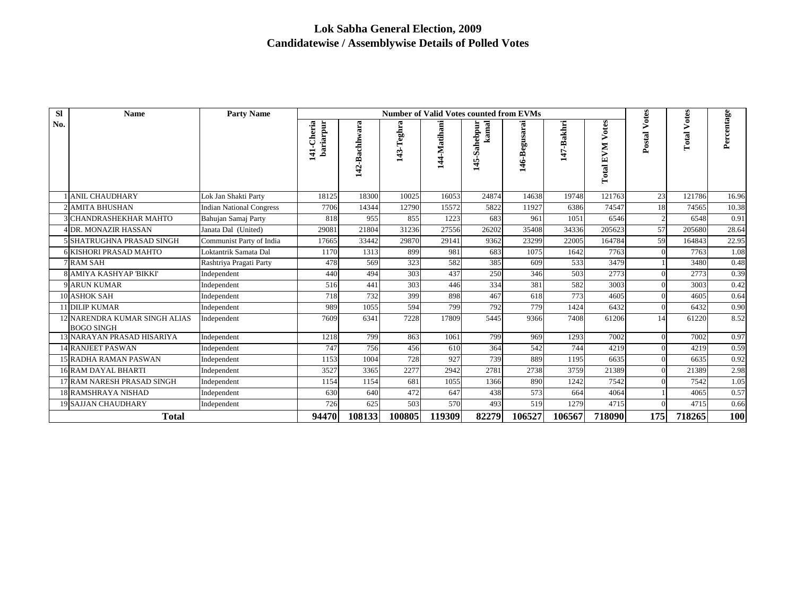| <b>SI</b> | <b>Name</b>                                        | <b>Party Name</b>               |                        |               | <b>Number of Valid Votes counted from EVMs</b> |              |                      |               |            |                        |                | otes       |            |
|-----------|----------------------------------------------------|---------------------------------|------------------------|---------------|------------------------------------------------|--------------|----------------------|---------------|------------|------------------------|----------------|------------|------------|
| No.       |                                                    |                                 | 141-Cheria<br>ariarpur | 142-Bachhwara | 143-Teghra                                     | 144-Matihani | kanal<br>45-Sahebpur | 146-Begusarai | 147-Bakhri | <b>Total EVM Votes</b> | Postal Votes   | ⋗<br>Total | Percentage |
|           | <b>ANIL CHAUDHARY</b>                              | Lok Jan Shakti Party            | 18125                  | 18300         | 10025                                          | 16053        | 24874                | 14638         | 19748      | 121763                 | 23             | 121786     | 16.96      |
|           | 2 AMITA BHUSHAN                                    | <b>Indian National Congress</b> | 7706                   | 14344         | 12790                                          | 15572        | 5822                 | 11927         | 6386       | 74547                  | 18             | 74565      | 10.38      |
|           | CHANDRASHEKHAR MAHTO                               | Bahujan Samaj Party             | 818                    | 955           | 855                                            | 1223         | 683                  | 961           | 1051       | 6546                   | $\overline{2}$ | 6548       | 0.91       |
|           | <b>4DR. MONAZIR HASSAN</b>                         | Janata Dal (United)             | 29081                  | 21804         | 31236                                          | 27556        | 26202                | 35408         | 34336      | 205623                 | 57             | 205680     | 28.64      |
|           | 5 SHATRUGHNA PRASAD SINGH                          | Communist Party of India        | 17665                  | 33442         | 29870                                          | 29141        | 9362                 | 23299         | 22005      | 164784                 | 59             | 164843     | 22.95      |
|           | <b>6 KISHORI PRASAD MAHTO</b>                      | Loktantrik Samata Dal           | 1170                   | 1313          | 899                                            | 981          | 683                  | 1075          | 1642       | 7763                   | $\Omega$       | 7763       | 1.08       |
|           | 7RAM SAH                                           | Rashtriya Pragati Party         | 478                    | 569           | 323                                            | 582          | 385                  | 609           | 533        | 3479                   |                | 3480       | 0.48       |
|           | <b>8 AMIYA KASHYAP BIKKI'</b>                      | Independent                     | 440                    | 494           | 303                                            | 437          | 250                  | 346           | 503        | 2773                   |                | 2773       | 0.39       |
|           | 9 ARUN KUMAR                                       | Independent                     | 516                    | 441           | 303                                            | 446          | 334                  | 381           | 582        | 3003                   |                | 3003       | 0.42       |
|           | 10 ASHOK SAH                                       | Independent                     | 718                    | 732           | 399                                            | 898          | 467                  | 618           | 773        | 4605                   | $\Omega$       | 4605       | 0.64       |
|           | <b>11 DILIP KUMAR</b>                              | Independent                     | 989                    | 1055          | 594                                            | 799          | 792                  | 779           | 1424       | 6432                   | $\Omega$       | 6432       | 0.90       |
|           | 12 NARENDRA KUMAR SINGH ALIAS<br><b>BOGO SINGH</b> | Independent                     | 7609                   | 6341          | 7228                                           | 17809        | 5445                 | 9366          | 7408       | 61206                  | 14             | 61220      | 8.52       |
|           | <b>13 NARAYAN PRASAD HISARIYA</b>                  | Independent                     | 1218                   | 799           | 863                                            | 1061         | 799                  | 969           | 1293       | 7002                   | $\Omega$       | 7002       | 0.97       |
|           | <b>14 RANJEET PASWAN</b>                           | Independent                     | 747                    | 756           | 456                                            | 610          | 364                  | 542           | 744        | 4219                   | $\Omega$       | 4219       | 0.59       |
|           | <b>15 RADHA RAMAN PASWAN</b>                       | Independent                     | 1153                   | 1004          | 728                                            | 927          | 739                  | 889           | 1195       | 6635                   | $\Omega$       | 6635       | 0.92       |
|           | <b>16 RAM DAYAL BHARTI</b>                         | Independent                     | 3527                   | 3365          | 2277                                           | 2942         | 2781                 | 2738          | 3759       | 21389                  | $\Omega$       | 21389      | 2.98       |
|           | 17 RAM NARESH PRASAD SINGH                         | Independent                     | 1154                   | 1154          | 681                                            | 1055         | 1366                 | 890           | 1242       | 7542                   | $\Omega$       | 7542       | 1.05       |
|           | <b>18 RAMSHRAYA NISHAD</b>                         | Independent                     | 630                    | 640           | 472                                            | 647          | 438                  | 573           | 664        | 4064                   |                | 4065       | 0.57       |
|           | <b>19 SAJJAN CHAUDHARY</b>                         | Independent                     | 726                    | 625           | 503                                            | 570          | 493                  | 519           | 1279       | 4715                   |                | 4715       | 0.66       |
|           | <b>Total</b>                                       |                                 |                        |               | 100805                                         | 119309       | 82279                | 106527        | 106567     | 718090                 | 175            | 718265     | 100        |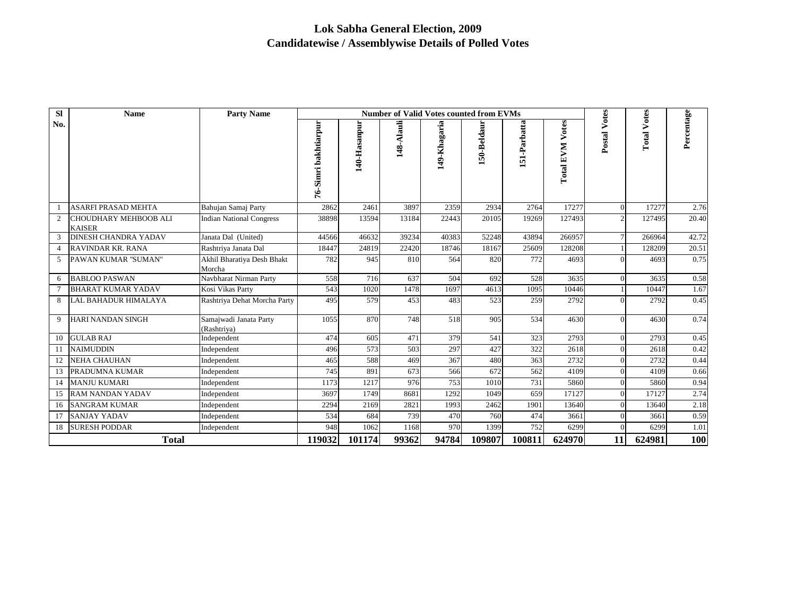| <b>SI</b>      | <b>Name</b>                                   | <b>Party Name</b>                     |                      |              |            | <b>Number of Valid Votes counted from EVMs</b> |             |             |                    |              |                    |            |
|----------------|-----------------------------------------------|---------------------------------------|----------------------|--------------|------------|------------------------------------------------|-------------|-------------|--------------------|--------------|--------------------|------------|
| No.            |                                               |                                       | 76-Simri bakhtiarpur | 140-Hasanpur | 148-Alauli | 149-Khagaria                                   | 150-Beldaur | 51-Parbatta | Votes<br>Total EVM | Postal Votes | <b>Total Votes</b> | Percentage |
|                | <b>ASARFI PRASAD MEHTA</b>                    | Bahujan Samaj Party                   | 2862                 | 2461         | 3897       | 2359                                           | 2934        | 2764        | 17277              | ∩            | 17277              | 2.76       |
| 2              | <b>CHOUDHARY MEHBOOB ALI</b><br><b>KAISER</b> | <b>Indian National Congress</b>       | 38898                | 13594        | 13184      | 22443                                          | 20105       | 19269       | 127493             | C            | 127495             | 20.40      |
| 3              | <b>DINESH CHANDRA YADAV</b>                   | Janata Dal (United)                   | 44566                | 46632        | 39234      | 40383                                          | 52248       | 43894       | 266957             | 7            | 266964             | 42.72      |
| $\overline{4}$ | <b>RAVINDAR KR. RANA</b>                      | Rashtriya Janata Dal                  | 18447                | 24819        | 22420      | 18746                                          | 18167       | 25609       | 128208             |              | 128209             | 20.51      |
| .5             | PAWAN KUMAR "SUMAN"                           | Akhil Bharatiya Desh Bhakt<br>Morcha  | 782                  | 945          | 810        | 564                                            | 820         | 772         | 4693               |              | 4693               | 0.75       |
| 6              | <b>BABLOO PASWAN</b>                          | Navbharat Nirman Party                | 558                  | 716          | 637        | 504                                            | 692         | 528         | 3635               | $\Omega$     | 3635               | 0.58       |
|                | <b>BHARAT KUMAR YADAV</b>                     | Kosi Vikas Party                      | 543                  | 1020         | 1478       | 1697                                           | 4613        | 1095        | 10446              |              | 10447              | 1.67       |
| 8              | LAL BAHADUR HIMALAYA                          | Rashtriya Dehat Morcha Party          | 495                  | 579          | 453        | 483                                            | 523         | 259         | 2792               |              | 2792               | 0.45       |
| 9              | <b>HARI NANDAN SINGH</b>                      | Samajwadi Janata Party<br>(Rashtriya) | 1055                 | 870          | 748        | 518                                            | 905         | 534         | 4630               | ∩            | 4630               | 0.74       |
| 10             | <b>GULAB RAJ</b>                              | Independent                           | 474                  | 605          | 471        | 379                                            | 541         | 323         | 2793               | $\Omega$     | 2793               | 0.45       |
| 11             | <b>NAIMUDDIN</b>                              | Independent                           | 496                  | 573          | 503        | 297                                            | 427         | 322         | 2618               |              | 2618               | 0.42       |
| 12             | <b>NEHA CHAUHAN</b>                           | Independent                           | 465                  | 588          | 469        | 367                                            | 480         | 363         | 2732               |              | 2732               | 0.44       |
| 13             | PRADUMNA KUMAR                                | Independent                           | 745                  | 891          | 673        | 566                                            | 672         | 562         | 4109               |              | 4109               | 0.66       |
| 14             | <b>MANJU KUMARI</b>                           | Independent                           | 1173                 | 1217         | 976        | 753                                            | 1010        | 731         | 5860               |              | 5860               | 0.94       |
| 15             | <b>RAM NANDAN YADAV</b>                       | Independent                           | 3697                 | 1749         | 8681       | 1292                                           | 1049        | 659         | 17127              |              | 17127              | 2.74       |
| 16             | <b>SANGRAM KUMAR</b>                          | Independent                           | 2294                 | 2169         | 2821       | 1993                                           | 2462        | 1901        | 13640              |              | 13640              | 2.18       |
| 17             | <b>SANJAY YADAV</b>                           | Independent                           | 534                  | 684          | 739        | 470                                            | 760         | 474         | 3661               |              | 3661               | 0.59       |
| 18             | <b>SURESH PODDAR</b>                          | Independent                           | 948                  | 1062         | 1168       | 970                                            | 1399        | 752         | 6299               |              | 6299               | 1.01       |
|                | <b>Total</b>                                  |                                       | 119032               | 101174       | 99362      | 94784                                          | 109807      | 100811      | 624970             | 11           | 624981             | 100        |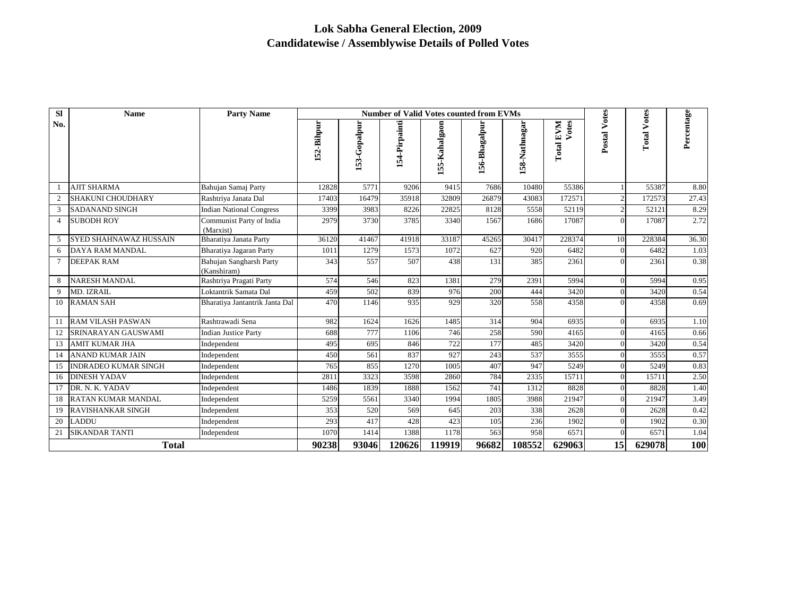| <b>SI</b>      | <b>Name</b>                 | <b>Party Name</b>                      |            |              |               | <b>Number of Valid Votes counted from EVMs</b> |               |               |                           |                |                    |            |
|----------------|-----------------------------|----------------------------------------|------------|--------------|---------------|------------------------------------------------|---------------|---------------|---------------------------|----------------|--------------------|------------|
| No.            |                             |                                        | 152-Bihpur | 153-Gopalpur | 154-Pirpainti | 155-Kahalgaon                                  | 156-Bhagalpur | 158-Nathnagar | Votes<br><b>Total EVM</b> | Postal Votes   | <b>Total Votes</b> | Percentage |
|                | <b>AJIT SHARMA</b>          | Bahujan Samaj Party                    | 12828      | 5771         | 9206          | 9415                                           | 7686          | 10480         | 55386                     |                | 55387              | 8.80       |
| 2              | <b>SHAKUNI CHOUDHARY</b>    | Rashtriya Janata Dal                   | 17403      | 16479        | 35918         | 32809                                          | 26879         | 43083         | 172571                    | $\overline{2}$ | 172573             | 27.43      |
| 3              | <b>SADANAND SINGH</b>       | <b>Indian National Congress</b>        | 3399       | 3983         | 8226          | 22825                                          | 8128          | 5558          | 52119                     | 2              | 52121              | 8.29       |
| $\overline{4}$ | <b>SUBODH ROY</b>           | Communist Party of India<br>(Marxist)  | 2979       | 3730         | 3785          | 3340                                           | 1567          | 1686          | 17087                     | $\Omega$       | 17087              | 2.72       |
| 5              | SYED SHAHNAWAZ HUSSAIN      | Bharatiya Janata Party                 | 36120      | 41467        | 41918         | 33187                                          | 45265         | 30417         | 228374                    | 10             | 228384             | 36.30      |
| 6              | <b>DAYA RAM MANDAL</b>      | Bharatiya Jagaran Party                | 1011       | 1279         | 1573          | 1072                                           | 627           | 920           | 6482                      |                | 6482               | 1.03       |
| $\tau$         | <b>DEEPAK RAM</b>           | Bahujan Sangharsh Party<br>(Kanshiram) | 343        | 557          | 507           | 438                                            | 131           | 385           | 2361                      | $\Omega$       | 2361               | 0.38       |
| 8              | <b>NARESH MANDAL</b>        | Rashtriya Pragati Party                | 574        | 546          | 823           | 1381                                           | 279           | 2391          | 5994                      | $\Omega$       | 5994               | 0.95       |
| 9              | MD. IZRAIL                  | Loktantrik Samata Dal                  | 459        | 502          | 839           | 976                                            | 200           | 444           | 3420                      | $\Omega$       | 3420               | 0.54       |
| 10             | <b>RAMAN SAH</b>            | Bharatiya Jantantrik Janta Dal         | 470        | 1146         | 935           | 929                                            | 320           | 558           | 4358                      |                | 4358               | 0.69       |
| 11             | <b>RAM VILASH PASWAN</b>    | Rashtrawadi Sena                       | 982        | 1624         | 1626          | 1485                                           | 314           | 904           | 6935                      | $\Omega$       | 6935               | 1.10       |
| 12             | SRINARAYAN GAUSWAMI         | <b>Indian Justice Party</b>            | 688        | 777          | 1106          | 746                                            | 258           | 590           | 4165                      | $\mathbf{0}$   | 4165               | 0.66       |
| 13             | <b>AMIT KUMAR JHA</b>       | Independent                            | 495        | 695          | 846           | 722                                            | 177           | 485           | 3420                      |                | 3420               | 0.54       |
| 14             | <b>ANAND KUMAR JAIN</b>     | Independent                            | 450        | 561          | 837           | 927                                            | 243           | 537           | 3555                      | $\Omega$       | 3555               | 0.57       |
| 15             | <b>INDRADEO KUMAR SINGH</b> | Independent                            | 765        | 855          | 1270          | 1005                                           | 407           | 947           | 5249                      |                | 5249               | 0.83       |
| 16             | <b>DINESH YADAV</b>         | Independent                            | 2811       | 3323         | 3598          | 2860                                           | 784           | 2335          | 15711                     | $\Omega$       | 15711              | 2.50       |
| 17             | DR. N. K. YADAV             | Independent                            | 1486       | 1839         | 1888          | 1562                                           | 741           | 1312          | 8828                      | $\Omega$       | 8828               | 1.40       |
| 18             | <b>RATAN KUMAR MANDAL</b>   | Independent                            | 5259       | 5561         | 3340          | 1994                                           | 1805          | 3988          | 21947                     |                | 21947              | 3.49       |
| 19             | <b>RAVISHANKAR SINGH</b>    | Independent                            | 353        | 520          | 569           | 645                                            | 203           | 338           | 2628                      | $\Omega$       | 2628               | 0.42       |
| 20             | <b>LADDU</b>                | Independent                            | 293        | 417          | 428           | 423                                            | 105           | 236           | 1902                      | $\Omega$       | 1902               | 0.30       |
| 21             | <b>SIKANDAR TANTI</b>       | Independent                            | 1070       | 1414         | 1388          | 1178                                           | 563           | 958           | 6571                      |                | 6571               | 1.04       |
|                | <b>Total</b>                |                                        | 90238      | 93046        | 120626        | 119919                                         | 96682         | 108552        | 629063                    | 15             | 629078             | 100        |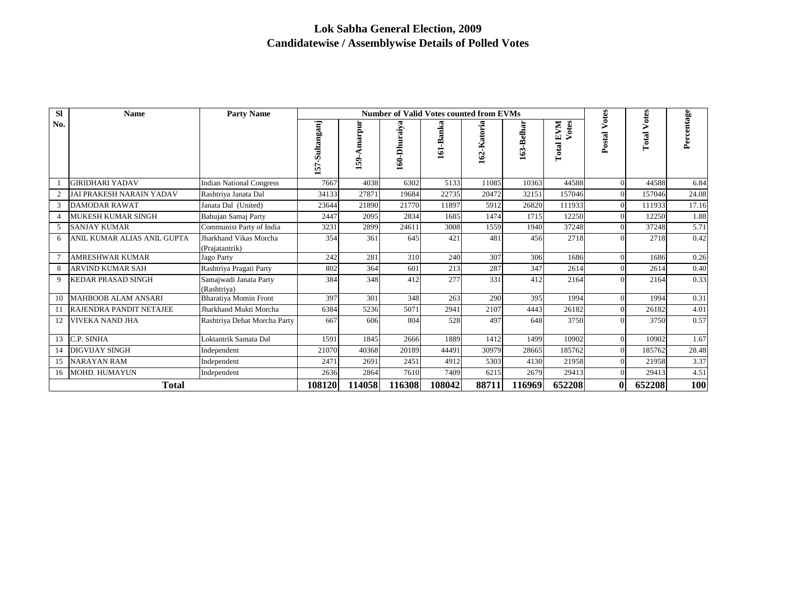| <b>SI</b> | <b>Name</b>                    | <b>Party Name</b>                        |                   |               | <b>Number of Valid Votes counted from EVMs</b> |           |             |            |                       |                 |                    |            |
|-----------|--------------------------------|------------------------------------------|-------------------|---------------|------------------------------------------------|-----------|-------------|------------|-----------------------|-----------------|--------------------|------------|
| No.       |                                |                                          | -Sultanganj<br>57 | marpur<br>್ಗಿ | 160-Dhuraiya                                   | 161-Banka | 162-Katoria | 163-Belhar | Votes<br>EVM<br>Total | Votes<br>Postal | <b>Total Votes</b> | Percentage |
|           | <b>GIRIDHARI YADAV</b>         | <b>Indian National Congress</b>          | 7667              | 4038          | 6302                                           | 5133      | 11085       | 10363      | 44588                 |                 | 44588              | 6.84       |
|           | JAI PRAKESH NARAIN YADAV       | Rashtriya Janata Dal                     | 34133             | 27871         | 19684                                          | 22735     | 20472       | 32151      | 157046                |                 | 157046             | 24.08      |
| 3         | <b>DAMODAR RAWAT</b>           | Janata Dal (United)                      | 23644             | 21890         | 21770                                          | 11897     | 5912        | 26820      | 111933                |                 | 111933             | 17.16      |
|           | <b>MUKESH KUMAR SINGH</b>      | Bahujan Samaj Party                      | 2447              | 2095          | 2834                                           | 1685      | 1474        | 1715       | 12250                 |                 | 12250              | 1.88       |
| 5         | <b>SANJAY KUMAR</b>            | Communist Party of India                 | 3231              | 2899          | 24611                                          | 3008      | 1559        | 1940       | 37248                 |                 | 37248              | 5.71       |
| 6         | ANIL KUMAR ALIAS ANIL GUPTA    | Jharkhand Vikas Morcha<br>(Praiatantrik) | 354               | 361           | 645                                            | 421       | 481         | 456        | 2718                  |                 | 2718               | 0.42       |
|           | <b>AMRESHWAR KUMAR</b>         | Jago Party                               | 242               | 281           | 310                                            | 240       | 307         | 306        | 1686                  |                 | 1686               | 0.26       |
|           | <b>ARVIND KUMAR SAH</b>        | Rashtriya Pragati Party                  | 802               | 364           | 601                                            | 213       | 287         | 347        | 2614                  |                 | 2614               | 0.40       |
| 9         | <b>KEDAR PRASAD SINGH</b>      | Samajwadi Janata Party<br>(Rashtriya)    | 384               | 348           | 412                                            | 277       | 331         | 412        | 2164                  |                 | 2164               | 0.33       |
| 10        | <b>MAHBOOB ALAM ANSARI</b>     | <b>Bharatiya Momin Front</b>             | 397               | 301           | 348                                            | 263       | 290         | 395        | 1994                  |                 | 1994               | 0.31       |
|           | <b>RAJENDRA PANDIT NETAJEE</b> | Jharkhand Mukti Morcha                   | 6384              | 5236          | 5071                                           | 2941      | 2107        | 4443       | 26182                 |                 | 26182              | 4.01       |
| 12        | VIVEKA NAND JHA                | Rashtriya Dehat Morcha Party             | 667               | 606           | 804                                            | 528       | 497         | 648        | 3750                  |                 | 3750               | 0.57       |
| 13        | C.P. SINHA                     | Loktantrik Samata Dal                    | 1591              | 1845          | 2666                                           | 1889      | 1412        | 1499       | 10902                 |                 | 10902              | 1.67       |
| 14        | DIGVIJAY SINGH                 | Independent                              | 21070             | 40368         | 20189                                          | 44491     | 30979       | 28665      | 185762                |                 | 185762             | 28.48      |
| 15        | <b>NARAYAN RAM</b>             | Independent                              | 2471              | 2691          | 2451                                           | 4912      | 5303        | 4130       | 21958                 |                 | 21958              | 3.37       |
| 16        | <b>MOHD. HUMAYUN</b>           | Independent                              | 2636              | 2864          | 7610                                           | 7409      | 6215        | 2679       | 29413                 |                 | 29413              | 4.51       |
|           | Total                          |                                          | 108120            | 114058        | 116308                                         | 108042    | 88711       | 116969     | 652208                |                 | 652208             | 100        |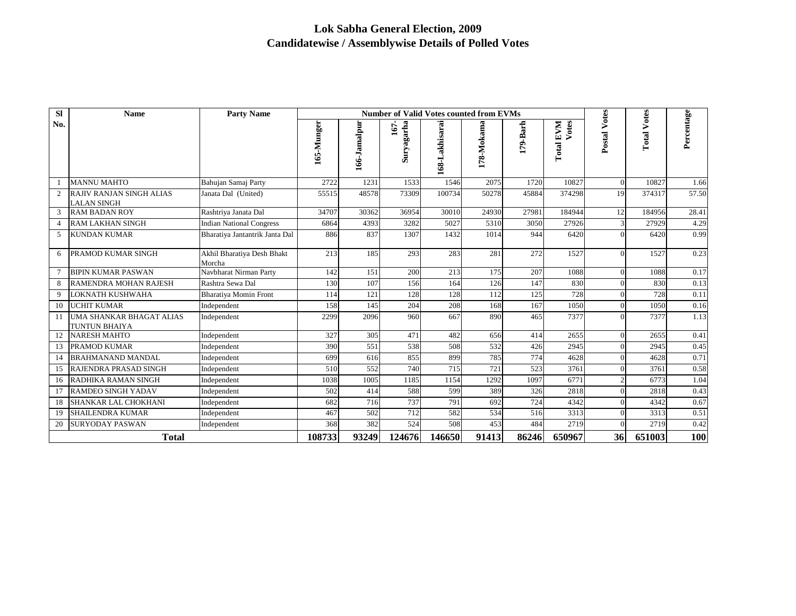| <b>SI</b>      | <b>Name</b>                                           | <b>Party Name</b>                    |            |              |                   |                | <b>Number of Valid Votes counted from EVMs</b> |          |                       |              |                    |            |
|----------------|-------------------------------------------------------|--------------------------------------|------------|--------------|-------------------|----------------|------------------------------------------------|----------|-----------------------|--------------|--------------------|------------|
| No.            |                                                       |                                      | 165-Munger | 166-Jamalpur | Suryagarha<br>167 | 168-Lakhisarai | 178-Mokama                                     | 179-Barh | Votes<br>EVM<br>Total | Postal Votes | <b>Total Votes</b> | Percentage |
|                | <b>MANNU MAHTO</b>                                    | Bahujan Samaj Party                  | 2722       | 1231         | 1533              | 1546           | 2075                                           | 1720     | 10827                 | $\Omega$     | 10827              | 1.66       |
| 2              | <b>RAJIV RANJAN SINGH ALIAS</b><br><b>LALAN SINGH</b> | Janata Dal (United)                  | 55515      | 48578        | 73309             | 100734         | 50278                                          | 45884    | 374298                | 19           | 374317             | 57.50      |
| 3              | <b>RAM BADAN ROY</b>                                  | Rashtriya Janata Dal                 | 34707      | 30362        | 36954             | 30010          | 24930                                          | 27981    | 184944                | 12           | 184956             | 28.41      |
| $\overline{4}$ | <b>RAM LAKHAN SINGH</b>                               | <b>Indian National Congress</b>      | 6864       | 4393         | 3282              | 5027           | 5310                                           | 3050     | 27926                 |              | 27929              | 4.29       |
| 5              | <b>KUNDAN KUMAR</b>                                   | Bharatiya Jantantrik Janta Dal       | 886        | 837          | 1307              | 1432           | 1014                                           | 944      | 6420                  |              | 6420               | 0.99       |
| 6              | PRAMOD KUMAR SINGH                                    | Akhil Bharatiya Desh Bhakt<br>Morcha | 213        | 185          | 293               | 283            | 281                                            | 272      | 1527                  | $\Omega$     | 1527               | 0.23       |
| $\tau$         | <b>BIPIN KUMAR PASWAN</b>                             | Navbharat Nirman Party               | 142        | 151          | 200               | 213            | 175                                            | 207      | 1088                  | $\Omega$     | 1088               | 0.17       |
| 8              | <b>RAMENDRA MOHAN RAJESH</b>                          | Rashtra Sewa Dal                     | 130        | 107          | 156               | 164            | 126                                            | 147      | 830                   |              | 830                | 0.13       |
| 9              | <b>LOKNATH KUSHWAHA</b>                               | <b>Bharatiya Momin Front</b>         | 114        | 121          | 128               | 128            | 112                                            | 125      | 728                   |              | 728                | 0.11       |
| 10             | <b>UCHIT KUMAR</b>                                    | Independent                          | 158        | 145          | 204               | 208            | 168                                            | 167      | 1050                  |              | 1050               | 0.16       |
| 11             | UMA SHANKAR BHAGAT ALIAS<br><b>TUNTUN BHAIYA</b>      | Independent                          | 2299       | 2096         | 960               | 667            | 890                                            | 465      | 7377                  |              | 7377               | 1.13       |
| 12             | <b>NARESH MAHTO</b>                                   | Independent                          | 327        | 305          | 471               | 482            | 656                                            | 414      | 2655                  | $\Omega$     | 2655               | 0.41       |
| 13             | <b>PRAMOD KUMAR</b>                                   | Independent                          | 390        | 551          | 538               | 508            | 532                                            | 426      | 2945                  |              | 2945               | 0.45       |
| 14             | <b>BRAHMANAND MANDAL</b>                              | Independent                          | 699        | 616          | 855               | 899            | 785                                            | 774      | 4628                  |              | 4628               | 0.71       |
| 15             | RAJENDRA PRASAD SINGH                                 | Independent                          | 510        | 552          | 740               | 715            | 721                                            | 523      | 3761                  |              | 3761               | 0.58       |
| 16             | RADHIKA RAMAN SINGH                                   | Independent                          | 1038       | 1005         | 1185              | 1154           | 1292                                           | 1097     | 6771                  |              | 6773               | 1.04       |
| 17             | <b>RAMDEO SINGH YADAV</b>                             | Independent                          | 502        | 414          | 588               | 599            | 389                                            | 326      | 2818                  |              | 2818               | 0.43       |
| 18             | SHANKAR LAL CHOKHANI                                  | Independent                          | 682        | 716          | 737               | 791            | 692                                            | 724      | 4342                  |              | 4342               | 0.67       |
| 19             | <b>SHAILENDRA KUMAR</b>                               | Independent                          | 467        | 502          | 712               | 582            | 534                                            | 516      | 3313                  |              | 3313               | 0.51       |
| 20             | <b>SURYODAY PASWAN</b>                                | Independent                          | 368        | 382          | 524               | 508            | 453                                            | 484      | 2719                  |              | 2719               | 0.42       |
|                | <b>Total</b>                                          |                                      | 108733     | 93249        | 124676            | 146650         | 91413                                          | 86246    | 650967                | 36           | 651003             | 100        |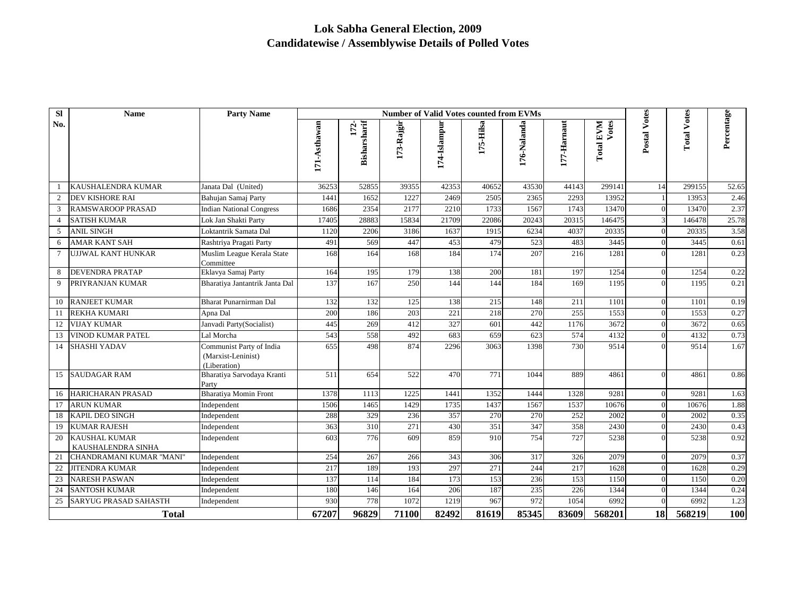| <b>Sl</b>      | <b>Name</b>                                | <b>Party Name</b>                                              |              |                      |            |              | <b>Number of Valid Votes counted from EVMs</b> |             |             |                       |              |                             |            |
|----------------|--------------------------------------------|----------------------------------------------------------------|--------------|----------------------|------------|--------------|------------------------------------------------|-------------|-------------|-----------------------|--------------|-----------------------------|------------|
| No.            |                                            |                                                                | 171-Asthawan | 172-<br>Bisharsharif | 173-Rajgir | 174-Islampur | 175-Hilsa                                      | 176-Nalanda | 177-Harnaut | Votes<br>EVM<br>Total | Postal Votes | Votes<br>Total <sup>-</sup> | Percentage |
|                | <b>KAUSHALENDRA KUMAR</b>                  | Janata Dal (United)                                            | 36253        | 52855                | 39355      | 42353        | 40652                                          | 43530       | 44143       | 299141                | 14           | 299155                      | 52.65      |
| 2              | <b>DEV KISHORE RAI</b>                     | Bahujan Samaj Party                                            | 1441         | 1652                 | 1227       | 2469         | 2505                                           | 2365        | 2293        | 13952                 |              | 13953                       | 2.46       |
| 3              | <b>RAMSWAROOP PRASAD</b>                   | <b>Indian National Congress</b>                                | 1686         | 2354                 | 2177       | 2210         | 1733                                           | 1567        | 1743        | 13470                 | $\Omega$     | 13470                       | 2.37       |
| $\overline{4}$ | <b>SATISH KUMAR</b>                        | Lok Jan Shakti Party                                           | 17405        | 28883                | 15834      | 21709        | 22086                                          | 20243       | 20315       | 146475                |              | 146478                      | 25.78      |
| 5              | <b>ANIL SINGH</b>                          | Loktantrik Samata Dal                                          | 1120         | 2206                 | 3186       | 1637         | 1915                                           | 6234        | 4037        | 20335                 | $\Omega$     | 20335                       | 3.58       |
| 6              | <b>AMAR KANT SAH</b>                       | Rashtriya Pragati Party                                        | 491          | 569                  | 447        | 453          | 479                                            | 523         | 483         | 3445                  | $\Omega$     | 3445                        | 0.61       |
| 7              | UJJWAL KANT HUNKAR                         | Muslim League Kerala State<br>Committee                        | 168          | 164                  | 168        | 184          | 174                                            | 207         | 216         | 1281                  | $\Omega$     | 1281                        | 0.23       |
| 8              | <b>DEVENDRA PRATAP</b>                     | Eklavya Samaj Party                                            | 164          | 195                  | 179        | 138          | 200                                            | 181         | 197         | 1254                  | $\Omega$     | 1254                        | 0.22       |
| 9              | PRIYRANJAN KUMAR                           | Bharatiya Jantantrik Janta Dal                                 | 137          | 167                  | 250        | 144          | 144                                            | 184         | 169         | 1195                  |              | 1195                        | 0.21       |
| 10             | <b>RANJEET KUMAR</b>                       | Bharat Punarnirman Dal                                         | 132          | 132                  | 125        | 138          | 215                                            | 148         | 211         | 1101                  | $\Omega$     | 1101                        | 0.19       |
| 11             | <b>REKHA KUMARI</b>                        | Apna Dal                                                       | 200          | 186                  | 203        | 221          | 218                                            | 270         | 255         | 1553                  | $\Omega$     | 1553                        | 0.27       |
| 12             | <b>VIJAY KUMAR</b>                         | Janvadi Party(Socialist)                                       | 445          | 269                  | 412        | 327          | 601                                            | 442         | 1176        | 3672                  | $\Omega$     | 3672                        | 0.65       |
| 13             | VINOD KUMAR PATEL                          | Lal Morcha                                                     | 543          | 558                  | 492        | 683          | 659                                            | 623         | 574         | 4132                  | $\Omega$     | 4132                        | 0.73       |
| 14             | <b>SHASHI YADAV</b>                        | Communist Party of India<br>(Marxist-Leninist)<br>(Liberation) | 655          | 498                  | 874        | 2296         | 3063                                           | 1398        | 730         | 9514                  | $\Omega$     | 9514                        | 1.67       |
| 15             | <b>SAUDAGAR RAM</b>                        | Bharatiya Sarvodaya Kranti<br>Party                            | 511          | 654                  | 522        | 470          | 771                                            | 1044        | 889         | 4861                  | $\Omega$     | 4861                        | 0.86       |
|                | 16 HARICHARAN PRASAD                       | <b>Bharatiya Momin Front</b>                                   | 1378         | 1113                 | 1225       | 1441         | 1352                                           | 1444        | 1328        | 9281                  | $\Omega$     | 9281                        | 1.63       |
| 17             | <b>ARUN KUMAR</b>                          | Independent                                                    | 1506         | 1465                 | 1429       | 1735         | 1437                                           | 1567        | 1537        | 10676                 | $\Omega$     | 10676                       | 1.88       |
| 18             | <b>KAPIL DEO SINGH</b>                     | Independent                                                    | 288          | 329                  | 236        | 357          | 270                                            | 270         | 252         | 2002                  |              | 2002                        | 0.35       |
| 19             | <b>KUMAR RAJESH</b>                        | Independent                                                    | 363          | 310                  | 271        | 430          | 351                                            | 347         | 358         | 2430                  | $\Omega$     | 2430                        | 0.43       |
| 20             | <b>KAUSHAL KUMAR</b><br>KAUSHALENDRA SINHA | Independent                                                    | 603          | 776                  | 609        | 859          | 910                                            | 754         | 727         | 5238                  | $\Omega$     | 5238                        | 0.92       |
| 21             | CHANDRAMANI KUMAR "MANI"                   | Independent                                                    | 254          | 267                  | 266        | 343          | 306                                            | 317         | 326         | 2079                  | $\Omega$     | 2079                        | 0.37       |
| 22             | <b>JITENDRA KUMAR</b>                      | Independent                                                    | 217          | 189                  | 193        | 297          | 271                                            | 244         | 217         | 1628                  | $\theta$     | 1628                        | 0.29       |
| 23             | <b>NARESH PASWAN</b>                       | Independent                                                    | 137          | 114                  | 184        | 173          | 153                                            | 236         | 153         | 1150                  | $\Omega$     | 1150                        | 0.20       |
| 24             | <b>SANTOSH KUMAR</b>                       | Independent                                                    | 180          | 146                  | 164        | 206          | 187                                            | 235         | 226         | 1344                  | $\Omega$     | 1344                        | 0.24       |
| 25             | <b>SARYUG PRASAD SAHASTH</b>               | Independent                                                    | 930          | 778                  | 1072       | 1219         | 967                                            | 972         | 1054        | 6992                  | $\Omega$     | 6992                        | 1.23       |
|                | <b>Total</b>                               |                                                                | 67207        | 96829                | 71100      | 82492        | 81619                                          | 85345       | 83609       | 568201                | 18           | 568219                      | 100        |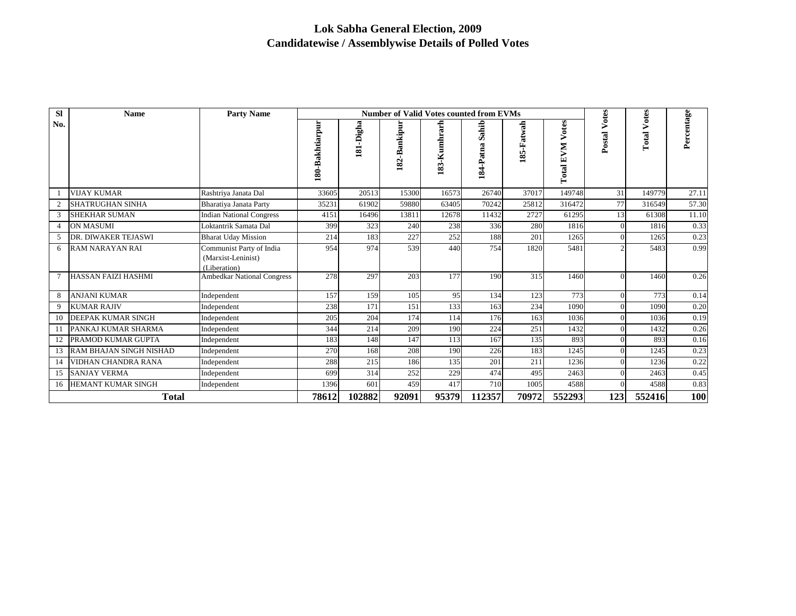| <b>SI</b>      | <b>Name</b>                    | <b>Party Name</b>                                              |                 |           |              | <b>Number of Valid Votes counted from EVMs</b> |                    |            |                              |                 |                    |            |
|----------------|--------------------------------|----------------------------------------------------------------|-----------------|-----------|--------------|------------------------------------------------|--------------------|------------|------------------------------|-----------------|--------------------|------------|
| No.            |                                |                                                                | 180-Bakhtiarpur | 181-Digha | 182-Bankipur | 183-Kumhrarh                                   | Sahib<br>184-Patna | 185-Fatwah | Votes<br>EVM<br><b>Total</b> | Votes<br>Postal | <b>Total Votes</b> | Percentage |
|                | <b>VIJAY KUMAR</b>             | Rashtriya Janata Dal                                           | 33605           | 20513     | 15300        | 16573                                          | 26740              | 37017      | 149748                       | 31              | 149779             | 27.11      |
|                | <b>SHATRUGHAN SINHA</b>        | Bharatiya Janata Party                                         | 35231           | 61902     | 59880        | 63405                                          | 70242              | 25812      | 316472                       | 77              | 316549             | 57.30      |
| 3              | <b>SHEKHAR SUMAN</b>           | <b>Indian National Congress</b>                                | 4151            | 16496     | 13811        | 12678                                          | 11432              | 2727       | 61295                        | 13              | 61308              | 11.10      |
| $\overline{4}$ | <b>ON MASUMI</b>               | Loktantrik Samata Dal                                          | 399             | 323       | 240          | 238                                            | 336                | 280        | 1816                         | $\Omega$        | 1816               | 0.33       |
|                | DR. DIWAKER TEJASWI            | <b>Bharat Uday Mission</b>                                     | 214             | 183       | 227          | 252                                            | 188                | 201        | 1265                         | $\Omega$        | 1265               | 0.23       |
| 6              | <b>RAM NARAYAN RAI</b>         | Communist Party of India<br>(Marxist-Leninist)<br>(Liberation) | 954             | 974       | 539          | 440                                            | 754                | 1820       | 5481                         |                 | 5483               | 0.99       |
|                | HASSAN FAIZI HASHMI            | <b>Ambedkar National Congress</b>                              | 278             | 297       | 203          | 177                                            | 190                | 315        | 1460                         | $\Omega$        | 1460               | 0.26       |
|                | <b>ANJANI KUMAR</b>            | Independent                                                    | 157             | 159       | 105          | 95                                             | 134                | 123        | 773                          | $\Omega$        | 773                | 0.14       |
| 9              | <b>KUMAR RAJIV</b>             | Independent                                                    | 238             | 171       | 151          | 133                                            | 163                | 234        | 1090                         |                 | 1090               | 0.20       |
| 10             | DEEPAK KUMAR SINGH             | Independent                                                    | 205             | 204       | 174          | 114                                            | 176                | 163        | 1036                         | $\Omega$        | 1036               | 0.19       |
| 11             | PANKAJ KUMAR SHARMA            | Independent                                                    | 344             | 214       | 209          | 190                                            | 224                | 251        | 1432                         | $\Omega$        | 1432               | 0.26       |
| 12             | PRAMOD KUMAR GUPTA             | Independent                                                    | 183             | 148       | 147          | 113                                            | 167                | 135        | 893                          | $\Omega$        | 893                | 0.16       |
| 13             | <b>RAM BHAJAN SINGH NISHAD</b> | Independent                                                    | 270             | 168       | 208          | 190                                            | 226                | 183        | 1245                         | 0               | 1245               | 0.23       |
| 14             | VIDHAN CHANDRA RANA            | Independent                                                    | 288             | 215       | 186          | 135                                            | 201                | 211        | 1236                         |                 | 1236               | 0.22       |
| 15             | <b>SANJAY VERMA</b>            | Independent                                                    | 699             | 314       | 252          | 229                                            | 474                | 495        | 2463                         | $\Omega$        | 2463               | 0.45       |
| 16             | <b>HEMANT KUMAR SINGH</b>      | Independent                                                    | 1396            | 601       | 459          | 417                                            | 710                | 1005       | 4588                         |                 | 4588               | 0.83       |
|                | <b>Total</b>                   |                                                                | 78612           | 102882    | 92091        | 95379                                          | 112357             | 70972      | 552293                       | 123             | 552416             | 100        |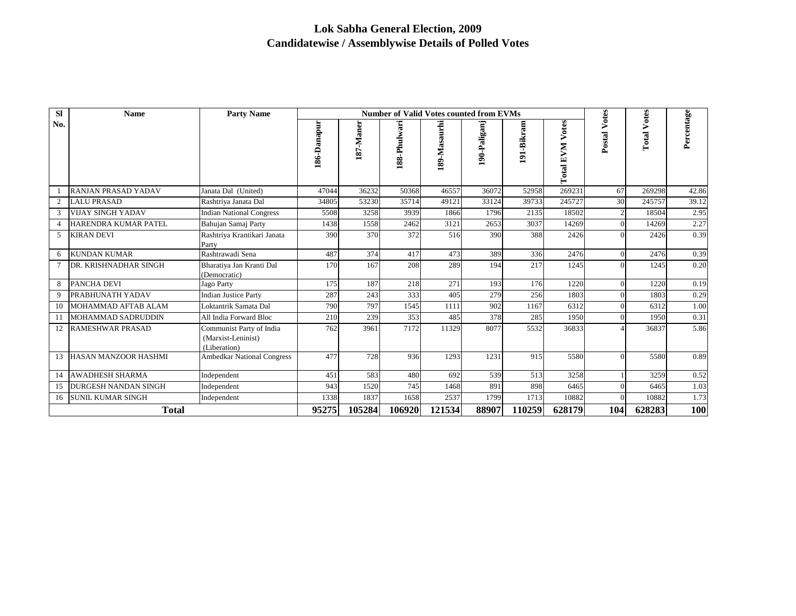| <b>SI</b> | <b>Name</b>                 | <b>Party Name</b>                                              |             |           | <b>Number of Valid Votes counted from EVMs</b> |              |              |            |                          |                 |                    |            |
|-----------|-----------------------------|----------------------------------------------------------------|-------------|-----------|------------------------------------------------|--------------|--------------|------------|--------------------------|-----------------|--------------------|------------|
| No.       |                             |                                                                | 186-Danapur | 187-Maner | 188-Phulwari                                   | 189-Masaurhi | 190-Paliganj | 191-Bikram | otes<br>ÞМ<br>E<br>Total | Votes<br>Postal | <b>Total Votes</b> | Percentage |
|           | <b>RANJAN PRASAD YADAV</b>  | Janata Dal (United)                                            | 47044       | 36232     | 50368                                          | 46557        | 36072        | 52958      | 269231                   | 67              | 269298             | 42.86      |
| 2         | <b>LALU PRASAD</b>          | Rashtriya Janata Dal                                           | 34805       | 53230     | 35714                                          | 49121        | 33124        | 39733      | 245727                   | 30              | 245757             | 39.12      |
| 3         | <b>VIJAY SINGH YADAV</b>    | <b>Indian National Congress</b>                                | 5508        | 3258      | 3939                                           | 1866         | 1796         | 2135       | 18502                    | $\mathfrak{D}$  | 18504              | 2.95       |
| 4         | HARENDRA KUMAR PATEL        | Bahujan Samaj Party                                            | 1438        | 1558      | 2462                                           | 3121         | 2653         | 3037       | 14269                    |                 | 14269              | 2.27       |
| 5         | <b>KIRAN DEVI</b>           | Rashtriya Krantikari Janata<br>Party                           | 390         | 370       | 372                                            | 516          | 390          | 388        | 2426                     |                 | 2426               | 0.39       |
| 6         | <b>KUNDAN KUMAR</b>         | Rashtrawadi Sena                                               | 487         | 374       | 417                                            | 473          | 389          | 336        | 2476                     |                 | 2476               | 0.39       |
|           | DR. KRISHNADHAR SINGH       | Bharatiya Jan Kranti Dal<br>(Democratic)                       | 170         | 167       | 208                                            | 289          | 194          | 217        | 1245                     |                 | 1245               | 0.20       |
| 8         | PANCHA DEVI                 | Jago Party                                                     | 175         | 187       | 218                                            | 271          | 193          | 176        | 1220                     | $\Omega$        | 1220               | 0.19       |
| 9         | PRABHUNATH YADAV            | <b>Indian Justice Party</b>                                    | 287         | 243       | 333                                            | 405          | 279          | 256        | 1803                     |                 | 1803               | 0.29       |
| 10        | <b>MOHAMMAD AFTAB ALAM</b>  | Loktantrik Samata Dal                                          | 790         | 797       | 1545                                           | 1111         | 902          | 1167       | 6312                     |                 | 6312               | 1.00       |
| 11        | <b>MOHAMMAD SADRUDDIN</b>   | All India Forward Bloc                                         | 210         | 239       | 353                                            | 485          | 378          | 285        | 1950                     |                 | 1950               | 0.31       |
| 12        | <b>RAMESHWAR PRASAD</b>     | Communist Party of India<br>(Marxist-Leninist)<br>(Liberation) | 762         | 3961      | 7172                                           | 11329        | 8077         | 5532       | 36833                    |                 | 36837              | 5.86       |
| 13        | HASAN MANZOOR HASHMI        | <b>Ambedkar National Congress</b>                              | 477         | 728       | 936                                            | 1293         | 1231         | 915        | 5580                     |                 | 5580               | 0.89       |
| 14        | <b>AWADHESH SHARMA</b>      | Independent                                                    | 451         | 583       | 480                                            | 692          | 539          | 513        | 3258                     |                 | 3259               | 0.52       |
| 15        | <b>DURGESH NANDAN SINGH</b> | Independent                                                    | 943         | 1520      | 745                                            | 1468         | 891          | 898        | 6465                     |                 | 6465               | 1.03       |
| 16        | <b>SUNIL KUMAR SINGH</b>    | Independent                                                    | 1338        | 1837      | 1658                                           | 2537         | 1799         | 1713       | 10882                    |                 | 10882              | 1.73       |
|           | <b>Total</b>                |                                                                | 95275       | 105284    | 106920                                         | 121534       | 88907        | 110259     | 628179                   | 104             | 628283             | 100        |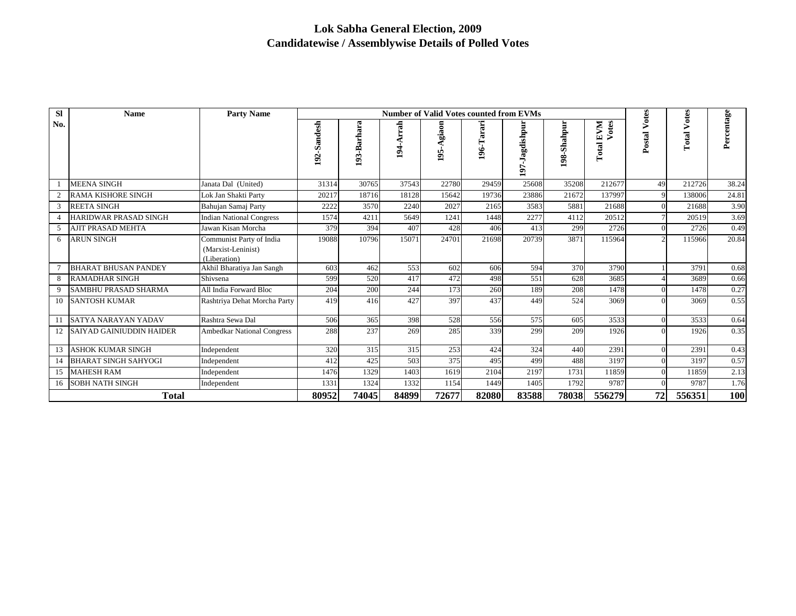| <b>SI</b>      | <b>Name</b>                  | <b>Party Name</b>                                              |                |             |           |            | <b>Number of Valid Votes counted from EVMs</b> |                  |             |                              |               | otes       |            |
|----------------|------------------------------|----------------------------------------------------------------|----------------|-------------|-----------|------------|------------------------------------------------|------------------|-------------|------------------------------|---------------|------------|------------|
| No.            |                              |                                                                | esh<br>92-Sand | 193-Barhara | 194-Arrah | 195-Agiaon | 196-Tarari                                     | -Jagdishpur<br>5 | 198-Shahpur | Votes<br><b>EVM</b><br>Total | Postal Votes  | ⋗<br>Total | Percentage |
|                | <b>MEENA SINGH</b>           | Janata Dal (United)                                            | 31314          | 30765       | 37543     | 22780      | 29459                                          | 25608            | 35208       | 212677                       | 49            | 212726     | 38.24      |
|                | <b>RAMA KISHORE SINGH</b>    | Lok Jan Shakti Party                                           | 20217          | 18716       | 18128     | 15642      | 19736                                          | 23886            | 21672       | 137997                       | $\mathbf Q$   | 138006     | 24.81      |
| 3              | <b>REETA SINGH</b>           | Bahujan Samaj Party                                            | 2222           | 3570        | 2240      | 2027       | 2165                                           | 3583             | 5881        | 21688                        | $\Omega$      | 21688      | 3.90       |
| $\overline{4}$ | <b>HARIDWAR PRASAD SINGH</b> | <b>Indian National Congress</b>                                | 1574           | 4211        | 5649      | 1241       | 1448                                           | 2277             | 4112        | 20512                        |               | 20519      | 3.69       |
| 5              | <b>AJIT PRASAD MEHTA</b>     | Jawan Kisan Morcha                                             | 379            | 394         | 407       | 428        | 406                                            | 413              | 299         | 2726                         | $\Omega$      | 2726       | 0.49       |
| 6              | <b>ARUN SINGH</b>            | Communist Party of India<br>(Marxist-Leninist)<br>(Liberation) | 19088          | 10796       | 15071     | 24701      | 21698                                          | 20739            | 3871        | 115964                       | $\mathcal{D}$ | 115966     | 20.84      |
|                | <b>BHARAT BHUSAN PANDEY</b>  | Akhil Bharatiya Jan Sangh                                      | 603            | 462         | 553       | 602        | 606                                            | 594              | 370         | 3790                         |               | 3791       | 0.68       |
|                | 8 RAMADHAR SINGH             | Shivsena                                                       | 599            | 520         | 417       | 472        | 498                                            | 551              | 628         | 3685                         |               | 3689       | 0.66       |
|                | <b>SAMBHU PRASAD SHARMA</b>  | All India Forward Bloc                                         | 204            | 200         | 244       | 173        | 260                                            | 189              | 208         | 1478                         |               | 1478       | 0.27       |
| 10             | <b>SANTOSH KUMAR</b>         | Rashtriya Dehat Morcha Party                                   | 419            | 416         | 427       | 397        | 437                                            | 449              | 524         | 3069                         |               | 3069       | 0.55       |
|                | 11 SATYA NARAYAN YADAV       | Rashtra Sewa Dal                                               | 506            | 365         | 398       | 528        | 556                                            | 575              | 605         | 3533                         | $\Omega$      | 3533       | 0.64       |
|                | 12 SAIYAD GAINIUDDIN HAIDER  | <b>Ambedkar National Congress</b>                              | 288            | 237         | 269       | 285        | 339                                            | 299              | 209         | 1926                         | $\Omega$      | 1926       | 0.35       |
| 13             | <b>ASHOK KUMAR SINGH</b>     | Independent                                                    | 320            | 315         | 315       | 253        | 424                                            | 324              | 440         | 2391                         | $\Omega$      | 2391       | 0.43       |
| 14             | <b>BHARAT SINGH SAHYOGI</b>  | Independent                                                    | 412            | 425         | 503       | 375        | 495                                            | 499              | 488         | 3197                         |               | 3197       | 0.57       |
| 15             | <b>MAHESH RAM</b>            | Independent                                                    | 1476           | 1329        | 1403      | 1619       | 2104                                           | 2197             | 1731        | 11859                        | $\Omega$      | 11859      | 2.13       |
|                | 16 SOBH NATH SINGH           | Independent                                                    | 1331           | 1324        | 1332      | 1154       | 1449                                           | 1405             | 1792        | 9787                         | $\Omega$      | 9787       | 1.76       |
|                | <b>Total</b>                 |                                                                | 80952          | 74045       | 84899     | 72677      | 82080                                          | 83588            | 78038       | 556279                       | 72            | 556351     | 100        |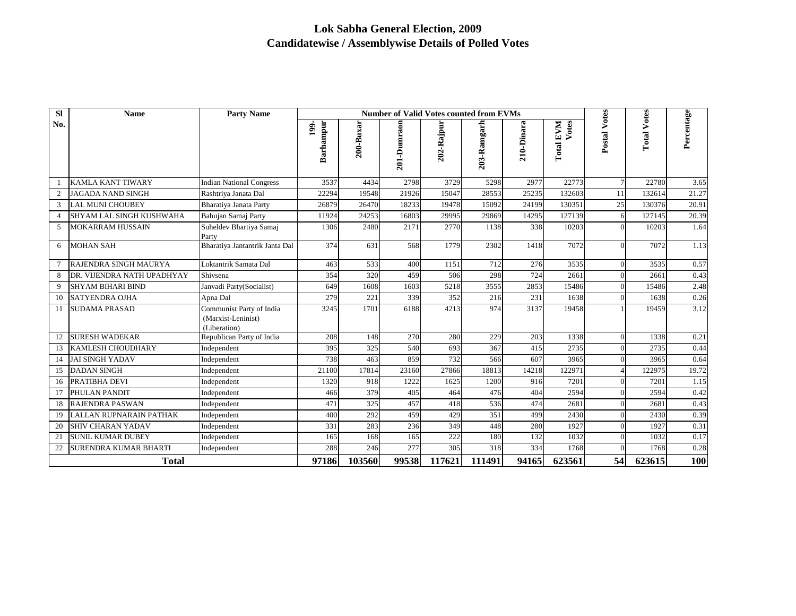| <b>SI</b>      | <b>Name</b>                | <b>Party Name</b>                                              |                              |           |             | <b>Number of Valid Votes counted from EVMs</b> |             |            |                           |                |                    |            |
|----------------|----------------------------|----------------------------------------------------------------|------------------------------|-----------|-------------|------------------------------------------------|-------------|------------|---------------------------|----------------|--------------------|------------|
| No.            |                            |                                                                | Barhampur<br>$\frac{199}{2}$ | 200-Buxar | 201-Dumraon | 202-Rajpur                                     | 203-Ramgarh | 210-Dinara | Votes<br><b>Total EVM</b> | Postal Votes   | <b>Total Votes</b> | Percentage |
|                | <b>KAMLA KANT TIWARY</b>   | <b>Indian National Congress</b>                                | 3537                         | 4434      | 2798        | 3729                                           | 5298        | 2977       | 22773                     | $\overline{7}$ | 22780              | 3.65       |
|                | <b>JAGADA NAND SINGH</b>   | Rashtriya Janata Dal                                           | 22294                        | 19548     | 21926       | 15047                                          | 28553       | 25235      | 132603                    | 11             | 132614             | 21.27      |
| 3              | <b>LAL MUNI CHOUBEY</b>    | Bharatiya Janata Party                                         | 26879                        | 26470     | 18233       | 19478                                          | 15092       | 24199      | 130351                    | 25             | 130376             | 20.91      |
| $\overline{4}$ | SHYAM LAL SINGH KUSHWAHA   | Bahujan Samaj Party                                            | 11924                        | 24253     | 16803       | 29995                                          | 29869       | 14295      | 127139                    | 6              | 127145             | 20.39      |
| 5              | <b>MOKARRAM HUSSAIN</b>    | Suheldev Bhartiya Samaj<br>Party                               | 1306                         | 2480      | 2171        | 2770                                           | 1138        | 338        | 10203                     |                | 10203              | 1.64       |
| 6              | <b>MOHAN SAH</b>           | Bharatiya Jantantrik Janta Dal                                 | 374                          | 631       | 568         | 1779                                           | 2302        | 1418       | 7072                      | O              | 7072               | 1.13       |
| $\tau$         | RAJENDRA SINGH MAURYA      | Loktantrik Samata Dal                                          | 463                          | 533       | 400         | 1151                                           | 712         | 276        | 3535                      | $\Omega$       | 3535               | 0.57       |
|                | DR. VIJENDRA NATH UPADHYAY | Shivsena                                                       | 354                          | 320       | 459         | 506                                            | 298         | 724        | 2661                      | 0              | 2661               | 0.43       |
| 9              | <b>SHYAM BIHARI BIND</b>   | Janvadi Party(Socialist)                                       | 649                          | 1608      | 1603        | 5218                                           | 3555        | 2853       | 15486                     | 0              | 15486              | 2.48       |
| 10             | <b>SATYENDRA OJHA</b>      | Apna Dal                                                       | 279                          | 221       | 339         | 352                                            | 216         | 231        | 1638                      | $\Omega$       | 1638               | 0.26       |
| 11             | <b>SUDAMA PRASAD</b>       | Communist Party of India<br>(Marxist-Leninist)<br>(Liberation) | 3245                         | 1701      | 6188        | 4213                                           | 974         | 3137       | 19458                     |                | 19459              | 3.12       |
| 12             | <b>SURESH WADEKAR</b>      | Republican Party of India                                      | 208                          | 148       | 270         | 280                                            | 229         | 203        | 1338                      | $\Omega$       | 1338               | 0.21       |
| 13             | <b>KAMLESH CHOUDHARY</b>   | Independent                                                    | 395                          | 325       | 540         | 693                                            | 367         | 415        | 2735                      |                | 2735               | 0.44       |
| 14             | <b>JAI SINGH YADAV</b>     | Independent                                                    | 738                          | 463       | 859         | 732                                            | 566         | 607        | 3965                      | 0              | 3965               | 0.64       |
| 15             | <b>DADAN SINGH</b>         | Independent                                                    | 21100                        | 17814     | 23160       | 27866                                          | 18813       | 14218      | 122971                    |                | 122975             | 19.72      |
| 16             | PRATIBHA DEVI              | Independent                                                    | 1320                         | 918       | 1222        | 1625                                           | 1200        | 916        | 7201                      | 0              | 7201               | 1.15       |
| 17             | PHULAN PANDIT              | Independent                                                    | 466                          | 379       | 405         | 464                                            | 476         | 404        | 2594                      |                | 2594               | 0.42       |
| 18             | <b>RAJENDRA PASWAN</b>     | Independent                                                    | 471                          | 325       | 457         | 418                                            | 536         | 474        | 2681                      | 0              | 2681               | 0.43       |
| 19             | LALLAN RUPNARAIN PATHAK    | Independent                                                    | 400                          | 292       | 459         | 429                                            | 351         | 499        | 2430                      |                | 2430               | 0.39       |
| 20             | <b>SHIV CHARAN YADAV</b>   | Independent                                                    | 331                          | 283       | 236         | 349                                            | 448         | 280        | 1927                      | 0              | 1927               | 0.31       |
| 21             | <b>SUNIL KUMAR DUBEY</b>   | Independent                                                    | 165                          | 168       | 165         | 222                                            | 180         | 132        | 1032                      | 0              | 1032               | 0.17       |
| 22             | SURENDRA KUMAR BHARTI      | Independent                                                    | 288                          | 246       | 277         | 305                                            | 318         | 334        | 1768                      | ∩              | 1768               | 0.28       |
|                | <b>Total</b>               |                                                                | 97186                        | 103560    | 99538       | 117621                                         | 111491      | 94165      | 623561                    | 54             | 623615             | 100        |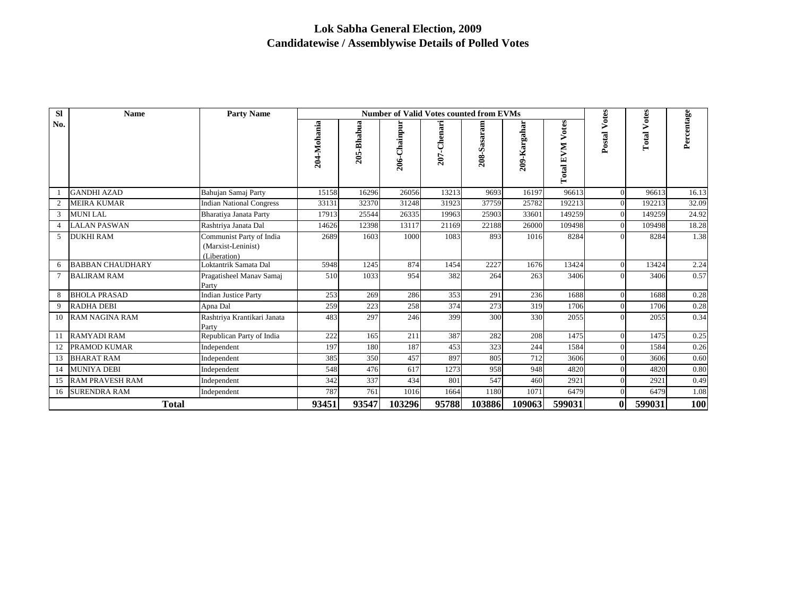| <b>SI</b> | <b>Name</b>             | <b>Party Name</b>                                              |             |            | <b>Number of Valid Votes counted from EVMs</b> |                  |                 |              |                                     |                 |                             |            |
|-----------|-------------------------|----------------------------------------------------------------|-------------|------------|------------------------------------------------|------------------|-----------------|--------------|-------------------------------------|-----------------|-----------------------------|------------|
| No.       |                         |                                                                | 204-Mohania | 205-Bhabua | 206-Chainpur                                   | -Chenari<br>207. | $208 -$ Sasaram | 209-Kargahar | Votes<br><b>EVM</b><br><b>Total</b> | Votes<br>Postal | Votes<br>Total <sup>-</sup> | Percentage |
|           | <b>GANDHI AZAD</b>      | Bahujan Samaj Party                                            | 15158       | 16296      | 26056                                          | 13213            | 9693            | 16197        | 96613                               | $\Omega$        | 96613                       | 16.13      |
| 2         | <b>MEIRA KUMAR</b>      | <b>Indian National Congress</b>                                | 33131       | 32370      | 31248                                          | 31923            | 37759           | 25782        | 192213                              | $\overline{0}$  | 192213                      | 32.09      |
| 3         | <b>MUNILAL</b>          | Bharatiya Janata Party                                         | 17913       | 25544      | 26335                                          | 19963            | 25903           | 33601        | 149259                              | $\overline{0}$  | 149259                      | 24.92      |
|           | <b>LALAN PASWAN</b>     | Rashtriya Janata Dal                                           | 14626       | 12398      | 13117                                          | 21169            | 22188           | 26000        | 109498                              | $\Omega$        | 109498                      | 18.28      |
| 5         | <b>DUKHI RAM</b>        | Communist Party of India<br>(Marxist-Leninist)<br>(Liberation) | 2689        | 1603       | 1000                                           | 1083             | 893             | 1016         | 8284                                | $\Omega$        | 8284                        | 1.38       |
| 6         | <b>BABBAN CHAUDHARY</b> | Loktantrik Samata Dal                                          | 5948        | 1245       | 874                                            | 1454             | 2227            | 1676         | 13424                               | $\overline{0}$  | 13424                       | 2.24       |
|           | <b>BALIRAM RAM</b>      | Pragatisheel Manav Samaj<br>Party                              | 510         | 1033       | 954                                            | 382              | 264             | 263          | 3406                                | $\Omega$        | 3406                        | 0.57       |
| 8         | <b>BHOLA PRASAD</b>     | <b>Indian Justice Party</b>                                    | 253         | 269        | 286                                            | 353              | 291             | 236          | 1688                                | $\Omega$        | 1688                        | 0.28       |
| 9         | <b>RADHA DEBI</b>       | Apna Dal                                                       | 259         | 223        | 258                                            | 374              | 273             | 319          | 1706                                | $\Omega$        | 1706                        | 0.28       |
| 10        | <b>RAM NAGINA RAM</b>   | Rashtriya Krantikari Janata<br>Party                           | 483         | 297        | 246                                            | 399              | 300             | 330          | 2055                                | $\Omega$        | 2055                        | 0.34       |
|           | <b>RAMYADI RAM</b>      | Republican Party of India                                      | 222         | 165        | 211                                            | 387              | 282             | 208          | 1475                                | $\Omega$        | 1475                        | 0.25       |
| 12        | <b>PRAMOD KUMAR</b>     | Independent                                                    | 197         | 180        | 187                                            | 453              | 323             | 244          | 1584                                | $\overline{0}$  | 1584                        | 0.26       |
| 13        | <b>BHARAT RAM</b>       | Independent                                                    | 385         | 350        | 457                                            | 897              | 805             | 712          | 3606                                | $\Omega$        | 3606                        | 0.60       |
| 14        | <b>MUNIYA DEBI</b>      | Independent                                                    | 548         | 476        | 617                                            | 1273             | 958             | 948          | 4820                                | $\Omega$        | 4820                        | 0.80       |
| 15        | <b>RAM PRAVESH RAM</b>  | Independent                                                    | 342         | 337        | 434                                            | 801              | 547             | 460          | 2921                                | $\Omega$        | 2921                        | 0.49       |
| 16        | <b>SURENDRA RAM</b>     | Independent                                                    | 787         | 761        | 1016                                           | 1664             | 1180            | 1071         | 6479                                | $\Omega$        | 6479                        | 1.08       |
|           | <b>Total</b>            |                                                                | 93451       | 93547      | 103296                                         | 95788            | 103886          | 109063       | 599031                              | $\bf{0}$        | 599031                      | <b>100</b> |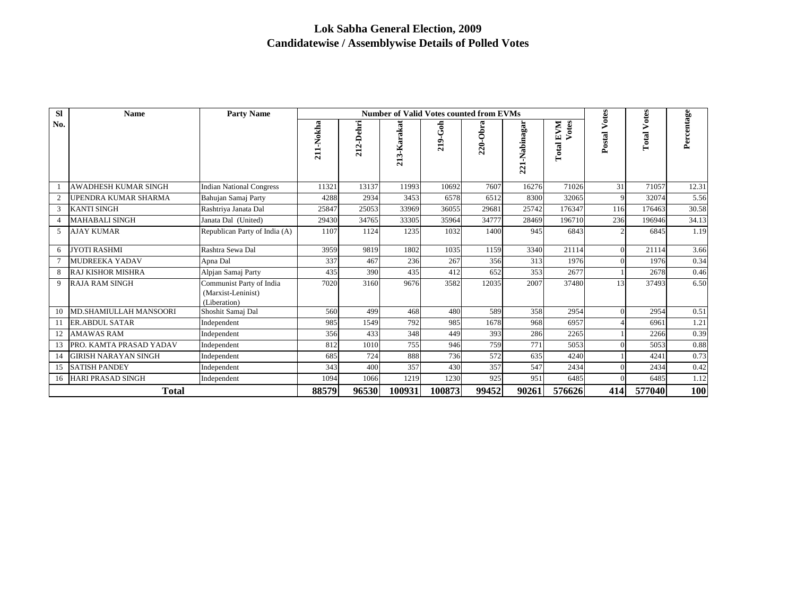| <b>SI</b> | <b>Name</b>                   | <b>Party Name</b>                                              |               |           |             | <b>Number of Valid Votes counted from EVMs</b> |            |               |                       |                 |                    |            |
|-----------|-------------------------------|----------------------------------------------------------------|---------------|-----------|-------------|------------------------------------------------|------------|---------------|-----------------------|-----------------|--------------------|------------|
| No.       |                               |                                                                | Nokha-<br>211 | 212-Dehri | 213-Karakat | 219-Goh                                        | $220-Obra$ | 221-Nabinagar | Votes<br>EVM<br>Total | Votes<br>Postal | <b>Total Votes</b> | Percentage |
|           | <b>AWADHESH KUMAR SINGH</b>   | <b>Indian National Congress</b>                                | 11321         | 13137     | 11993       | 10692                                          | 7607       | 16276         | 71026                 | 31              | 71057              | 12.31      |
|           | UPENDRA KUMAR SHARMA          | Bahujan Samaj Party                                            | 4288          | 2934      | 3453        | 6578                                           | 6512       | 8300          | 32065                 | 9               | 32074              | 5.56       |
| 3         | <b>KANTI SINGH</b>            | Rashtriya Janata Dal                                           | 25847         | 25053     | 33969       | 36055                                          | 29681      | 25742         | 176347                | 116             | 176463             | 30.58      |
|           | <b>MAHABALI SINGH</b>         | Janata Dal (United)                                            | 29430         | 34765     | 33305       | 35964                                          | 34777      | 28469         | 196710                | 236             | 196946             | 34.13      |
| 5         | <b>AJAY KUMAR</b>             | Republican Party of India (A)                                  | 1107          | 1124      | 1235        | 1032                                           | 1400       | 945           | 6843                  |                 | 6845               | 1.19       |
| 6         | <b>JYOTI RASHMI</b>           | Rashtra Sewa Dal                                               | 3959          | 9819      | 1802        | 1035                                           | 1159       | 3340          | 21114                 | $\Omega$        | 21114              | 3.66       |
|           | <b>MUDREEKA YADAV</b>         | Apna Dal                                                       | 337           | 467       | 236         | 267                                            | 356        | 313           | 1976                  | 0               | 1976               | 0.34       |
| 8         | <b>RAJ KISHOR MISHRA</b>      | Alpjan Samaj Party                                             | 435           | 390       | 435         | 412                                            | 652        | 353           | 2677                  |                 | 2678               | 0.46       |
| 9         | <b>RAJA RAM SINGH</b>         | Communist Party of India<br>(Marxist-Leninist)<br>(Liberation) | 7020          | 3160      | 9676        | 3582                                           | 12035      | 2007          | 37480                 | 13              | 37493              | 6.50       |
| 10        | <b>MD.SHAMIULLAH MANSOORI</b> | Shoshit Samaj Dal                                              | 560           | 499       | 468         | 480                                            | 589        | 358           | 2954                  | $\Omega$        | 2954               | 0.51       |
| 11        | <b>ER.ABDUL SATAR</b>         | Independent                                                    | 985           | 1549      | 792         | 985                                            | 1678       | 968           | 6957                  |                 | 6961               | 1.21       |
| 12        | <b>AMAWAS RAM</b>             | Independent                                                    | 356           | 433       | 348         | 449                                            | 393        | 286           | 2265                  |                 | 2266               | 0.39       |
| 13        | PRO. KAMTA PRASAD YADAV       | Independent                                                    | 812           | 1010      | 755         | 946                                            | 759        | 771           | 5053                  |                 | 5053               | 0.88       |
|           | <b>GIRISH NARAYAN SINGH</b>   | Independent                                                    | 685           | 724       | 888         | 736                                            | 572        | 635           | 4240                  |                 | 4241               | 0.73       |
| 15        | <b>SATISH PANDEY</b>          | Independent                                                    | 343           | 400       | 357         | 430                                            | 357        | 547           | 2434                  | $\Omega$        | 2434               | 0.42       |
| 16        | <b>HARI PRASAD SINGH</b>      | Independent                                                    | 1094          | 1066      | 1219        | 1230                                           | 925        | 951           | 6485                  |                 | 6485               | 1.12       |
|           | <b>Total</b>                  |                                                                | 88579         | 96530     | 100931      | 100873                                         | 99452      | 90261         | 576626                | 414             | 577040             | 100        |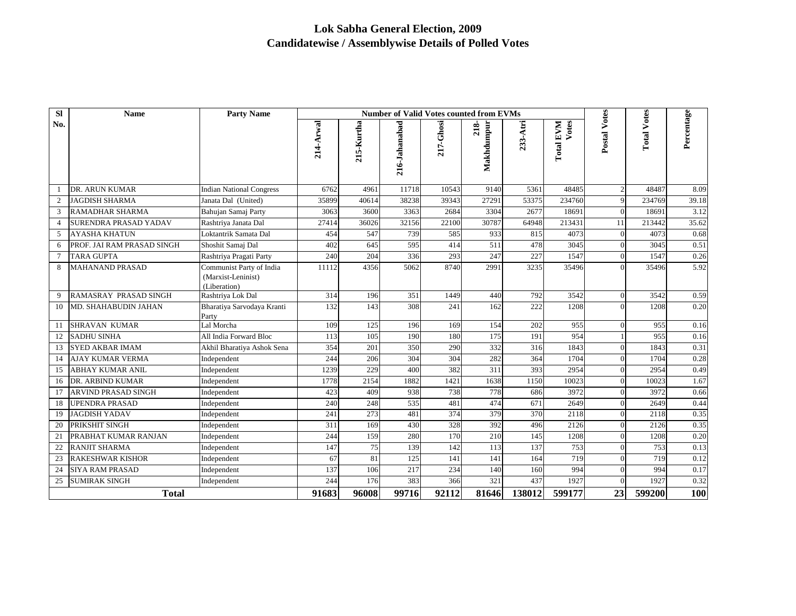| SI             | <b>Name</b>                  | <b>Party Name</b>                                              | <b>Number of Valid Votes counted from EVMs</b> |            |               |              |                    |            |                    |                |                    |            |
|----------------|------------------------------|----------------------------------------------------------------|------------------------------------------------|------------|---------------|--------------|--------------------|------------|--------------------|----------------|--------------------|------------|
| No.            |                              |                                                                | $214-Arwa$                                     | 215-Kurtha | 216-Jahanabad | $217$ -Ghosi | Makhdumpur<br>218- | $233-Atri$ | Votes<br>Total EVM | Postal Votes   | <b>Total Votes</b> | Percentage |
|                | <b>DR. ARUN KUMAR</b>        | <b>Indian National Congress</b>                                | 6762                                           | 4961       | 11718         | 10543        | 9140               | 5361       | 48485              | $\mathfrak{D}$ | 48487              | 8.09       |
| 2              | <b>JAGDISH SHARMA</b>        | Janata Dal (United)                                            | 35899                                          | 40614      | 38238         | 39343        | 27291              | 53375      | 234760             | Q              | 234769             | 39.18      |
| 3              | <b>RAMADHAR SHARMA</b>       | Bahujan Samaj Party                                            | 3063                                           | 3600       | 3363          | 2684         | 3304               | 2677       | 18691              |                | 18691              | 3.12       |
| $\overline{4}$ | <b>SURENDRA PRASAD YADAV</b> | Rashtriya Janata Dal                                           | 27414                                          | 36026      | 32156         | 22100        | 30787              | 64948      | 213431             | 11             | 213442             | 35.62      |
| 5              | <b>AYASHA KHATUN</b>         | Loktantrik Samata Dal                                          | 454                                            | 547        | 739           | 585          | 933                | 815        | 4073               |                | 4073               | 0.68       |
| 6              | PROF. JAI RAM PRASAD SINGH   | Shoshit Samaj Dal                                              | 402                                            | 645        | 595           | 414          | 511                | 478        | 3045               | 0              | 3045               | 0.51       |
| 7              | TARA GUPTA                   | Rashtriya Pragati Party                                        | 240                                            | 204        | 336           | 293          | 247                | 227        | 1547               | 0              | 1547               | 0.26       |
| 8              | <b>MAHANAND PRASAD</b>       | Communist Party of India<br>(Marxist-Leninist)<br>(Liberation) | 11112                                          | 4356       | 5062          | 8740         | 2991               | 3235       | 35496              | $\Omega$       | 35496              | 5.92       |
| 9              | <b>RAMASRAY PRASAD SINGH</b> | Rashtriya Lok Dal                                              | 314                                            | 196        | 351           | 1449         | 440                | 792        | 3542               | $\Omega$       | 3542               | 0.59       |
| 10             | MD. SHAHABUDIN JAHAN         | Bharatiya Sarvodaya Kranti<br>Party                            | 132                                            | 143        | 308           | 241          | 162                | 222        | 1208               |                | 1208               | 0.20       |
| 11             | <b>SHRAVAN KUMAR</b>         | Lal Morcha                                                     | 109                                            | 125        | 196           | 169          | 154                | 202        | 955                | $\Omega$       | 955                | 0.16       |
| 12             | <b>SADHU SINHA</b>           | All India Forward Bloc                                         | 113                                            | 105        | 190           | 180          | 175                | 191        | 954                |                | 955                | 0.16       |
| 13             | <b>SYED AKBAR IMAM</b>       | Akhil Bharatiya Ashok Sena                                     | 354                                            | 201        | 350           | 290          | 332                | 316        | 1843               | 0              | 1843               | 0.31       |
| 14             | <b>AJAY KUMAR VERMA</b>      | Independent                                                    | 244                                            | 206        | 304           | 304          | 282                | 364        | 1704               | 0              | 1704               | 0.28       |
| 15             | <b>ABHAY KUMAR ANIL</b>      | Independent                                                    | 1239                                           | 229        | 400           | 382          | 311                | 393        | 2954               |                | 2954               | 0.49       |
| 16             | <b>DR. ARBIND KUMAR</b>      | Independent                                                    | 1778                                           | 2154       | 1882          | 1421         | 1638               | 1150       | 10023              |                | 10023              | 1.67       |
| 17             | <b>ARVIND PRASAD SINGH</b>   | Independent                                                    | 423                                            | 409        | 938           | 738          | 778                | 686        | 3972               |                | 3972               | 0.66       |
| 18             | <b>UPENDRA PRASAD</b>        | Independent                                                    | 240                                            | 248        | 535           | 481          | 474                | 671        | 2649               |                | 2649               | 0.44       |
| 19             | <b>JAGDISH YADAV</b>         | Independent                                                    | 241                                            | 273        | 481           | 374          | 379                | 370        | 2118               | 0              | 2118               | 0.35       |
| 20             | PRIKSHIT SINGH               | Independent                                                    | 311                                            | 169        | 430           | 328          | 392                | 496        | 2126               |                | 2126               | 0.35       |
| 21             | PRABHAT KUMAR RANJAN         | Independent                                                    | 244                                            | 159        | 280           | 170          | 210                | 145        | 1208               | 0              | 1208               | 0.20       |
| 22             | <b>RANJIT SHARMA</b>         | Independent                                                    | 147                                            | 75         | 139           | 142          | 113                | 137        | 753                |                | 753                | 0.13       |
| 23             | <b>RAKESHWAR KISHOR</b>      | Independent                                                    | 67                                             | 81         | 125           | 141          | 141                | 164        | 719                |                | 719                | 0.12       |
| 24             | <b>SIYA RAM PRASAD</b>       | Independent                                                    | 137                                            | 106        | 217           | 234          | 140                | 160        | 994                |                | 994                | 0.17       |
| 25             | <b>SUMIRAK SINGH</b>         | Independent                                                    | 244                                            | 176        | 383           | 366          | 321                | 437        | 1927               |                | 1927               | 0.32       |
|                | <b>Total</b>                 |                                                                | 91683                                          | 96008      | 99716         | 92112        | 81646              | 138012     | 599177             | 23             | 599200             | 100        |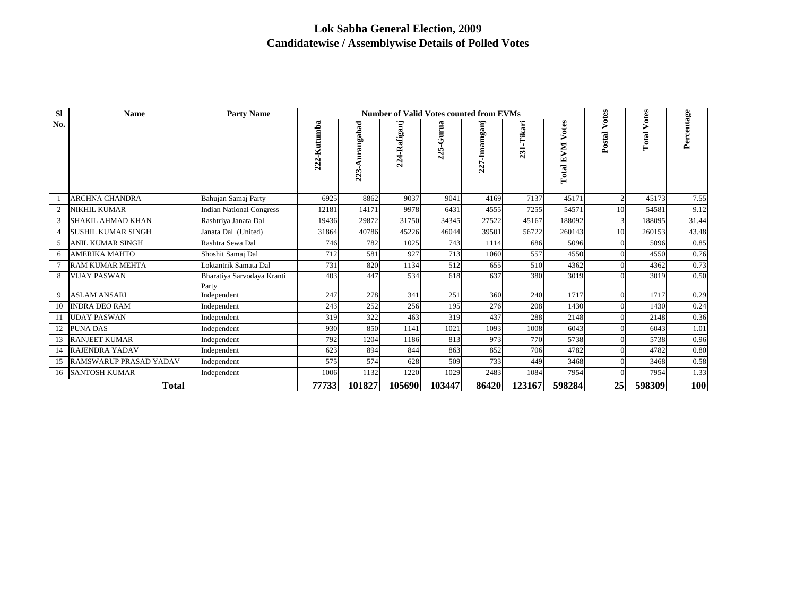| <b>SI</b>    | <b>Name</b>                   | <b>Party Name</b>                   | <b>Number of Valid Votes counted from EVMs</b> |                      |              |               |                 |            |                                     |                 | otes       |            |
|--------------|-------------------------------|-------------------------------------|------------------------------------------------|----------------------|--------------|---------------|-----------------|------------|-------------------------------------|-----------------|------------|------------|
| No.          |                               |                                     | 222-Kutumba                                    | angabad<br>Au<br>223 | 224-Rafiganj | -Gurua<br>225 | Imamganj<br>227 | 231-Tikari | Votes<br><b>EVM</b><br><b>Total</b> | Votes<br>Postal | ⋗<br>Total | Percentage |
|              | <b>ARCHNA CHANDRA</b>         | Bahujan Samaj Party                 | 6925                                           | 8862                 | 9037         | 9041          | 4169            | 7137       | 45171                               | $\overline{2}$  | 45173      | 7.55       |
| 2            | NIKHIL KUMAR                  | <b>Indian National Congress</b>     | 12181                                          | 14171                | 9978         | 6431          | 4555            | 7255       | 54571                               | 10              | 54581      | 9.12       |
| 3            | <b>SHAKIL AHMAD KHAN</b>      | Rashtriya Janata Dal                | 19436                                          | 29872                | 31750        | 34345         | 27522           | 45167      | 188092                              | 3               | 188095     | 31.44      |
|              | <b>SUSHIL KUMAR SINGH</b>     | Janata Dal (United)                 | 31864                                          | 40786                | 45226        | 46044         | 39501           | 56722      | 260143                              | 10              | 260153     | 43.48      |
| 5            | <b>ANIL KUMAR SINGH</b>       | Rashtra Sewa Dal                    | 746                                            | 782                  | 1025         | 743           | 1114            | 686        | 5096                                | $\Omega$        | 5096       | 0.85       |
| 6            | <b>AMERIKA MAHTO</b>          | Shoshit Samaj Dal                   | 712                                            | 581                  | 927          | 713           | 1060            | 557        | 4550                                | $\Omega$        | 4550       | 0.76       |
|              | <b>RAM KUMAR MEHTA</b>        | Loktantrik Samata Dal               | 731                                            | 820                  | 1134         | 512           | 655             | 510        | 4362                                | $\Omega$        | 4362       | 0.73       |
| 8            | <b>VIJAY PASWAN</b>           | Bharatiya Sarvodaya Kranti<br>Party | 403                                            | 447                  | 534          | 618           | 637             | 380        | 3019                                | $\Omega$        | 3019       | 0.50       |
| 9            | <b>ASLAM ANSARI</b>           | Independent                         | 247                                            | 278                  | 341          | 251           | 360             | 240        | 1717                                | $\Omega$        | 1717       | 0.29       |
| 10           | <b>INDRA DEO RAM</b>          | Independent                         | 243                                            | 252                  | 256          | 195           | 276             | 208        | 1430                                | $\Omega$        | 1430       | 0.24       |
| 11           | <b>UDAY PASWAN</b>            | Independent                         | 319                                            | 322                  | 463          | 319           | 437             | 288        | 2148                                | $\Omega$        | 2148       | 0.36       |
| 12           | PUNA DAS                      | Independent                         | 930                                            | 850                  | 1141         | 1021          | 1093            | 1008       | 6043                                | $\Omega$        | 6043       | 1.01       |
| 13           | <b>RANJEET KUMAR</b>          | Independent                         | 792                                            | 1204                 | 1186         | 813           | 973             | 770        | 5738                                | $\theta$        | 5738       | 0.96       |
| 14           | <b>RAJENDRA YADAV</b>         | Independent                         | 623                                            | 894                  | 844          | 863           | 852             | 706        | 4782                                | $\Omega$        | 4782       | 0.80       |
| 15           | <b>RAMSWARUP PRASAD YADAV</b> | Independent                         | 575                                            | 574                  | 628          | 509           | 733             | 449        | 3468                                | $\Omega$        | 3468       | 0.58       |
| 16           | <b>SANTOSH KUMAR</b>          | Independent                         | 1006                                           | 1132                 | 1220         | 1029          | 2483            | 1084       | 7954                                | $\Omega$        | 7954       | 1.33       |
| <b>Total</b> |                               |                                     | 77733                                          | 101827               | 105690       | 103447        | 86420           | 123167     | 598284                              | 25              | 598309     | <b>100</b> |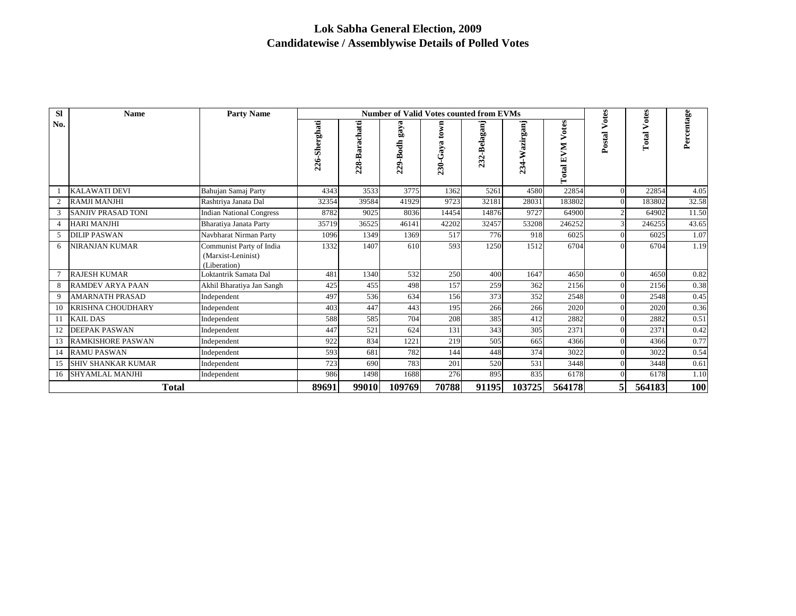| <b>SI</b>    | <b>Name</b>               | <b>Party Name</b>                                              | <b>Number of Valid Votes counted from EVMs</b> |                |                  |                    |              |               |                              |                 |                    |            |
|--------------|---------------------------|----------------------------------------------------------------|------------------------------------------------|----------------|------------------|--------------------|--------------|---------------|------------------------------|-----------------|--------------------|------------|
| No.          |                           |                                                                | 226-Sherghati                                  | 228-Barachatti | gaya<br>229-Bodh | town<br>$230-Gaya$ | 232-Belaganj | 234-Wazirganj | otes<br>⋗<br>M<br>闰<br>Total | Votes<br>Postal | <b>Total Votes</b> | Percentage |
|              | <b>KALAWATI DEVI</b>      | Bahujan Samaj Party                                            | 4343                                           | 3533           | 3775             | 1362               | 5261         | 4580          | 22854                        |                 | 22854              | 4.05       |
| 2            | <b>RAMJI MANJHI</b>       | Rashtriya Janata Dal                                           | 32354                                          | 39584          | 41929            | 9723               | 32181        | 28031         | 183802                       |                 | 183802             | 32.58      |
|              | <b>SANJIV PRASAD TONI</b> | <b>Indian National Congress</b>                                | 8782                                           | 9025           | 8036             | 14454              | 14876        | 9727          | 64900                        |                 | 64902              | 11.50      |
|              | HARI MANJHI               | Bharatiya Janata Party                                         | 35719                                          | 36525          | 46141            | 42202              | 32457        | 53208         | 246252                       | 3               | 246255             | 43.65      |
| 5            | <b>DILIP PASWAN</b>       | Navbharat Nirman Party                                         | 1096                                           | 1349           | 1369             | 517                | 776          | 918           | 6025                         |                 | 6025               | 1.07       |
| 6            | NIRANJAN KUMAR            | Communist Party of India<br>(Marxist-Leninist)<br>(Liberation) | 1332                                           | 1407           | 610              | 593                | 1250         | 1512          | 6704                         |                 | 6704               | 1.19       |
|              | <b>RAJESH KUMAR</b>       | Loktantrik Samata Dal                                          | 481                                            | 1340           | 532              | 250                | 400          | 1647          | 4650                         | 0               | 4650               | 0.82       |
|              | <b>RAMDEV ARYA PAAN</b>   | Akhil Bharatiya Jan Sangh                                      | 425                                            | 455            | 498              | 157                | 259          | 362           | 2156                         |                 | 2156               | 0.38       |
| 9            | <b>AMARNATH PRASAD</b>    | Independent                                                    | 497                                            | 536            | 634              | 156                | 373          | 352           | 2548                         |                 | 2548               | 0.45       |
| 10           | <b>KRISHNA CHOUDHARY</b>  | Independent                                                    | 403                                            | 447            | 443              | 195                | 266          | 266           | 2020                         |                 | 2020               | 0.36       |
| 11           | <b>KAIL DAS</b>           | Independent                                                    | 588                                            | 585            | 704              | 208                | 385          | 412           | 2882                         |                 | 2882               | 0.51       |
| 12           | DEEPAK PASWAN             | Independent                                                    | 447                                            | 521            | 624              | 131                | 343          | 305           | 2371                         |                 | 2371               | 0.42       |
| 13           | <b>RAMKISHORE PASWAN</b>  | Independent                                                    | 922                                            | 834            | 1221             | 219                | 505          | 665           | 4366                         |                 | 4366               | 0.77       |
| 14           | <b>RAMU PASWAN</b>        | Independent                                                    | 593                                            | 681            | 782              | 144                | 448          | 374           | 3022                         |                 | 3022               | 0.54       |
| 15           | <b>SHIV SHANKAR KUMAR</b> | Independent                                                    | 723                                            | 690            | 783              | 201                | 520          | 531           | 3448                         |                 | 3448               | 0.61       |
| 16           | SHYAMLAL MANJHI           | Independent                                                    | 986                                            | 1498           | 1688             | 276                | 895          | 835           | 6178                         |                 | 6178               | 1.10       |
| <b>Total</b> |                           |                                                                | 89691                                          | 99010          | 109769           | 70788              | 91195        | 103725        | 564178                       |                 | 564183             | <b>100</b> |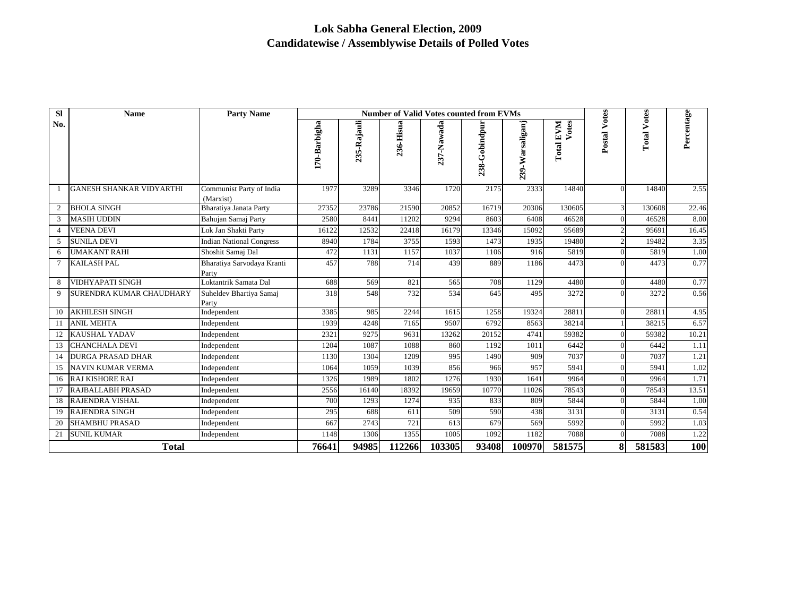| <b>SI</b>      | <b>Name</b>                     | <b>Party Name</b>                     | <b>Number of Valid Votes counted from EVMs</b> |             |           |            |               |                 |                           |                |                    |            |
|----------------|---------------------------------|---------------------------------------|------------------------------------------------|-------------|-----------|------------|---------------|-----------------|---------------------------|----------------|--------------------|------------|
| No.            |                                 |                                       | 170-Barbigha                                   | 235-Rajauli | 236-Hisua | 237-Nawada | 238-Gobindpur | 239-Warsaliganj | Votes<br><b>Total EVM</b> | Postal Votes   | <b>Total Votes</b> | Percentage |
|                | <b>GANESH SHANKAR VIDYARTHI</b> | Communist Party of India<br>(Marxist) | 1977                                           | 3289        | 3346      | 1720       | 2175          | 2333            | 14840                     | $\Omega$       | 14840              | 2.55       |
| $\overline{2}$ | <b>BHOLA SINGH</b>              | Bharatiya Janata Party                | 27352                                          | 23786       | 21590     | 20852      | 16719         | 20306           | 130605                    | 3              | 130608             | 22.46      |
| 3              | <b>MASIH UDDIN</b>              | Bahujan Samaj Party                   | 2580                                           | 8441        | 11202     | 9294       | 8603          | 6408            | 46528                     |                | 46528              | 8.00       |
| $\overline{4}$ | <b>VEENA DEVI</b>               | Lok Jan Shakti Party                  | 16122                                          | 12532       | 22418     | 16179      | 13346         | 15092           | 95689                     | $\overline{c}$ | 95691              | 16.45      |
| 5              | <b>SUNILA DEVI</b>              | <b>Indian National Congress</b>       | 8940                                           | 1784        | 3755      | 1593       | 1473          | 1935            | 19480                     | $\overline{c}$ | 19482              | 3.35       |
| 6              | <b>UMAKANT RAHI</b>             | Shoshit Samaj Dal                     | 472                                            | 1131        | 1157      | 1037       | 1106          | 916             | 5819                      |                | 5819               | 1.00       |
| $\tau$         | <b>KAILASH PAL</b>              | Bharatiya Sarvodaya Kranti<br>Party   | 457                                            | 788         | 714       | 439        | 889           | 1186            | 4473                      |                | 4473               | 0.77       |
| 8              | <b>VIDHYAPATI SINGH</b>         | Loktantrik Samata Dal                 | 688                                            | 569         | 821       | 565        | 708           | 1129            | 4480                      | $\Omega$       | 4480               | 0.77       |
| 9              | SURENDRA KUMAR CHAUDHARY        | Suheldev Bhartiya Samaj<br>Party      | 318                                            | 548         | 732       | 534        | 645           | 495             | 3272                      |                | 3272               | 0.56       |
| 10             | <b>AKHILESH SINGH</b>           | Independent                           | 3385                                           | 985         | 2244      | 1615       | 1258          | 19324           | 28811                     | 0              | 28811              | 4.95       |
| 11             | <b>ANIL MEHTA</b>               | Independent                           | 1939                                           | 4248        | 7165      | 9507       | 6792          | 8563            | 38214                     |                | 38215              | 6.57       |
| 12             | <b>KAUSHAL YADAV</b>            | Independent                           | 2321                                           | 9275        | 9631      | 13262      | 20152         | 4741            | 59382                     |                | 59382              | 10.21      |
| 13             | <b>CHANCHALA DEVI</b>           | Independent                           | 1204                                           | 1087        | 1088      | 860        | 1192          | 1011            | 6442                      |                | 6442               | 1.11       |
| 14             | <b>DURGA PRASAD DHAR</b>        | Independent                           | 1130                                           | 1304        | 1209      | 995        | 1490          | 909             | 7037                      |                | 7037               | 1.21       |
| 15             | <b>NAVIN KUMAR VERMA</b>        | Independent                           | 1064                                           | 1059        | 1039      | 856        | 966           | 957             | 5941                      |                | 5941               | 1.02       |
| 16             | <b>RAJ KISHORE RAJ</b>          | Independent                           | 1326                                           | 1989        | 1802      | 1276       | 1930          | 1641            | 9964                      |                | 9964               | 1.71       |
| 17             | <b>RAJBALLABH PRASAD</b>        | Independent                           | 2556                                           | 16140       | 18392     | 19659      | 10770         | 11026           | 78543                     | $\Omega$       | 78543              | 13.51      |
| 18             | <b>RAJENDRA VISHAL</b>          | Independent                           | 700                                            | 1293        | 1274      | 935        | 833           | 809             | 5844                      |                | 5844               | 1.00       |
| 19             | <b>RAJENDRA SINGH</b>           | Independent                           | 295                                            | 688         | 611       | 509        | 590           | 438             | 3131                      |                | 3131               | 0.54       |
| 20             | <b>SHAMBHU PRASAD</b>           | Independent                           | 667                                            | 2743        | 721       | 613        | 679           | 569             | 5992                      |                | 5992               | 1.03       |
| 21             | <b>SUNIL KUMAR</b>              | Independent                           | 1148                                           | 1306        | 1355      | 1005       | 1092          | 1182            | 7088                      |                | 7088               | 1.22       |
| <b>Total</b>   |                                 | 76641                                 | 94985                                          | 112266      | 103305    | 93408      | 100970        | 581575          | 8                         | 581583         | 100                |            |